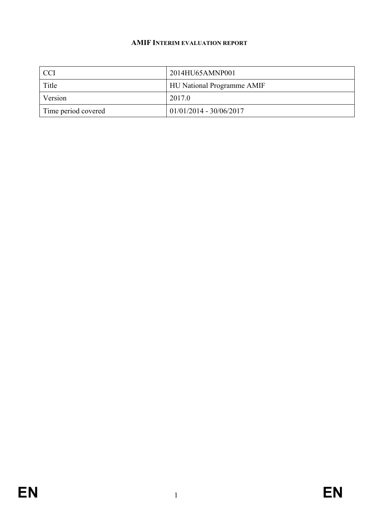### **AMIF INTERIM EVALUATION REPORT**

| <b>CCI</b>          | 2014HU65AMNP001                   |
|---------------------|-----------------------------------|
| Title               | <b>HU National Programme AMIF</b> |
| Version             | 2017.0                            |
| Time period covered | $01/01/2014 - 30/06/2017$         |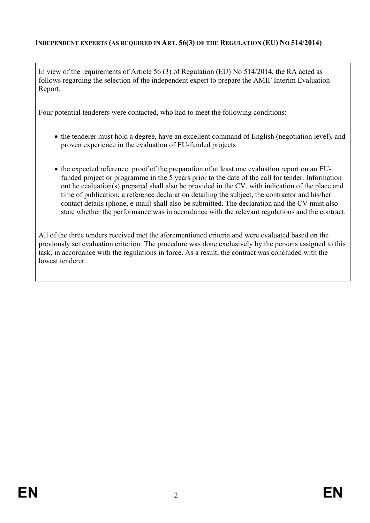### **INDEPENDENT EXPERTS (AS REQUIRED IN ART. 56(3) OF THE REGULATION (EU) NO 514/2014)**

In view of the requirements of Article 56 (3) of Regulation (EU) No 514/2014, the RA acted as follows regarding the selection of the independent expert to prepare the AMIF Interim Evaluation Report.

Four potential tenderers were contacted, who had to meet the following conditions:

- the tenderer must hold a degree, have an excellent command of English (negotiation level), and proven experience in the evaluation of EU-funded projects
- the expected reference: proof of the preparation of at least one evaluation report on an EUfunded project or programme in the 5 years prior to the date of the call for tender. Information ont he ecaluation(s) prepared shall also be provided in the CV, with indication of the place and time of publication; a reference declaration detailing the subject, the contractor and his/her contact details (phone, e-mail) shall also be submitted. The declaration and the CV must also state whether the performance was in accordance with the relevant regulations and the contract.

All of the three tenders received met the aforementioned criteria and were evaluated based on the previously set evaluation criterion. The procedure was done exclusively by the persons assigned to this task, in accordance with the regulations in force. As a result, the contract was concluded with the lowest tenderer.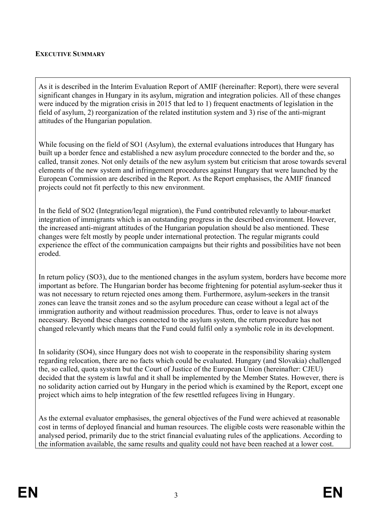## **EXECUTIVE SUMMARY**

As it is described in the Interim Evaluation Report of AMIF (hereinafter: Report), there were several significant changes in Hungary in its asylum, migration and integration policies. All of these changes were induced by the migration crisis in 2015 that led to 1) frequent enactments of legislation in the field of asylum, 2) reorganization of the related institution system and 3) rise of the anti-migrant attitudes of the Hungarian population.

While focusing on the field of SO1 (Asylum), the external evaluations introduces that Hungary has built up a border fence and established a new asylum procedure connected to the border and the, so called, transit zones. Not only details of the new asylum system but criticism that arose towards several elements of the new system and infringement procedures against Hungary that were launched by the European Commission are described in the Report. As the Report emphasises, the AMIF financed projects could not fit perfectly to this new environment.

In the field of SO2 (Integration/legal migration), the Fund contributed relevantly to labour-market integration of immigrants which is an outstanding progress in the described environment. However, the increased anti-migrant attitudes of the Hungarian population should be also mentioned. These changes were felt mostly by people under international protection. The regular migrants could experience the effect of the communication campaigns but their rights and possibilities have not been eroded.

In return policy (SO3), due to the mentioned changes in the asylum system, borders have become more important as before. The Hungarian border has become frightening for potential asylum-seeker thus it was not necessary to return rejected ones among them. Furthermore, asylum-seekers in the transit zones can leave the transit zones and so the asylum procedure can cease without a legal act of the immigration authority and without readmission procedures. Thus, order to leave is not always necessary. Beyond these changes connected to the asylum system, the return procedure has not changed relevantly which means that the Fund could fulfil only a symbolic role in its development.

In solidarity (SO4), since Hungary does not wish to cooperate in the responsibility sharing system regarding relocation, there are no facts which could be evaluated. Hungary (and Slovakia) challenged the, so called, quota system but the Court of Justice of the European Union (hereinafter: CJEU) decided that the system is lawful and it shall be implemented by the Member States. However, there is no solidarity action carried out by Hungary in the period which is examined by the Report, except one project which aims to help integration of the few resettled refugees living in Hungary.

As the external evaluator emphasises, the general objectives of the Fund were achieved at reasonable cost in terms of deployed financial and human resources. The eligible costs were reasonable within the analysed period, primarily due to the strict financial evaluating rules of the applications. According to the information available, the same results and quality could not have been reached at a lower cost.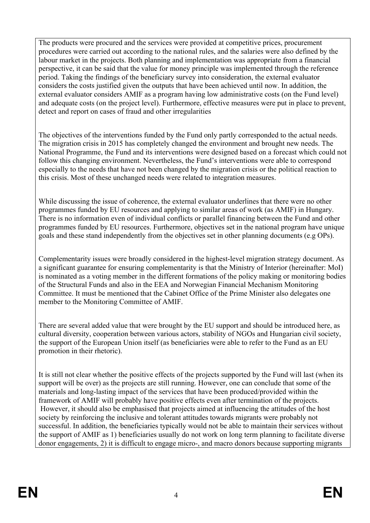The products were procured and the services were provided at competitive prices, procurement procedures were carried out according to the national rules, and the salaries were also defined by the labour market in the projects. Both planning and implementation was appropriate from a financial perspective, it can be said that the value for money principle was implemented through the reference period. Taking the findings of the beneficiary survey into consideration, the external evaluator considers the costs justified given the outputs that have been achieved until now. In addition, the external evaluator considers AMIF as a program having low administrative costs (on the Fund level) and adequate costs (on the project level). Furthermore, effective measures were put in place to prevent, detect and report on cases of fraud and other irregularities

The objectives of the interventions funded by the Fund only partly corresponded to the actual needs. The migration crisis in 2015 has completely changed the environment and brought new needs. The National Programme, the Fund and its interventions were designed based on a forecast which could not follow this changing environment. Nevertheless, the Fund's interventions were able to correspond especially to the needs that have not been changed by the migration crisis or the political reaction to this crisis. Most of these unchanged needs were related to integration measures.

While discussing the issue of coherence, the external evaluator underlines that there were no other programmes funded by EU resources and applying to similar areas of work (as AMIF) in Hungary. There is no information even of individual conflicts or parallel financing between the Fund and other programmes funded by EU resources. Furthermore, objectives set in the national program have unique goals and these stand independently from the objectives set in other planning documents (e.g OPs).

Complementarity issues were broadly considered in the highest-level migration strategy document. As a significant guarantee for ensuring complementarity is that the Ministry of Interior (hereinafter: MoI) is nominated as a voting member in the different formations of the policy making or monitoring bodies of the Structural Funds and also in the EEA and Norwegian Financial Mechanism Monitoring Committee. It must be mentioned that the Cabinet Office of the Prime Minister also delegates one member to the Monitoring Committee of AMIF.

There are several added value that were brought by the EU support and should be introduced here, as cultural diversity, cooperation between various actors, stability of NGOs and Hungarian civil society, the support of the European Union itself (as beneficiaries were able to refer to the Fund as an EU promotion in their rhetoric).

It is still not clear whether the positive effects of the projects supported by the Fund will last (when its support will be over) as the projects are still running. However, one can conclude that some of the materials and long-lasting impact of the services that have been produced/provided within the framework of AMIF will probably have positive effects even after termination of the projects. However, it should also be emphasised that projects aimed at influencing the attitudes of the host society by reinforcing the inclusive and tolerant attitudes towards migrants were probably not successful. In addition, the beneficiaries typically would not be able to maintain their services without the support of AMIF as 1) beneficiaries usually do not work on long term planning to facilitate diverse donor engagements, 2) it is difficult to engage micro-, and macro donors because supporting migrants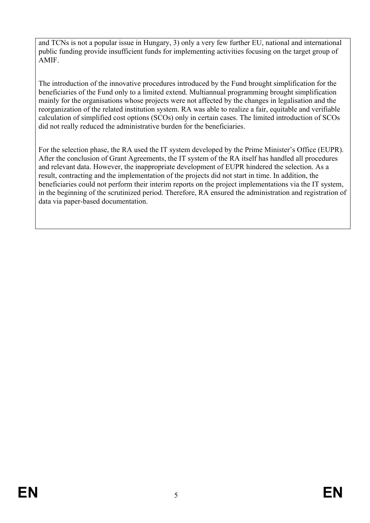and TCNs is not a popular issue in Hungary, 3) only a very few further EU, national and international public funding provide insufficient funds for implementing activities focusing on the target group of AMIF.

The introduction of the innovative procedures introduced by the Fund brought simplification for the beneficiaries of the Fund only to a limited extend. Multiannual programming brought simplification mainly for the organisations whose projects were not affected by the changes in legalisation and the reorganization of the related institution system. RA was able to realize a fair, equitable and verifiable calculation of simplified cost options (SCOs) only in certain cases. The limited introduction of SCOs did not really reduced the administrative burden for the beneficiaries.

For the selection phase, the RA used the IT system developed by the Prime Minister's Office (EUPR). After the conclusion of Grant Agreements, the IT system of the RA itself has handled all procedures and relevant data. However, the inappropriate development of EUPR hindered the selection. As a result, contracting and the implementation of the projects did not start in time. In addition, the beneficiaries could not perform their interim reports on the project implementations via the IT system, in the beginning of the scrutinized period. Therefore, RA ensured the administration and registration of data via paper-based documentation.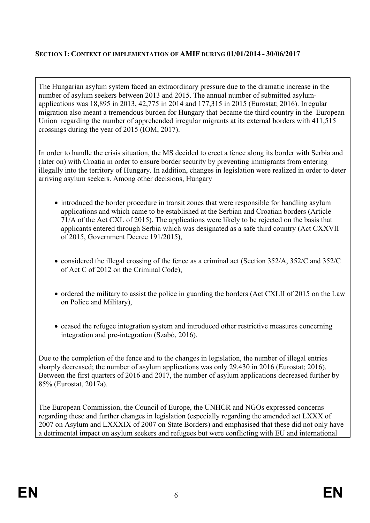## **SECTION I: CONTEXT OF IMPLEMENTATION OF AMIF DURING 01/01/2014 - 30/06/2017**

The Hungarian asylum system faced an extraordinary pressure due to the dramatic increase in the number of asylum seekers between 2013 and 2015. The annual number of submitted asylumapplications was 18,895 in 2013, 42,775 in 2014 and 177,315 in 2015 (Eurostat; 2016). Irregular migration also meant a tremendous burden for Hungary that became the third country in the European Union regarding the number of apprehended irregular migrants at its external borders with 411,515 crossings during the year of 2015 (IOM, 2017).

In order to handle the crisis situation, the MS decided to erect a fence along its border with Serbia and (later on) with Croatia in order to ensure border security by preventing immigrants from entering illegally into the territory of Hungary. In addition, changes in legislation were realized in order to deter arriving asylum seekers. Among other decisions, Hungary

- introduced the border procedure in transit zones that were responsible for handling asylum applications and which came to be established at the Serbian and Croatian borders (Article 71/A of the Act CXL of 2015). The applications were likely to be rejected on the basis that applicants entered through Serbia which was designated as a safe third country (Act CXXVII of 2015, Government Decree 191/2015),
- considered the illegal crossing of the fence as a criminal act (Section 352/A, 352/C and 352/C of Act C of 2012 on the Criminal Code),
- ordered the military to assist the police in guarding the borders (Act CXLII of 2015 on the Law on Police and Military),
- ceased the refugee integration system and introduced other restrictive measures concerning integration and pre-integration (Szabó, 2016).

Due to the completion of the fence and to the changes in legislation, the number of illegal entries sharply decreased; the number of asylum applications was only 29,430 in 2016 (Eurostat; 2016). Between the first quarters of 2016 and 2017, the number of asylum applications decreased further by 85% (Eurostat, 2017a).

The European Commission, the Council of Europe, the UNHCR and NGOs expressed concerns regarding these and further changes in legislation (especially regarding the amended act LXXX of 2007 on Asylum and LXXXIX of 2007 on State Borders) and emphasised that these did not only have a detrimental impact on asylum seekers and refugees but were conflicting with EU and international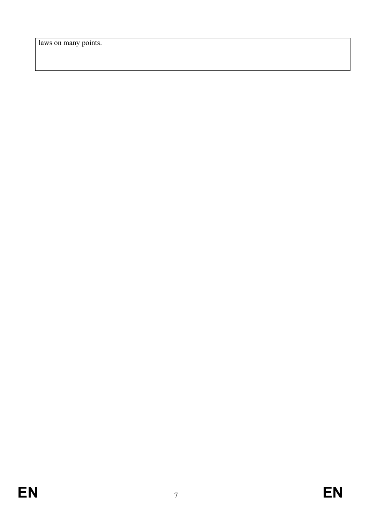laws on many points.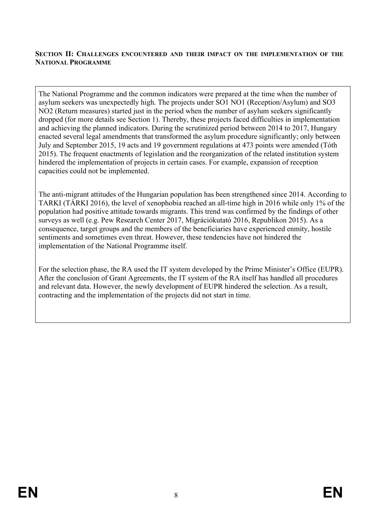#### **SECTION II: CHALLENGES ENCOUNTERED AND THEIR IMPACT ON THE IMPLEMENTATION OF THE NATIONAL PROGRAMME**

The National Programme and the common indicators were prepared at the time when the number of asylum seekers was unexpectedly high. The projects under SO1 NO1 (Reception/Asylum) and SO3 NO2 (Return measures) started just in the period when the number of asylum seekers significantly dropped (for more details see Section 1). Thereby, these projects faced difficulties in implementation and achieving the planned indicators. During the scrutinized period between 2014 to 2017, Hungary enacted several legal amendments that transformed the asylum procedure significantly; only between July and September 2015, 19 acts and 19 government regulations at 473 points were amended (Tóth 2015). The frequent enactments of legislation and the reorganization of the related institution system hindered the implementation of projects in certain cases. For example, expansion of reception capacities could not be implemented.

The anti-migrant attitudes of the Hungarian population has been strengthened since 2014. According to TARKI (TÁRKI 2016), the level of xenophobia reached an all-time high in 2016 while only 1% of the population had positive attitude towards migrants. This trend was confirmed by the findings of other surveys as well (e.g. Pew Research Center 2017, Migrációkutató 2016, Republikon 2015). As a consequence, target groups and the members of the beneficiaries have experienced enmity, hostile sentiments and sometimes even threat. However, these tendencies have not hindered the implementation of the National Programme itself.

For the selection phase, the RA used the IT system developed by the Prime Minister's Office (EUPR). After the conclusion of Grant Agreements, the IT system of the RA itself has handled all procedures and relevant data. However, the newly development of EUPR hindered the selection. As a result, contracting and the implementation of the projects did not start in time.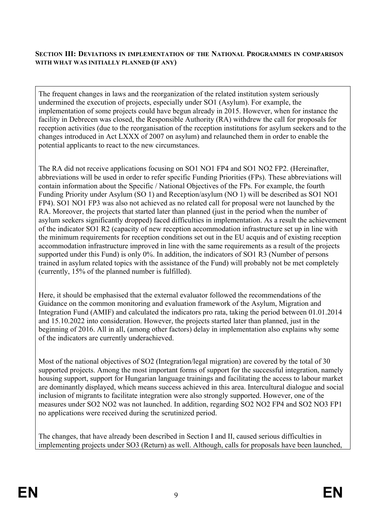#### **SECTION III: DEVIATIONS IN IMPLEMENTATION OF THE NATIONAL PROGRAMMES IN COMPARISON WITH WHAT WAS INITIALLY PLANNED (IF ANY)**

The frequent changes in laws and the reorganization of the related institution system seriously undermined the execution of projects, especially under SO1 (Asylum). For example, the implementation of some projects could have begun already in 2015. However, when for instance the facility in Debrecen was closed, the Responsible Authority (RA) withdrew the call for proposals for reception activities (due to the reorganisation of the reception institutions for asylum seekers and to the changes introduced in Act LXXX of 2007 on asylum) and relaunched them in order to enable the potential applicants to react to the new circumstances.

The RA did not receive applications focusing on SO1 NO1 FP4 and SO1 NO2 FP2. (Hereinafter, abbreviations will be used in order to refer specific Funding Priorities (FPs). These abbreviations will contain information about the Specific / National Objectives of the FPs. For example, the fourth Funding Priority under Asylum (SO 1) and Reception/asylum (NO 1) will be described as SO1 NO1 FP4). SO1 NO1 FP3 was also not achieved as no related call for proposal were not launched by the RA. Moreover, the projects that started later than planned (just in the period when the number of asylum seekers significantly dropped) faced difficulties in implementation. As a result the achievement of the indicator SO1 R2 (capacity of new reception accommodation infrastructure set up in line with the minimum requirements for reception conditions set out in the EU acquis and of existing reception accommodation infrastructure improved in line with the same requirements as a result of the projects supported under this Fund) is only 0%. In addition, the indicators of SO1 R3 (Number of persons trained in asylum related topics with the assistance of the Fund) will probably not be met completely (currently, 15% of the planned number is fulfilled).

Here, it should be emphasised that the external evaluator followed the recommendations of the Guidance on the common monitoring and evaluation framework of the Asylum, Migration and Integration Fund (AMIF) and calculated the indicators pro rata, taking the period between 01.01.2014 and 15.10.2022 into consideration. However, the projects started later than planned, just in the beginning of 2016. All in all, (among other factors) delay in implementation also explains why some of the indicators are currently underachieved.

Most of the national objectives of SO2 (Integration/legal migration) are covered by the total of 30 supported projects. Among the most important forms of support for the successful integration, namely housing support, support for Hungarian language trainings and facilitating the access to labour market are dominantly displayed, which means success achieved in this area. Intercultural dialogue and social inclusion of migrants to facilitate integration were also strongly supported. However, one of the measures under SO2 NO2 was not launched. In addition, regarding SO2 NO2 FP4 and SO2 NO3 FP1 no applications were received during the scrutinized period.

The changes, that have already been described in Section I and II, caused serious difficulties in implementing projects under SO3 (Return) as well. Although, calls for proposals have been launched,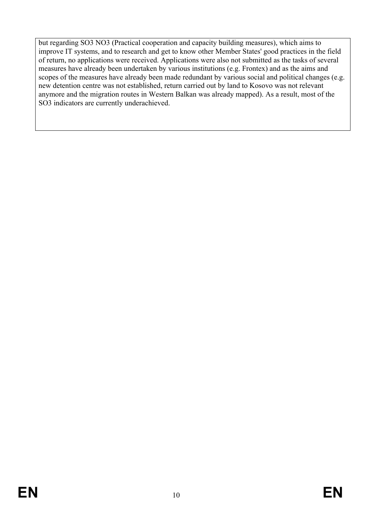but regarding SO3 NO3 (Practical cooperation and capacity building measures), which aims to improve IT systems, and to research and get to know other Member States' good practices in the field of return, no applications were received. Applications were also not submitted as the tasks of several measures have already been undertaken by various institutions (e.g. Frontex) and as the aims and scopes of the measures have already been made redundant by various social and political changes (e.g. new detention centre was not established, return carried out by land to Kosovo was not relevant anymore and the migration routes in Western Balkan was already mapped). As a result, most of the SO3 indicators are currently underachieved.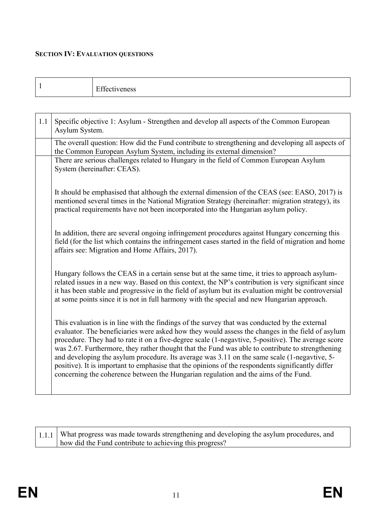# **SECTION IV: EVALUATION QUESTIONS**

|  |  |  | ഹ<br>$\overline{\phantom{0}}$<br><b>EIIecuveness</b> |
|--|--|--|------------------------------------------------------|
|--|--|--|------------------------------------------------------|

| 1.1 | Specific objective 1: Asylum - Strengthen and develop all aspects of the Common European<br>Asylum System.                                                                                                                                                                                                                                                                                                                                                                                                                                                                                                                                                                                              |
|-----|---------------------------------------------------------------------------------------------------------------------------------------------------------------------------------------------------------------------------------------------------------------------------------------------------------------------------------------------------------------------------------------------------------------------------------------------------------------------------------------------------------------------------------------------------------------------------------------------------------------------------------------------------------------------------------------------------------|
|     | The overall question: How did the Fund contribute to strengthening and developing all aspects of<br>the Common European Asylum System, including its external dimension?                                                                                                                                                                                                                                                                                                                                                                                                                                                                                                                                |
|     | There are serious challenges related to Hungary in the field of Common European Asylum<br>System (hereinafter: CEAS).                                                                                                                                                                                                                                                                                                                                                                                                                                                                                                                                                                                   |
|     | It should be emphasised that although the external dimension of the CEAS (see: EASO, 2017) is<br>mentioned several times in the National Migration Strategy (hereinafter: migration strategy), its<br>practical requirements have not been incorporated into the Hungarian asylum policy.                                                                                                                                                                                                                                                                                                                                                                                                               |
|     | In addition, there are several ongoing infringement procedures against Hungary concerning this<br>field (for the list which contains the infringement cases started in the field of migration and home<br>affairs see: Migration and Home Affairs, 2017).                                                                                                                                                                                                                                                                                                                                                                                                                                               |
|     | Hungary follows the CEAS in a certain sense but at the same time, it tries to approach asylum-<br>related issues in a new way. Based on this context, the NP's contribution is very significant since<br>it has been stable and progressive in the field of asylum but its evaluation might be controversial<br>at some points since it is not in full harmony with the special and new Hungarian approach.                                                                                                                                                                                                                                                                                             |
|     | This evaluation is in line with the findings of the survey that was conducted by the external<br>evaluator. The beneficiaries were asked how they would assess the changes in the field of asylum<br>procedure. They had to rate it on a five-degree scale (1-negavtive, 5-positive). The average score<br>was 2.67. Furthermore, they rather thought that the Fund was able to contribute to strengthening<br>and developing the asylum procedure. Its average was 3.11 on the same scale (1-negavtive, 5-<br>positive). It is important to emphasise that the opinions of the respondents significantly differ<br>concerning the coherence between the Hungarian regulation and the aims of the Fund. |

| $\mid$ 1.1.1 What progress was made towards strengthening and developing the asylum procedures, and |
|-----------------------------------------------------------------------------------------------------|
| how did the Fund contribute to achieving this progress?                                             |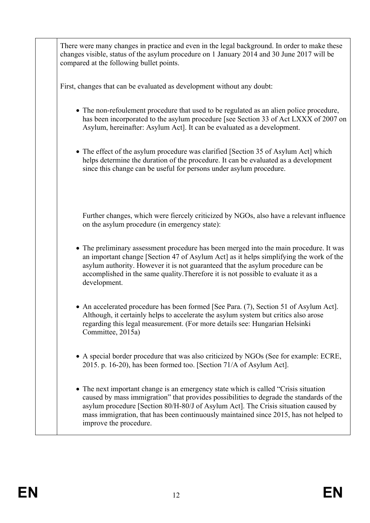There were many changes in practice and even in the legal background. In order to make these changes visible, status of the asylum procedure on 1 January 2014 and 30 June 2017 will be compared at the following bullet points.

First, changes that can be evaluated as development without any doubt:

- The non-refoulement procedure that used to be regulated as an alien police procedure, has been incorporated to the asylum procedure [see Section 33 of Act LXXX of 2007 on Asylum, hereinafter: Asylum Act]. It can be evaluated as a development.
- The effect of the asylum procedure was clarified [Section 35 of Asylum Act] which helps determine the duration of the procedure. It can be evaluated as a development since this change can be useful for persons under asylum procedure.

Further changes, which were fiercely criticized by NGOs, also have a relevant influence on the asylum procedure (in emergency state):

- The preliminary assessment procedure has been merged into the main procedure. It was an important change [Section 47 of Asylum Act] as it helps simplifying the work of the asylum authority. However it is not guaranteed that the asylum procedure can be accomplished in the same quality.Therefore it is not possible to evaluate it as a development.
- An accelerated procedure has been formed [See Para. (7), Section 51 of Asylum Act]. Although, it certainly helps to accelerate the asylum system but critics also arose regarding this legal measurement. (For more details see: Hungarian Helsinki Committee, 2015a)
- A special border procedure that was also criticized by NGOs (See for example: ECRE, 2015. p. 16-20), has been formed too. [Section 71/A of Asylum Act].
- The next important change is an emergency state which is called "Crisis situation" caused by mass immigration" that provides possibilities to degrade the standards of the asylum procedure [Section 80/H-80/J of Asylum Act]. The Crisis situation caused by mass immigration, that has been continuously maintained since 2015, has not helped to improve the procedure.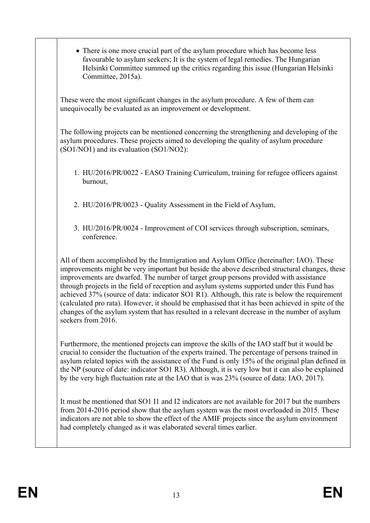• There is one more crucial part of the asylum procedure which has become less favourable to asylum seekers; It is the system of legal remedies. The Hungarian Helsinki Committee summed up the critics regarding this issue (Hungarian Helsinki Committee, 2015a).

These were the most significant changes in the asylum procedure. A few of them can unequivocally be evaluated as an improvement or development.

The following projects can be mentioned concerning the strengthening and developing of the asylum procedures. These projects aimed to developing the quality of asylum procedure (SO1/NO1) and its evaluation (SO1/NO2):

- 1. HU/2016/PR/0022 EASO Training Curriculum, training for refugee officers against burnout,
- 2. HU/2016/PR/0023 Quality Assessment in the Field of Asylum,
- 3. HU/2016/PR/0024 Improvement of COI services through subscription, seminars, conference.

All of them accomplished by the Immigration and Asylum Office (hereinafter: IAO). These improvements might be very important but beside the above described structural changes, these improvements are dwarfed. The number of target group persons provided with assistance through projects in the field of reception and asylum systems supported under this Fund has achieved 37% (source of data: indicator SO1 R1). Although, this rate is below the requirement (calculated pro rata). However, it should be emphasised that it has been achieved in spite of the changes of the asylum system that has resulted in a relevant decrease in the number of asylum seekers from 2016.

Furthermore, the mentioned projects can improve the skills of the IAO staff but it would be crucial to consider the fluctuation of the experts trained. The percentage of persons trained in asylum related topics with the assistance of the Fund is only 15% of the original plan defined in the NP (source of date: indicator SO1 R3). Although, it is very low but it can also be explained by the very high fluctuation rate at the IAO that is was 23% (source of data: IAO, 2017).

It must be mentioned that SO1 I1 and I2 indicators are not available for 2017 but the numbers from 2014-2016 period show that the asylum system was the most overloaded in 2015. These indicators are not able to show the effect of the AMIF projects since the asylum environment had completely changed as it was elaborated several times earlier.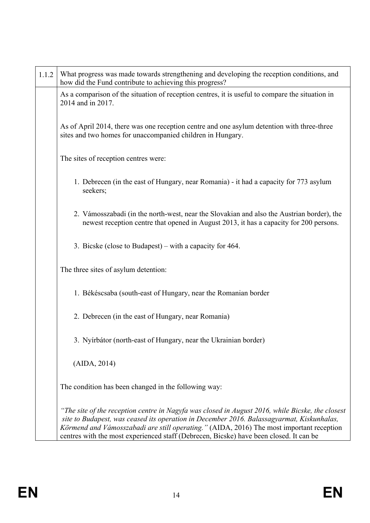| 1.1.2 | What progress was made towards strengthening and developing the reception conditions, and<br>how did the Fund contribute to achieving this progress?                                                                                                                                                                                                                                |
|-------|-------------------------------------------------------------------------------------------------------------------------------------------------------------------------------------------------------------------------------------------------------------------------------------------------------------------------------------------------------------------------------------|
|       | As a comparison of the situation of reception centres, it is useful to compare the situation in<br>2014 and in 2017.                                                                                                                                                                                                                                                                |
|       | As of April 2014, there was one reception centre and one asylum detention with three-three<br>sites and two homes for unaccompanied children in Hungary.                                                                                                                                                                                                                            |
|       | The sites of reception centres were:                                                                                                                                                                                                                                                                                                                                                |
|       | 1. Debrecen (in the east of Hungary, near Romania) - it had a capacity for 773 asylum<br>seekers;                                                                                                                                                                                                                                                                                   |
|       | 2. Vámosszabadi (in the north-west, near the Slovakian and also the Austrian border), the<br>newest reception centre that opened in August 2013, it has a capacity for 200 persons.                                                                                                                                                                                                 |
|       | 3. Bicske (close to Budapest) – with a capacity for $464$ .                                                                                                                                                                                                                                                                                                                         |
|       | The three sites of asylum detention:                                                                                                                                                                                                                                                                                                                                                |
|       | 1. Békéscsaba (south-east of Hungary, near the Romanian border                                                                                                                                                                                                                                                                                                                      |
|       | 2. Debrecen (in the east of Hungary, near Romania)                                                                                                                                                                                                                                                                                                                                  |
|       | 3. Nyírbátor (north-east of Hungary, near the Ukrainian border)                                                                                                                                                                                                                                                                                                                     |
|       | (AIDA, 2014)                                                                                                                                                                                                                                                                                                                                                                        |
|       | The condition has been changed in the following way:                                                                                                                                                                                                                                                                                                                                |
|       | "The site of the reception centre in Nagyfa was closed in August 2016, while Bicske, the closest<br>site to Budapest, was ceased its operation in December 2016. Balassagyarmat, Kiskunhalas,<br>Körmend and Vámosszabadi are still operating." (AIDA, 2016) The most important reception<br>centres with the most experienced staff (Debrecen, Bicske) have been closed. It can be |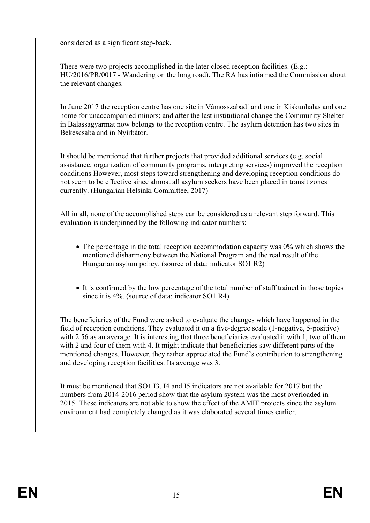considered as a significant step-back.

There were two projects accomplished in the later closed reception facilities. (E.g.: HU/2016/PR/0017 - Wandering on the long road). The RA has informed the Commission about the relevant changes.

In June 2017 the reception centre has one site in Vámosszabadi and one in Kiskunhalas and one home for unaccompanied minors; and after the last institutional change the Community Shelter in Balassagyarmat now belongs to the reception centre. The asylum detention has two sites in Békéscsaba and in Nyírbátor.

It should be mentioned that further projects that provided additional services (e.g. social assistance, organization of community programs, interpreting services) improved the reception conditions However, most steps toward strengthening and developing reception conditions do not seem to be effective since almost all asylum seekers have been placed in transit zones currently. (Hungarian Helsinki Committee, 2017)

All in all, none of the accomplished steps can be considered as a relevant step forward. This evaluation is underpinned by the following indicator numbers:

- The percentage in the total reception accommodation capacity was 0% which shows the mentioned disharmony between the National Program and the real result of the Hungarian asylum policy. (source of data: indicator SO1 R2)
- It is confirmed by the low percentage of the total number of staff trained in those topics since it is 4%. (source of data: indicator SO1 R4)

The beneficiaries of the Fund were asked to evaluate the changes which have happened in the field of reception conditions. They evaluated it on a five-degree scale (1-negative, 5-positive) with 2.56 as an average. It is interesting that three beneficiaries evaluated it with 1, two of them with 2 and four of them with 4. It might indicate that beneficiaries saw different parts of the mentioned changes. However, they rather appreciated the Fund's contribution to strengthening and developing reception facilities. Its average was 3.

It must be mentioned that SO1 I3, I4 and I5 indicators are not available for 2017 but the numbers from 2014-2016 period show that the asylum system was the most overloaded in 2015. These indicators are not able to show the effect of the AMIF projects since the asylum environment had completely changed as it was elaborated several times earlier.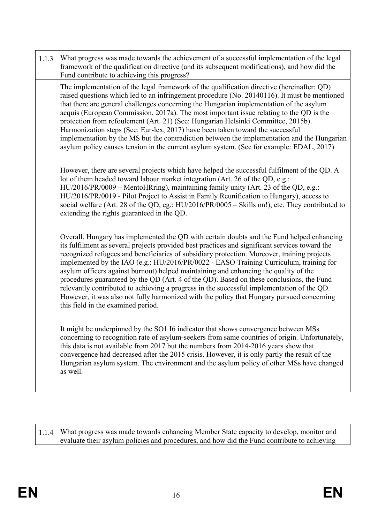| 1.1.3 | What progress was made towards the achievement of a successful implementation of the legal<br>framework of the qualification directive (and its subsequent modifications), and how did the<br>Fund contribute to achieving this progress?                                                                                                                                                                                                                                                                                                                                                                                                                                                                                                                                                                 |
|-------|-----------------------------------------------------------------------------------------------------------------------------------------------------------------------------------------------------------------------------------------------------------------------------------------------------------------------------------------------------------------------------------------------------------------------------------------------------------------------------------------------------------------------------------------------------------------------------------------------------------------------------------------------------------------------------------------------------------------------------------------------------------------------------------------------------------|
|       | The implementation of the legal framework of the qualification directive (hereinafter: QD)<br>raised questions which led to an infringement procedure (No. 20140116). It must be mentioned<br>that there are general challenges concerning the Hungarian implementation of the asylum<br>acquis (European Commission, 2017a). The most important issue relating to the QD is the<br>protection from refoulement (Art. 21) (See: Hungarian Helsinki Committee, 2015b).<br>Harmonization steps (See: Eur-lex, 2017) have been taken toward the successful<br>implementation by the MS but the contradiction between the implementation and the Hungarian<br>asylum policy causes tension in the current asylum system. (See for example: EDAL, 2017)                                                        |
|       | However, there are several projects which have helped the successful fulfilment of the QD. A<br>lot of them headed toward labour market integration (Art. 26 of the QD, e.g.:<br>HU/2016/PR/0009 – MentoHRring), maintaining family unity (Art. 23 of the QD, e.g.:<br>HU/2016/PR/0019 - Pilot Project to Assist in Family Reunification to Hungary), access to<br>social welfare (Art. 28 of the QD, eg.: HU/2016/PR/0005 - Skills on!), etc. They contributed to<br>extending the rights guaranteed in the QD.                                                                                                                                                                                                                                                                                          |
|       | Overall, Hungary has implemented the QD with certain doubts and the Fund helped enhancing<br>its fulfilment as several projects provided best practices and significant services toward the<br>recognized refugees and beneficiaries of subsidiary protection. Moreover, training projects<br>implemented by the IAO (e.g.: HU/2016/PR/0022 - EASO Training Curriculum, training for<br>asylum officers against burnout) helped maintaining and enhancing the quality of the<br>procedures guaranteed by the QD (Art. 4 of the QD). Based on these conclusions, the Fund<br>relevantly contributed to achieving a progress in the successful implementation of the QD.<br>However, it was also not fully harmonized with the policy that Hungary pursued concerning<br>this field in the examined period. |
|       | It might be underpinned by the SO1 I6 indicator that shows convergence between MSs<br>concerning to recognition rate of asylum-seekers from same countries of origin. Unfortunately,<br>this data is not available from 2017 but the numbers from 2014-2016 years show that<br>convergence had decreased after the 2015 crisis. However, it is only partly the result of the<br>Hungarian asylum system. The environment and the asylum policy of other MSs have changed<br>as well.                                                                                                                                                                                                                                                                                                                      |

| 1.1.4 What progress was made towards enhancing Member State capacity to develop, monitor and |
|----------------------------------------------------------------------------------------------|
| evaluate their asylum policies and procedures, and how did the Fund contribute to achieving  |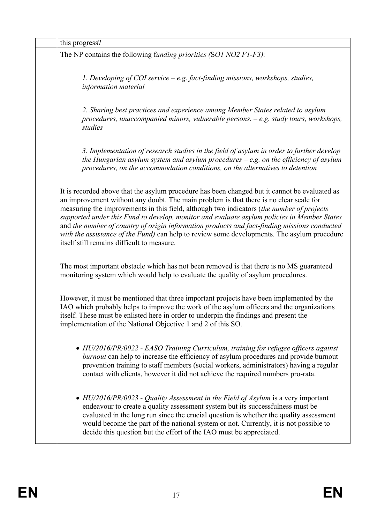| this progress?                                                                                                                                                                                                                                                                                                                                                                                                                                                                                                                                                                                                                   |
|----------------------------------------------------------------------------------------------------------------------------------------------------------------------------------------------------------------------------------------------------------------------------------------------------------------------------------------------------------------------------------------------------------------------------------------------------------------------------------------------------------------------------------------------------------------------------------------------------------------------------------|
| The NP contains the following funding priorities (SO1 NO2 F1-F3):                                                                                                                                                                                                                                                                                                                                                                                                                                                                                                                                                                |
| 1. Developing of COI service $-e.g.$ fact-finding missions, workshops, studies,<br>information material                                                                                                                                                                                                                                                                                                                                                                                                                                                                                                                          |
| 2. Sharing best practices and experience among Member States related to asylum<br>procedures, unaccompanied minors, vulnerable persons. $-e.g.$ study tours, workshops,<br>studies                                                                                                                                                                                                                                                                                                                                                                                                                                               |
| 3. Implementation of research studies in the field of asylum in order to further develop<br>the Hungarian asylum system and asylum procedures $-e.g.$ on the efficiency of asylum<br>procedures, on the accommodation conditions, on the alternatives to detention                                                                                                                                                                                                                                                                                                                                                               |
| It is recorded above that the asylum procedure has been changed but it cannot be evaluated as<br>an improvement without any doubt. The main problem is that there is no clear scale for<br>measuring the improvements in this field, although two indicators (the number of projects<br>supported under this Fund to develop, monitor and evaluate asylum policies in Member States<br>and the number of country of origin information products and fact-finding missions conducted<br>with the assistance of the Fund) can help to review some developments. The asylum procedure<br>itself still remains difficult to measure. |
| The most important obstacle which has not been removed is that there is no MS guaranteed<br>monitoring system which would help to evaluate the quality of asylum procedures.                                                                                                                                                                                                                                                                                                                                                                                                                                                     |
| However, it must be mentioned that three important projects have been implemented by the<br>IAO which probably helps to improve the work of the asylum officers and the organizations<br>itself. These must be enlisted here in order to underpin the findings and present the<br>implementation of the National Objective 1 and 2 of this SO.                                                                                                                                                                                                                                                                                   |
| • HU/2016/PR/0022 - EASO Training Curriculum, training for refugee officers against<br>burnout can help to increase the efficiency of asylum procedures and provide burnout<br>prevention training to staff members (social workers, administrators) having a regular<br>contact with clients, however it did not achieve the required numbers pro-rata.                                                                                                                                                                                                                                                                         |
| • $HU/2016/PR/0023$ - Quality Assessment in the Field of Asylum is a very important<br>endeavour to create a quality assessment system but its successfulness must be<br>evaluated in the long run since the crucial question is whether the quality assessment<br>would become the part of the national system or not. Currently, it is not possible to<br>decide this question but the effort of the IAO must be appreciated.                                                                                                                                                                                                  |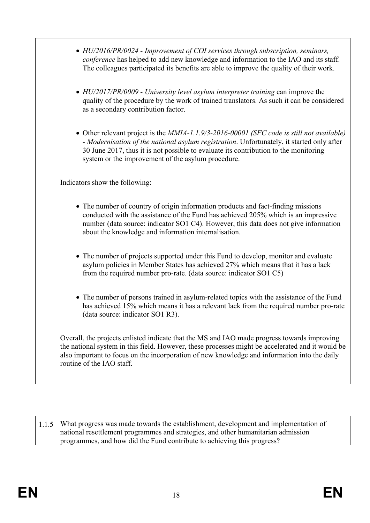| $\bullet$ HU/2016/PR/0024 - Improvement of COI services through subscription, seminars,<br>conference has helped to add new knowledge and information to the IAO and its staff.<br>The colleagues participated its benefits are able to improve the quality of their work.                                                           |
|--------------------------------------------------------------------------------------------------------------------------------------------------------------------------------------------------------------------------------------------------------------------------------------------------------------------------------------|
| • HU/2017/PR/0009 - University level asylum interpreter training can improve the<br>quality of the procedure by the work of trained translators. As such it can be considered<br>as a secondary contribution factor.                                                                                                                 |
| • Other relevant project is the MMIA-1.1.9/3-2016-00001 (SFC code is still not available)<br>- Modernisation of the national asylum registration. Unfortunately, it started only after<br>30 June 2017, thus it is not possible to evaluate its contribution to the monitoring<br>system or the improvement of the asylum procedure. |
| Indicators show the following:                                                                                                                                                                                                                                                                                                       |
| • The number of country of origin information products and fact-finding missions<br>conducted with the assistance of the Fund has achieved 205% which is an impressive<br>number (data source: indicator SO1 C4). However, this data does not give information<br>about the knowledge and information internalisation.               |
| • The number of projects supported under this Fund to develop, monitor and evaluate<br>asylum policies in Member States has achieved 27% which means that it has a lack<br>from the required number pro-rate. (data source: indicator SO1 C5)                                                                                        |
| • The number of persons trained in asylum-related topics with the assistance of the Fund<br>has achieved 15% which means it has a relevant lack from the required number pro-rate<br>(data source: indicator SO1 R3).                                                                                                                |
| Overall, the projects enlisted indicate that the MS and IAO made progress towards improving<br>the national system in this field. However, these processes might be accelerated and it would be<br>also important to focus on the incorporation of new knowledge and information into the daily<br>routine of the IAO staff.         |

| $\vert$ 1.1.5 What progress was made towards the establishment, development and implementation of |
|---------------------------------------------------------------------------------------------------|
| national resettlement programmes and strategies, and other humanitarian admission                 |
| programmes, and how did the Fund contribute to achieving this progress?                           |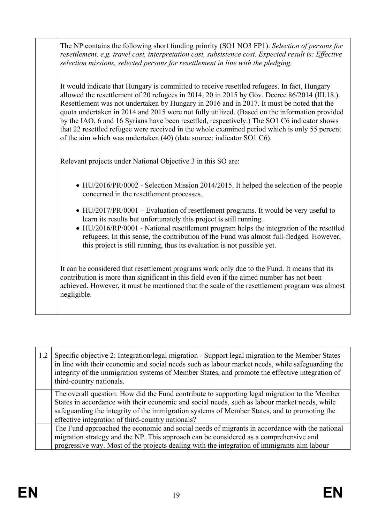| The NP contains the following short funding priority (SO1 NO3 FP1): Selection of persons for<br>resettlement, e.g. travel cost, interpretation cost, subsistence cost. Expected result is: Effective<br>selection missions, selected persons for resettlement in line with the pledging.                                                                                                                                                                                                                                                                                                                                                                            |
|---------------------------------------------------------------------------------------------------------------------------------------------------------------------------------------------------------------------------------------------------------------------------------------------------------------------------------------------------------------------------------------------------------------------------------------------------------------------------------------------------------------------------------------------------------------------------------------------------------------------------------------------------------------------|
| It would indicate that Hungary is committed to receive resettled refugees. In fact, Hungary<br>allowed the resettlement of 20 refugees in 2014, 20 in 2015 by Gov. Decree 86/2014 (III.18.).<br>Resettlement was not undertaken by Hungary in 2016 and in 2017. It must be noted that the<br>quota undertaken in 2014 and 2015 were not fully utilized. (Based on the information provided<br>by the IAO, 6 and 16 Syrians have been resettled, respectively.) The SO1 C6 indicator shows<br>that 22 resettled refugee were received in the whole examined period which is only 55 percent<br>of the aim which was undertaken (40) (data source: indicator SO1 C6). |
| Relevant projects under National Objective 3 in this SO are:                                                                                                                                                                                                                                                                                                                                                                                                                                                                                                                                                                                                        |
| • HU/2016/PR/0002 - Selection Mission 2014/2015. It helped the selection of the people<br>concerned in the resettlement processes.                                                                                                                                                                                                                                                                                                                                                                                                                                                                                                                                  |
| $\bullet$ HU/2017/PR/0001 – Evaluation of resettlement programs. It would be very useful to<br>learn its results but unfortunately this project is still running.<br>• HU/2016/RP/0001 - National resettlement program helps the integration of the resettled<br>refugees. In this sense, the contribution of the Fund was almost full-fledged. However,<br>this project is still running, thus its evaluation is not possible yet.                                                                                                                                                                                                                                 |
| It can be considered that resettlement programs work only due to the Fund. It means that its<br>contribution is more than significant in this field even if the aimed number has not been<br>achieved. However, it must be mentioned that the scale of the resettlement program was almost<br>negligible.                                                                                                                                                                                                                                                                                                                                                           |
|                                                                                                                                                                                                                                                                                                                                                                                                                                                                                                                                                                                                                                                                     |

| 1.2 | Specific objective 2: Integration/legal migration - Support legal migration to the Member States<br>in line with their economic and social needs such as labour market needs, while safeguarding the<br>integrity of the immigration systems of Member States, and promote the effective integration of<br>third-country nationals.                 |
|-----|-----------------------------------------------------------------------------------------------------------------------------------------------------------------------------------------------------------------------------------------------------------------------------------------------------------------------------------------------------|
|     | The overall question: How did the Fund contribute to supporting legal migration to the Member<br>States in accordance with their economic and social needs, such as labour market needs, while<br>safeguarding the integrity of the immigration systems of Member States, and to promoting the<br>effective integration of third-country nationals? |
|     | The Fund approached the economic and social needs of migrants in accordance with the national<br>migration strategy and the NP. This approach can be considered as a comprehensive and<br>progressive way. Most of the projects dealing with the integration of immigrants aim labour                                                               |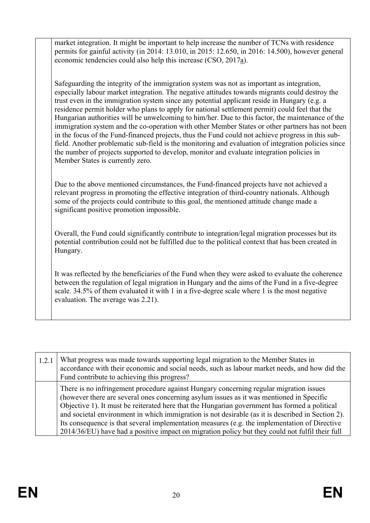market integration. It might be important to help increase the number of TCNs with residence permits for gainful activity (in 2014: 13.010, in 2015: 12.650, in 2016: 14.500), however general economic tendencies could also help this increase (CSO, 2017a).

Safeguarding the integrity of the immigration system was not as important as integration, especially labour market integration. The negative attitudes towards migrants could destroy the trust even in the immigration system since any potential applicant reside in Hungary (e.g. a residence permit holder who plans to apply for national settlement permit) could feel that the Hungarian authorities will be unwelcoming to him/her. Due to this factor, the maintenance of the immigration system and the co-operation with other Member States or other partners has not been in the focus of the Fund-financed projects, thus the Fund could not achieve progress in this subfield. Another problematic sub-field is the monitoring and evaluation of integration policies since the number of projects supported to develop, monitor and evaluate integration policies in Member States is currently zero.

Due to the above mentioned circumstances, the Fund-financed projects have not achieved a relevant progress in promoting the effective integration of third-country nationals. Although some of the projects could contribute to this goal, the mentioned attitude change made a significant positive promotion impossible.

Overall, the Fund could significantly contribute to integration/legal migration processes but its potential contribution could not be fulfilled due to the political context that has been created in Hungary.

It was reflected by the beneficiaries of the Fund when they were asked to evaluate the coherence between the regulation of legal migration in Hungary and the aims of the Fund in a five-degree scale. 34.5% of them evaluated it with 1 in a five-degree scale where 1 is the most negative evaluation. The average was 2.21).

| 1.2.1 | What progress was made towards supporting legal migration to the Member States in<br>accordance with their economic and social needs, such as labour market needs, and how did the<br>Fund contribute to achieving this progress?                                                                                                                                                                                                                                                                                                                                                            |
|-------|----------------------------------------------------------------------------------------------------------------------------------------------------------------------------------------------------------------------------------------------------------------------------------------------------------------------------------------------------------------------------------------------------------------------------------------------------------------------------------------------------------------------------------------------------------------------------------------------|
|       | There is no infringement procedure against Hungary concerning regular migration issues<br>(however there are several ones concerning asylum issues as it was mentioned in Specific<br>Objective 1). It must be reiterated here that the Hungarian government has formed a political<br>and societal environment in which immigration is not desirable (as it is described in Section 2).<br>Its consequence is that several implementation measures (e.g. the implementation of Directive<br>2014/36/EU) have had a positive impact on migration policy but they could not fulfil their full |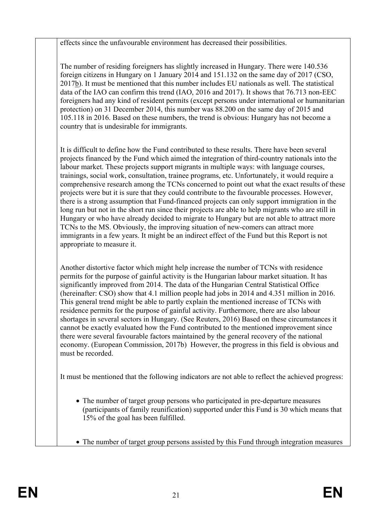effects since the unfavourable environment has decreased their possibilities.

The number of residing foreigners has slightly increased in Hungary. There were 140.536 foreign citizens in Hungary on 1 January 2014 and 151.132 on the same day of 2017 (CSO, 2017b). It must be mentioned that this number includes EU nationals as well. The statistical data of the IAO can confirm this trend (IAO, 2016 and 2017). It shows that 76.713 non-EEC foreigners had any kind of resident permits (except persons under international or humanitarian protection) on 31 December 2014, this number was 88.200 on the same day of 2015 and 105.118 in 2016. Based on these numbers, the trend is obvious: Hungary has not become a country that is undesirable for immigrants.

It is difficult to define how the Fund contributed to these results. There have been several projects financed by the Fund which aimed the integration of third-country nationals into the labour market. These projects support migrants in multiple ways: with language courses, trainings, social work, consultation, trainee programs, etc. Unfortunately, it would require a comprehensive research among the TCNs concerned to point out what the exact results of these projects were but it is sure that they could contribute to the favourable processes. However, there is a strong assumption that Fund-financed projects can only support immigration in the long run but not in the short run since their projects are able to help migrants who are still in Hungary or who have already decided to migrate to Hungary but are not able to attract more TCNs to the MS. Obviously, the improving situation of new-comers can attract more immigrants in a few years. It might be an indirect effect of the Fund but this Report is not appropriate to measure it.

Another distortive factor which might help increase the number of TCNs with residence permits for the purpose of gainful activity is the Hungarian labour market situation. It has significantly improved from 2014. The data of the Hungarian Central Statistical Office (hereinafter: CSO) show that 4.1 million people had jobs in 2014 and 4.351 million in 2016. This general trend might be able to partly explain the mentioned increase of TCNs with residence permits for the purpose of gainful activity. Furthermore, there are also labour shortages in several sectors in Hungary. (See Reuters, 2016) Based on these circumstances it cannot be exactly evaluated how the Fund contributed to the mentioned improvement since there were several favourable factors maintained by the general recovery of the national economy. (European Commission, 2017b) However, the progress in this field is obvious and must be recorded.

It must be mentioned that the following indicators are not able to reflect the achieved progress:

- The number of target group persons who participated in pre-departure measures (participants of family reunification) supported under this Fund is 30 which means that 15% of the goal has been fulfilled.
- The number of target group persons assisted by this Fund through integration measures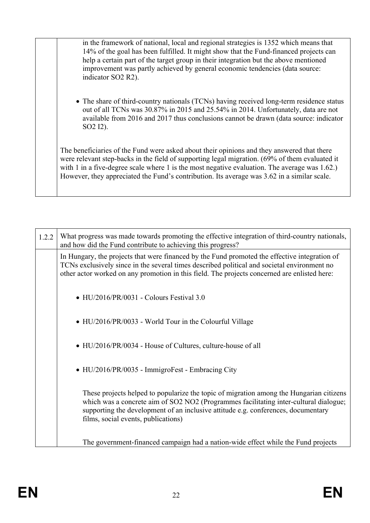| in the framework of national, local and regional strategies is 1352 which means that<br>14% of the goal has been fulfilled. It might show that the Fund-financed projects can<br>help a certain part of the target group in their integration but the above mentioned<br>improvement was partly achieved by general economic tendencies (data source:<br>indicator SO2 R2).                  |
|----------------------------------------------------------------------------------------------------------------------------------------------------------------------------------------------------------------------------------------------------------------------------------------------------------------------------------------------------------------------------------------------|
| • The share of third-country nationals (TCNs) having received long-term residence status<br>out of all TCNs was 30.87% in 2015 and 25.54% in 2014. Unfortunately, data are not<br>available from 2016 and 2017 thus conclusions cannot be drawn (data source: indicator<br>SO <sub>2</sub> I <sub>2</sub> ).                                                                                 |
| The beneficiaries of the Fund were asked about their opinions and they answered that there<br>were relevant step-backs in the field of supporting legal migration. (69% of them evaluated it<br>with 1 in a five-degree scale where 1 is the most negative evaluation. The average was 1.62.)<br>However, they appreciated the Fund's contribution. Its average was 3.62 in a similar scale. |

| 1.2.2 | What progress was made towards promoting the effective integration of third-country nationals,<br>and how did the Fund contribute to achieving this progress?                                                                                                                                                |
|-------|--------------------------------------------------------------------------------------------------------------------------------------------------------------------------------------------------------------------------------------------------------------------------------------------------------------|
|       | In Hungary, the projects that were financed by the Fund promoted the effective integration of<br>TCNs exclusively since in the several times described political and societal environment no<br>other actor worked on any promotion in this field. The projects concerned are enlisted here:                 |
|       | $\bullet$ HU/2016/PR/0031 - Colours Festival 3.0                                                                                                                                                                                                                                                             |
|       | • HU/2016/PR/0033 - World Tour in the Colourful Village                                                                                                                                                                                                                                                      |
|       | • HU/2016/PR/0034 - House of Cultures, culture-house of all                                                                                                                                                                                                                                                  |
|       | • HU/2016/PR/0035 - ImmigroFest - Embracing City                                                                                                                                                                                                                                                             |
|       | These projects helped to popularize the topic of migration among the Hungarian citizens<br>which was a concrete aim of SO2 NO2 (Programmes facilitating inter-cultural dialogue;<br>supporting the development of an inclusive attitude e.g. conferences, documentary<br>films, social events, publications) |
|       | The government-financed campaign had a nation-wide effect while the Fund projects                                                                                                                                                                                                                            |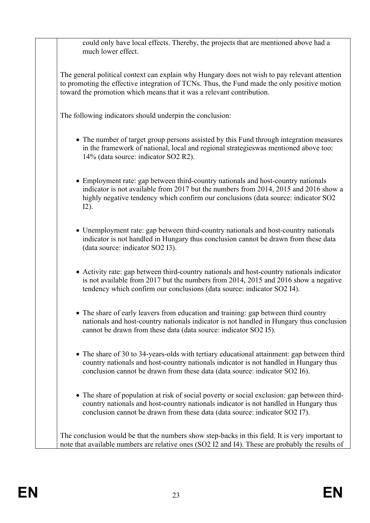could only have local effects. Thereby, the projects that are mentioned above had a much lower effect.

The general political context can explain why Hungary does not wish to pay relevant attention to promoting the effective integration of TCNs. Thus, the Fund made the only positive motion toward the promotion which means that it was a relevant contribution.

The following indicators should underpin the conclusion:

- The number of target group persons assisted by this Fund through integration measures in the framework of national, local and regional strategieswas mentioned above too: 14% (data source: indicator SO2 R2).
- Employment rate: gap between third-country nationals and host-country nationals indicator is not available from 2017 but the numbers from 2014, 2015 and 2016 show a highly negative tendency which confirm our conclusions (data source: indicator SO2 I2).
- Unemployment rate: gap between third-country nationals and host-country nationals indicator is not handled in Hungary thus conclusion cannot be drawn from these data (data source: indicator SO2 I3).
- Activity rate: gap between third-country nationals and host-country nationals indicator is not available from 2017 but the numbers from 2014, 2015 and 2016 show a negative tendency which confirm our conclusions (data source: indicator SO2 I4).
- The share of early leavers from education and training: gap between third country nationals and host-country nationals indicator is not handled in Hungary thus conclusion cannot be drawn from these data (data source: indicator SO2 I5).
- The share of 30 to 34-years-olds with tertiary educational attainment: gap between third country nationals and host-country nationals indicator is not handled in Hungary thus conclusion cannot be drawn from these data (data source: indicator SO2 I6).
- The share of population at risk of social poverty or social exclusion: gap between thirdcountry nationals and host-country nationals indicator is not handled in Hungary thus conclusion cannot be drawn from these data (data source: indicator SO2 I7).

The conclusion would be that the numbers show step-backs in this field. It is very important to note that available numbers are relative ones (SO2 I2 and I4). These are probably the results of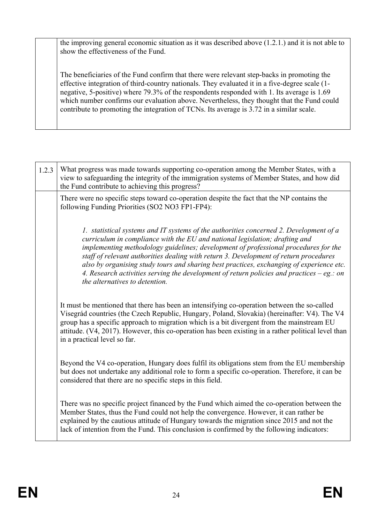the improving general economic situation as it was described above (1.2.1.) and it is not able to show the effectiveness of the Fund.

The beneficiaries of the Fund confirm that there were relevant step-backs in promoting the effective integration of third-country nationals. They evaluated it in a five-degree scale (1 negative, 5-positive) where 79.3% of the respondents responded with 1. Its average is 1.69 which number confirms our evaluation above. Nevertheless, they thought that the Fund could contribute to promoting the integration of TCNs. Its average is 3.72 in a similar scale.

| 1.2.3 | What progress was made towards supporting co-operation among the Member States, with a<br>view to safeguarding the integrity of the immigration systems of Member States, and how did<br>the Fund contribute to achieving this progress?                                                                                                                                                                                                                                                                                                                                           |
|-------|------------------------------------------------------------------------------------------------------------------------------------------------------------------------------------------------------------------------------------------------------------------------------------------------------------------------------------------------------------------------------------------------------------------------------------------------------------------------------------------------------------------------------------------------------------------------------------|
|       | There were no specific steps toward co-operation despite the fact that the NP contains the<br>following Funding Priorities (SO2 NO3 FP1-FP4):                                                                                                                                                                                                                                                                                                                                                                                                                                      |
|       | 1. statistical systems and IT systems of the authorities concerned 2. Development of a<br>curriculum in compliance with the EU and national legislation; drafting and<br>implementing methodology guidelines; development of professional procedures for the<br>staff of relevant authorities dealing with return 3. Development of return procedures<br>also by organising study tours and sharing best practices, exchanging of experience etc.<br>4. Research activities serving the development of return policies and practices $-e.g.:$ on<br>the alternatives to detention. |
|       | It must be mentioned that there has been an intensifying co-operation between the so-called<br>Visegrád countries (the Czech Republic, Hungary, Poland, Slovakia) (hereinafter: V4). The V4<br>group has a specific approach to migration which is a bit divergent from the mainstream EU<br>attitude. (V4, 2017). However, this co-operation has been existing in a rather political level than<br>in a practical level so far.                                                                                                                                                   |
|       | Beyond the V4 co-operation, Hungary does fulfil its obligations stem from the EU membership<br>but does not undertake any additional role to form a specific co-operation. Therefore, it can be<br>considered that there are no specific steps in this field.                                                                                                                                                                                                                                                                                                                      |
|       | There was no specific project financed by the Fund which aimed the co-operation between the<br>Member States, thus the Fund could not help the convergence. However, it can rather be<br>explained by the cautious attitude of Hungary towards the migration since 2015 and not the<br>lack of intention from the Fund. This conclusion is confirmed by the following indicators:                                                                                                                                                                                                  |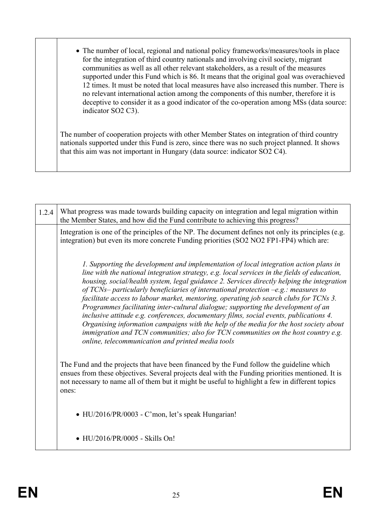The number of local, regional and national policy frameworks/measures/tools in place for the integration of third country nationals and involving civil society, migrant communities as well as all other relevant stakeholders, as a result of the measures supported under this Fund which is 86. It means that the original goal was overachieved 12 times. It must be noted that local measures have also increased this number. There is no relevant international action among the components of this number, therefore it is deceptive to consider it as a good indicator of the co-operation among MSs (data source: indicator SO2 C3).

The number of cooperation projects with other Member States on integration of third country nationals supported under this Fund is zero, since there was no such project planned. It shows that this aim was not important in Hungary (data source: indicator SO2 C4).

| 1.2.4 | What progress was made towards building capacity on integration and legal migration within<br>the Member States, and how did the Fund contribute to achieving this progress?                                                                                                                                                                                                                                                                                                                                                                                                                                                                                                                                                                                                                                                                                                             |
|-------|------------------------------------------------------------------------------------------------------------------------------------------------------------------------------------------------------------------------------------------------------------------------------------------------------------------------------------------------------------------------------------------------------------------------------------------------------------------------------------------------------------------------------------------------------------------------------------------------------------------------------------------------------------------------------------------------------------------------------------------------------------------------------------------------------------------------------------------------------------------------------------------|
|       | Integration is one of the principles of the NP. The document defines not only its principles (e.g.<br>integration) but even its more concrete Funding priorities (SO2 NO2 FP1-FP4) which are:                                                                                                                                                                                                                                                                                                                                                                                                                                                                                                                                                                                                                                                                                            |
|       | 1. Supporting the development and implementation of local integration action plans in<br>line with the national integration strategy, e.g. local services in the fields of education,<br>housing, social/health system, legal guidance 2. Services directly helping the integration<br>of TCNs– particularly beneficiaries of international protection $-e.g.:$ measures to<br>facilitate access to labour market, mentoring, operating job search clubs for TCNs 3.<br>Programmes facilitating inter-cultural dialogue; supporting the development of an<br>inclusive attitude e.g. conferences, documentary films, social events, publications 4.<br>Organising information campaigns with the help of the media for the host society about<br>immigration and TCN communities; also for TCN communities on the host country e.g.<br>online, telecommunication and printed media tools |
|       | The Fund and the projects that have been financed by the Fund follow the guideline which<br>ensues from these objectives. Several projects deal with the Funding priorities mentioned. It is<br>not necessary to name all of them but it might be useful to highlight a few in different topics<br>ones:                                                                                                                                                                                                                                                                                                                                                                                                                                                                                                                                                                                 |
|       | • HU/2016/PR/0003 - C'mon, let's speak Hungarian!                                                                                                                                                                                                                                                                                                                                                                                                                                                                                                                                                                                                                                                                                                                                                                                                                                        |
|       | • HU/2016/PR/0005 - Skills On!                                                                                                                                                                                                                                                                                                                                                                                                                                                                                                                                                                                                                                                                                                                                                                                                                                                           |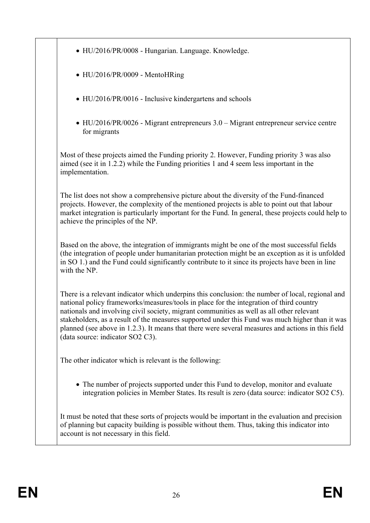| • HU/2016/PR/0008 - Hungarian. Language. Knowledge.                                                                                                                                                                                                                                                                                                                                                                                                                                                                                 |
|-------------------------------------------------------------------------------------------------------------------------------------------------------------------------------------------------------------------------------------------------------------------------------------------------------------------------------------------------------------------------------------------------------------------------------------------------------------------------------------------------------------------------------------|
| $\bullet$ HU/2016/PR/0009 - MentoHRing                                                                                                                                                                                                                                                                                                                                                                                                                                                                                              |
| • HU/2016/PR/0016 - Inclusive kindergartens and schools                                                                                                                                                                                                                                                                                                                                                                                                                                                                             |
| $\bullet$ HU/2016/PR/0026 - Migrant entrepreneurs 3.0 – Migrant entrepreneur service centre<br>for migrants                                                                                                                                                                                                                                                                                                                                                                                                                         |
| Most of these projects aimed the Funding priority 2. However, Funding priority 3 was also<br>aimed (see it in 1.2.2) while the Funding priorities 1 and 4 seem less important in the<br>implementation.                                                                                                                                                                                                                                                                                                                             |
| The list does not show a comprehensive picture about the diversity of the Fund-financed<br>projects. However, the complexity of the mentioned projects is able to point out that labour<br>market integration is particularly important for the Fund. In general, these projects could help to<br>achieve the principles of the NP.                                                                                                                                                                                                 |
| Based on the above, the integration of immigrants might be one of the most successful fields<br>(the integration of people under humanitarian protection might be an exception as it is unfolded<br>in SO 1.) and the Fund could significantly contribute to it since its projects have been in line<br>with the NP.                                                                                                                                                                                                                |
| There is a relevant indicator which underpins this conclusion: the number of local, regional and<br>national policy frameworks/measures/tools in place for the integration of third country<br>nationals and involving civil society, migrant communities as well as all other relevant<br>stakeholders, as a result of the measures supported under this Fund was much higher than it was<br>planned (see above in 1.2.3). It means that there were several measures and actions in this field<br>(data source: indicator SO2 C3). |
| The other indicator which is relevant is the following:                                                                                                                                                                                                                                                                                                                                                                                                                                                                             |
| • The number of projects supported under this Fund to develop, monitor and evaluate<br>integration policies in Member States. Its result is zero (data source: indicator SO2 C5).                                                                                                                                                                                                                                                                                                                                                   |
| It must be noted that these sorts of projects would be important in the evaluation and precision<br>of planning but capacity building is possible without them. Thus, taking this indicator into<br>account is not necessary in this field.                                                                                                                                                                                                                                                                                         |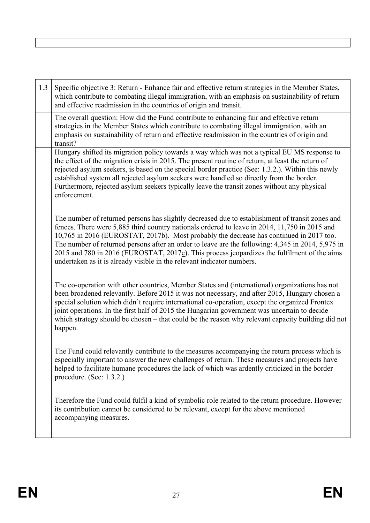| 1.3 | Specific objective 3: Return - Enhance fair and effective return strategies in the Member States,<br>which contribute to combating illegal immigration, with an emphasis on sustainability of return<br>and effective readmission in the countries of origin and transit.                                                                                                                                                                                                                                                                                                 |
|-----|---------------------------------------------------------------------------------------------------------------------------------------------------------------------------------------------------------------------------------------------------------------------------------------------------------------------------------------------------------------------------------------------------------------------------------------------------------------------------------------------------------------------------------------------------------------------------|
|     | The overall question: How did the Fund contribute to enhancing fair and effective return<br>strategies in the Member States which contribute to combating illegal immigration, with an<br>emphasis on sustainability of return and effective readmission in the countries of origin and<br>transit?                                                                                                                                                                                                                                                                       |
|     | Hungary shifted its migration policy towards a way which was not a typical EU MS response to<br>the effect of the migration crisis in 2015. The present routine of return, at least the return of<br>rejected asylum seekers, is based on the special border practice (See: 1.3.2.). Within this newly<br>established system all rejected asylum seekers were handled so directly from the border.<br>Furthermore, rejected asylum seekers typically leave the transit zones without any physical<br>enforcement.                                                         |
|     | The number of returned persons has slightly decreased due to establishment of transit zones and<br>fences. There were 5,885 third country nationals ordered to leave in 2014, 11,750 in 2015 and<br>10,765 in 2016 (EUROSTAT, 2017b). Most probably the decrease has continued in 2017 too.<br>The number of returned persons after an order to leave are the following: 4,345 in 2014, 5,975 in<br>2015 and 780 in 2016 (EUROSTAT, 2017c). This process jeopardizes the fulfilment of the aims<br>undertaken as it is already visible in the relevant indicator numbers. |
|     | The co-operation with other countries, Member States and (international) organizations has not<br>been broadened relevantly. Before 2015 it was not necessary, and after 2015, Hungary chosen a<br>special solution which didn't require international co-operation, except the organized Frontex<br>joint operations. In the first half of 2015 the Hungarian government was uncertain to decide<br>which strategy should be chosen – that could be the reason why relevant capacity building did not<br>happen.                                                         |
|     | The Fund could relevantly contribute to the measures accompanying the return process which is<br>especially important to answer the new challenges of return. These measures and projects have<br>helped to facilitate humane procedures the lack of which was ardently criticized in the border<br>procedure. (See: $1.3.2$ .)                                                                                                                                                                                                                                           |
|     | Therefore the Fund could fulfil a kind of symbolic role related to the return procedure. However<br>its contribution cannot be considered to be relevant, except for the above mentioned<br>accompanying measures.                                                                                                                                                                                                                                                                                                                                                        |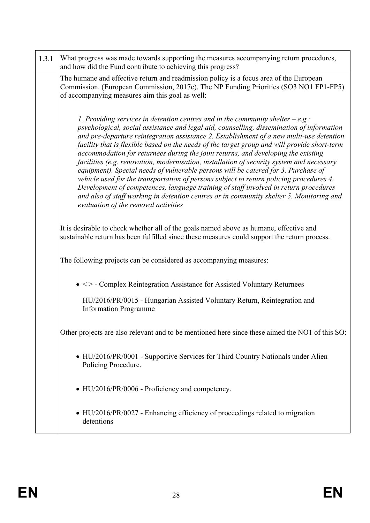| 1.3.1 | What progress was made towards supporting the measures accompanying return procedures,<br>and how did the Fund contribute to achieving this progress?                                                                                                                                                                                                                                                                                                                                                                                                                                                                                                                                                                                                                                                                                                                                                                                                                    |
|-------|--------------------------------------------------------------------------------------------------------------------------------------------------------------------------------------------------------------------------------------------------------------------------------------------------------------------------------------------------------------------------------------------------------------------------------------------------------------------------------------------------------------------------------------------------------------------------------------------------------------------------------------------------------------------------------------------------------------------------------------------------------------------------------------------------------------------------------------------------------------------------------------------------------------------------------------------------------------------------|
|       | The humane and effective return and readmission policy is a focus area of the European<br>Commission. (European Commission, 2017c). The NP Funding Priorities (SO3 NO1 FP1-FP5)<br>of accompanying measures aim this goal as well:                                                                                                                                                                                                                                                                                                                                                                                                                                                                                                                                                                                                                                                                                                                                       |
|       | 1. Providing services in detention centres and in the community shelter $-e.g.:$<br>psychological, social assistance and legal aid, counselling, dissemination of information<br>and pre-departure reintegration assistance 2. Establishment of a new multi-use detention<br>facility that is flexible based on the needs of the target group and will provide short-term<br>accommodation for returnees during the joint returns, and developing the existing<br>facilities (e.g. renovation, modernisation, installation of security system and necessary<br>equipment). Special needs of vulnerable persons will be catered for 3. Purchase of<br>vehicle used for the transportation of persons subject to return policing procedures 4.<br>Development of competences, language training of staff involved in return procedures<br>and also of staff working in detention centres or in community shelter 5. Monitoring and<br>evaluation of the removal activities |
|       | It is desirable to check whether all of the goals named above as humane, effective and<br>sustainable return has been fulfilled since these measures could support the return process.                                                                                                                                                                                                                                                                                                                                                                                                                                                                                                                                                                                                                                                                                                                                                                                   |
|       | The following projects can be considered as accompanying measures:                                                                                                                                                                                                                                                                                                                                                                                                                                                                                                                                                                                                                                                                                                                                                                                                                                                                                                       |
|       | • <> - Complex Reintegration Assistance for Assisted Voluntary Returnees                                                                                                                                                                                                                                                                                                                                                                                                                                                                                                                                                                                                                                                                                                                                                                                                                                                                                                 |
|       | HU/2016/PR/0015 - Hungarian Assisted Voluntary Return, Reintegration and<br><b>Information Programme</b>                                                                                                                                                                                                                                                                                                                                                                                                                                                                                                                                                                                                                                                                                                                                                                                                                                                                 |
|       | Other projects are also relevant and to be mentioned here since these aimed the NO1 of this SO:                                                                                                                                                                                                                                                                                                                                                                                                                                                                                                                                                                                                                                                                                                                                                                                                                                                                          |
|       | • HU/2016/PR/0001 - Supportive Services for Third Country Nationals under Alien<br>Policing Procedure.                                                                                                                                                                                                                                                                                                                                                                                                                                                                                                                                                                                                                                                                                                                                                                                                                                                                   |
|       | • HU/2016/PR/0006 - Proficiency and competency.                                                                                                                                                                                                                                                                                                                                                                                                                                                                                                                                                                                                                                                                                                                                                                                                                                                                                                                          |
|       | • HU/2016/PR/0027 - Enhancing efficiency of proceedings related to migration<br>detentions                                                                                                                                                                                                                                                                                                                                                                                                                                                                                                                                                                                                                                                                                                                                                                                                                                                                               |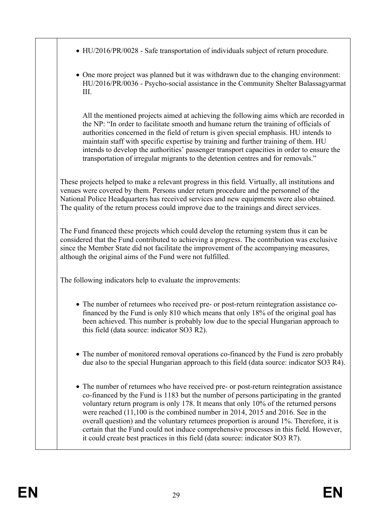HU/2016/PR/0028 - Safe transportation of individuals subject of return procedure.

 One more project was planned but it was withdrawn due to the changing environment: HU/2016/PR/0036 - Psycho-social assistance in the Community Shelter Balassagyarmat III.

All the mentioned projects aimed at achieving the following aims which are recorded in the NP: "In order to facilitate smooth and humane return the training of officials of authorities concerned in the field of return is given special emphasis. HU intends to maintain staff with specific expertise by training and further training of them. HU intends to develop the authorities' passenger transport capacities in order to ensure the transportation of irregular migrants to the detention centres and for removals."

These projects helped to make a relevant progress in this field. Virtually, all institutions and venues were covered by them. Persons under return procedure and the personnel of the National Police Headquarters has received services and new equipments were also obtained. The quality of the return process could improve due to the trainings and direct services.

The Fund financed these projects which could develop the returning system thus it can be considered that the Fund contributed to achieving a progress. The contribution was exclusive since the Member State did not facilitate the improvement of the accompanying measures, although the original aims of the Fund were not fulfilled.

The following indicators help to evaluate the improvements:

- The number of returnees who received pre- or post-return reintegration assistance cofinanced by the Fund is only 810 which means that only 18% of the original goal has been achieved. This number is probably low due to the special Hungarian approach to this field (data source: indicator SO3 R2).
- The number of monitored removal operations co-financed by the Fund is zero probably due also to the special Hungarian approach to this field (data source: indicator SO3 R4).
- The number of returnees who have received pre- or post-return reintegration assistance co-financed by the Fund is 1183 but the number of persons participating in the granted voluntary return program is only 178. It means that only 10% of the returned persons were reached (11,100 is the combined number in 2014, 2015 and 2016. See in the overall question) and the voluntary returnees proportion is around 1%. Therefore, it is certain that the Fund could not induce comprehensive processes in this field. However, it could create best practices in this field (data source: indicator SO3 R7).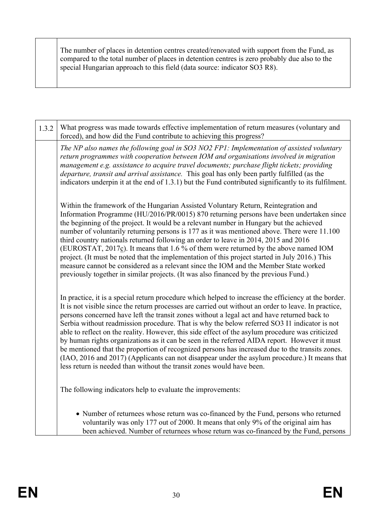The number of places in detention centres created/renovated with support from the Fund, as compared to the total number of places in detention centres is zero probably due also to the special Hungarian approach to this field (data source: indicator SO3 R8).

| 1.3.2 | What progress was made towards effective implementation of return measures (voluntary and<br>forced), and how did the Fund contribute to achieving this progress?                                                                                                                                                                                                                                                                                                                                                                                                                                                                                                                                                                                                                                                                                                                            |
|-------|----------------------------------------------------------------------------------------------------------------------------------------------------------------------------------------------------------------------------------------------------------------------------------------------------------------------------------------------------------------------------------------------------------------------------------------------------------------------------------------------------------------------------------------------------------------------------------------------------------------------------------------------------------------------------------------------------------------------------------------------------------------------------------------------------------------------------------------------------------------------------------------------|
|       | The NP also names the following goal in SO3 NO2 FP1: Implementation of assisted voluntary<br>return programmes with cooperation between IOM and organisations involved in migration<br>management e.g. assistance to acquire travel documents; purchase flight tickets; providing<br>departure, transit and arrival assistance. This goal has only been partly fulfilled (as the<br>indicators underpin it at the end of 1.3.1) but the Fund contributed significantly to its fulfilment.                                                                                                                                                                                                                                                                                                                                                                                                    |
|       | Within the framework of the Hungarian Assisted Voluntary Return, Reintegration and<br>Information Programme (HU/2016/PR/0015) 870 returning persons have been undertaken since<br>the beginning of the project. It would be a relevant number in Hungary but the achieved<br>number of voluntarily returning persons is 177 as it was mentioned above. There were 11.100<br>third country nationals returned following an order to leave in 2014, 2015 and 2016<br>(EUROSTAT, 2017c). It means that 1.6 % of them were returned by the above named IOM<br>project. (It must be noted that the implementation of this project started in July 2016.) This<br>measure cannot be considered as a relevant since the IOM and the Member State worked<br>previously together in similar projects. (It was also financed by the previous Fund.)                                                    |
|       | In practice, it is a special return procedure which helped to increase the efficiency at the border.<br>It is not visible since the return processes are carried out without an order to leave. In practice,<br>persons concerned have left the transit zones without a legal act and have returned back to<br>Serbia without readmission procedure. That is why the below referred SO3 I1 indicator is not<br>able to reflect on the reality. However, this side effect of the asylum procedure was criticized<br>by human rights organizations as it can be seen in the referred AIDA report. However it must<br>be mentioned that the proportion of recognized persons has increased due to the transits zones.<br>(IAO, 2016 and 2017) (Applicants can not disappear under the asylum procedure.) It means that<br>less return is needed than without the transit zones would have been. |
|       | The following indicators help to evaluate the improvements:                                                                                                                                                                                                                                                                                                                                                                                                                                                                                                                                                                                                                                                                                                                                                                                                                                  |
|       | • Number of returnees whose return was co-financed by the Fund, persons who returned<br>voluntarily was only 177 out of 2000. It means that only 9% of the original aim has<br>been achieved. Number of returnees whose return was co-financed by the Fund, persons                                                                                                                                                                                                                                                                                                                                                                                                                                                                                                                                                                                                                          |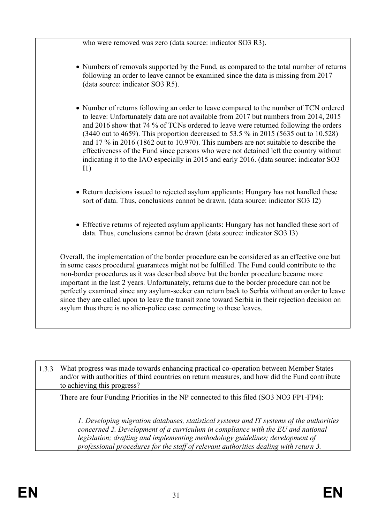| who were removed was zero (data source: indicator SO3 R3).                                                                                                                                                                                                                                                                                                                                                                                                                                                                                                                                                                                                            |
|-----------------------------------------------------------------------------------------------------------------------------------------------------------------------------------------------------------------------------------------------------------------------------------------------------------------------------------------------------------------------------------------------------------------------------------------------------------------------------------------------------------------------------------------------------------------------------------------------------------------------------------------------------------------------|
| • Numbers of removals supported by the Fund, as compared to the total number of returns<br>following an order to leave cannot be examined since the data is missing from 2017<br>(data source: indicator SO3 R5).                                                                                                                                                                                                                                                                                                                                                                                                                                                     |
| • Number of returns following an order to leave compared to the number of TCN ordered<br>to leave: Unfortunately data are not available from 2017 but numbers from 2014, 2015<br>and 2016 show that 74 % of TCNs ordered to leave were returned following the orders<br>(3440 out to 4659). This proportion decreased to 53.5 % in 2015 (5635 out to 10.528)<br>and 17 % in 2016 (1862 out to 10.970). This numbers are not suitable to describe the<br>effectiveness of the Fund since persons who were not detained left the country without<br>indicating it to the IAO especially in 2015 and early 2016. (data source: indicator SO3<br>11)                      |
| • Return decisions issued to rejected asylum applicants: Hungary has not handled these<br>sort of data. Thus, conclusions cannot be drawn. (data source: indicator SO3 I2)                                                                                                                                                                                                                                                                                                                                                                                                                                                                                            |
| • Effective returns of rejected asylum applicants: Hungary has not handled these sort of<br>data. Thus, conclusions cannot be drawn (data source: indicator SO3 I3)                                                                                                                                                                                                                                                                                                                                                                                                                                                                                                   |
| Overall, the implementation of the border procedure can be considered as an effective one but<br>in some cases procedural guarantees might not be fulfilled. The Fund could contribute to the<br>non-border procedures as it was described above but the border procedure became more<br>important in the last 2 years. Unfortunately, returns due to the border procedure can not be<br>perfectly examined since any asylum-seeker can return back to Serbia without an order to leave<br>since they are called upon to leave the transit zone toward Serbia in their rejection decision on<br>asylum thus there is no alien-police case connecting to these leaves. |
|                                                                                                                                                                                                                                                                                                                                                                                                                                                                                                                                                                                                                                                                       |

| 1.3.3 | What progress was made towards enhancing practical co-operation between Member States<br>and/or with authorities of third countries on return measures, and how did the Fund contribute<br>to achieving this progress?                                                                                                                               |
|-------|------------------------------------------------------------------------------------------------------------------------------------------------------------------------------------------------------------------------------------------------------------------------------------------------------------------------------------------------------|
|       | There are four Funding Priorities in the NP connected to this filed (SO3 NO3 FP1-FP4):                                                                                                                                                                                                                                                               |
|       | 1. Developing migration databases, statistical systems and IT systems of the authorities<br>concerned 2. Development of a curriculum in compliance with the EU and national<br>legislation; drafting and implementing methodology guidelines; development of<br>professional procedures for the staff of relevant authorities dealing with return 3. |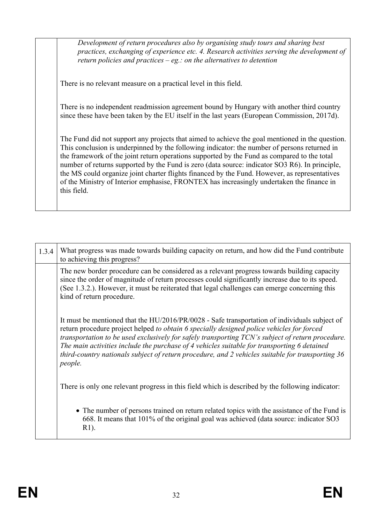*Development of return procedures also by organising study tours and sharing best practices, exchanging of experience etc. 4. Research activities serving the development of return policies and practices – eg.: on the alternatives to detention*

There is no relevant measure on a practical level in this field.

There is no independent readmission agreement bound by Hungary with another third country since these have been taken by the EU itself in the last years (European Commission, 2017d).

The Fund did not support any projects that aimed to achieve the goal mentioned in the question. This conclusion is underpinned by the following indicator: the number of persons returned in the framework of the joint return operations supported by the Fund as compared to the total number of returns supported by the Fund is zero (data source: indicator SO3 R6). In principle, the MS could organize joint charter flights financed by the Fund. However, as representatives of the Ministry of Interior emphasise, FRONTEX has increasingly undertaken the finance in this field.

| 1.3.4 | What progress was made towards building capacity on return, and how did the Fund contribute<br>to achieving this progress?                                                                                                                                                                                                                                                                                                                                                                                   |
|-------|--------------------------------------------------------------------------------------------------------------------------------------------------------------------------------------------------------------------------------------------------------------------------------------------------------------------------------------------------------------------------------------------------------------------------------------------------------------------------------------------------------------|
|       | The new border procedure can be considered as a relevant progress towards building capacity<br>since the order of magnitude of return processes could significantly increase due to its speed.<br>(See 1.3.2.). However, it must be reiterated that legal challenges can emerge concerning this<br>kind of return procedure.                                                                                                                                                                                 |
|       | It must be mentioned that the HU/2016/PR/0028 - Safe transportation of individuals subject of<br>return procedure project helped to obtain 6 specially designed police vehicles for forced<br>transportation to be used exclusively for safely transporting TCN's subject of return procedure.<br>The main activities include the purchase of 4 vehicles suitable for transporting 6 detained<br>third-country nationals subject of return procedure, and 2 vehicles suitable for transporting 36<br>people. |
|       | There is only one relevant progress in this field which is described by the following indicator:                                                                                                                                                                                                                                                                                                                                                                                                             |
|       | • The number of persons trained on return related topics with the assistance of the Fund is<br>668. It means that 101% of the original goal was achieved (data source: indicator SO3<br>$R1)$ .                                                                                                                                                                                                                                                                                                              |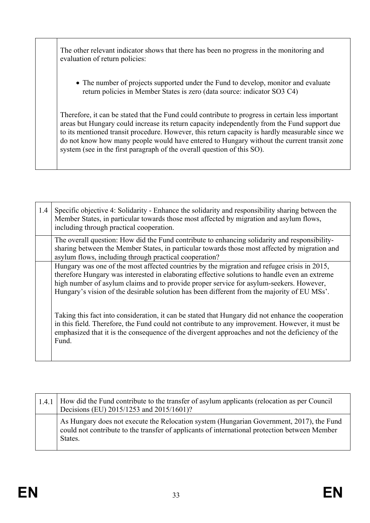The other relevant indicator shows that there has been no progress in the monitoring and evaluation of return policies:

 The number of projects supported under the Fund to develop, monitor and evaluate return policies in Member States is zero (data source: indicator SO3 C4)

Therefore, it can be stated that the Fund could contribute to progress in certain less important areas but Hungary could increase its return capacity independently from the Fund support due to its mentioned transit procedure. However, this return capacity is hardly measurable since we do not know how many people would have entered to Hungary without the current transit zone system (see in the first paragraph of the overall question of this SO).

| Specific objective 4: Solidarity - Enhance the solidarity and responsibility sharing between the<br>1.4<br>Member States, in particular towards those most affected by migration and asylum flows,<br>including through practical cooperation.                                                                                                                                         |
|----------------------------------------------------------------------------------------------------------------------------------------------------------------------------------------------------------------------------------------------------------------------------------------------------------------------------------------------------------------------------------------|
| The overall question: How did the Fund contribute to enhancing solidarity and responsibility-<br>sharing between the Member States, in particular towards those most affected by migration and<br>asylum flows, including through practical cooperation?                                                                                                                               |
| Hungary was one of the most affected countries by the migration and refugee crisis in 2015,<br>therefore Hungary was interested in elaborating effective solutions to handle even an extreme<br>high number of asylum claims and to provide proper service for asylum-seekers. However,<br>Hungary's vision of the desirable solution has been different from the majority of EU MSs'. |
| Taking this fact into consideration, it can be stated that Hungary did not enhance the cooperation<br>in this field. Therefore, the Fund could not contribute to any improvement. However, it must be<br>emphasized that it is the consequence of the divergent approaches and not the deficiency of the<br>Fund.                                                                      |
|                                                                                                                                                                                                                                                                                                                                                                                        |

| How did the Fund contribute to the transfer of asylum applicants (relocation as per Council<br>Decisions (EU) 2015/1253 and 2015/1601)?                                                              |
|------------------------------------------------------------------------------------------------------------------------------------------------------------------------------------------------------|
| As Hungary does not execute the Relocation system (Hungarian Government, 2017), the Fund<br>could not contribute to the transfer of applicants of international protection between Member<br>States. |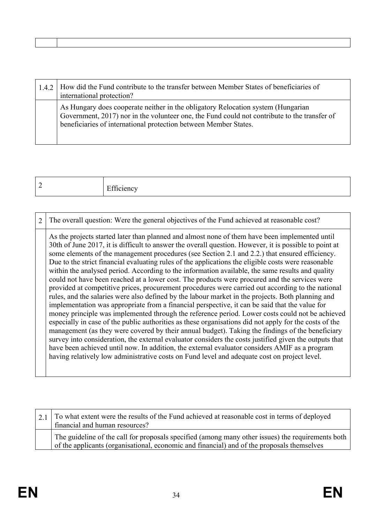| 1.4.2 | How did the Fund contribute to the transfer between Member States of beneficiaries of<br>international protection?                                                                                                                                   |
|-------|------------------------------------------------------------------------------------------------------------------------------------------------------------------------------------------------------------------------------------------------------|
|       | As Hungary does cooperate neither in the obligatory Relocation system (Hungarian<br>Government, 2017) nor in the volunteer one, the Fund could not contribute to the transfer of<br>beneficiaries of international protection between Member States. |

|  | $\sim$<br>$\sim$ |
|--|------------------|
|--|------------------|

| $\overline{2}$ | The overall question: Were the general objectives of the Fund achieved at reasonable cost?                                                                                                                                                                                                                                                                                                                                                                                                                                                                                                                                                                                                                                                                                                                                                                                                                                                                                                                                                                                                                                                                                                                                                                                                                                                                                                                                                                                                                                                                     |
|----------------|----------------------------------------------------------------------------------------------------------------------------------------------------------------------------------------------------------------------------------------------------------------------------------------------------------------------------------------------------------------------------------------------------------------------------------------------------------------------------------------------------------------------------------------------------------------------------------------------------------------------------------------------------------------------------------------------------------------------------------------------------------------------------------------------------------------------------------------------------------------------------------------------------------------------------------------------------------------------------------------------------------------------------------------------------------------------------------------------------------------------------------------------------------------------------------------------------------------------------------------------------------------------------------------------------------------------------------------------------------------------------------------------------------------------------------------------------------------------------------------------------------------------------------------------------------------|
|                | As the projects started later than planned and almost none of them have been implemented until<br>30th of June 2017, it is difficult to answer the overall question. However, it is possible to point at<br>some elements of the management procedures (see Section 2.1 and 2.2.) that ensured efficiency.<br>Due to the strict financial evaluating rules of the applications the eligible costs were reasonable<br>within the analysed period. According to the information available, the same results and quality<br>could not have been reached at a lower cost. The products were procured and the services were<br>provided at competitive prices, procurement procedures were carried out according to the national<br>rules, and the salaries were also defined by the labour market in the projects. Both planning and<br>implementation was appropriate from a financial perspective, it can be said that the value for<br>money principle was implemented through the reference period. Lower costs could not be achieved<br>especially in case of the public authorities as these organisations did not apply for the costs of the<br>management (as they were covered by their annual budget). Taking the findings of the beneficiary<br>survey into consideration, the external evaluator considers the costs justified given the outputs that<br>have been achieved until now. In addition, the external evaluator considers AMIF as a program<br>having relatively low administrative costs on Fund level and adequate cost on project level. |

| 2.1 To what extent were the results of the Fund achieved at reasonable cost in terms of deployed<br>financial and human resources?                                                              |
|-------------------------------------------------------------------------------------------------------------------------------------------------------------------------------------------------|
| The guideline of the call for proposals specified (among many other issues) the requirements both<br>of the applicants (organisational, economic and financial) and of the proposals themselves |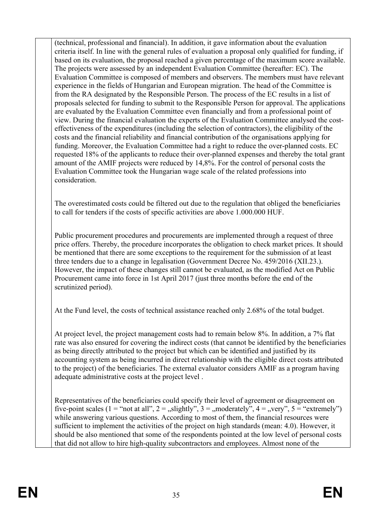(technical, professional and financial). In addition, it gave information about the evaluation criteria itself. In line with the general rules of evaluation a proposal only qualified for funding, if based on its evaluation, the proposal reached a given percentage of the maximum score available. The projects were assessed by an independent Evaluation Committee (hereafter: EC). The Evaluation Committee is composed of members and observers. The members must have relevant experience in the fields of Hungarian and European migration. The head of the Committee is from the RA designated by the Responsible Person. The process of the EC results in a list of proposals selected for funding to submit to the Responsible Person for approval. The applications are evaluated by the Evaluation Committee even financially and from a professional point of view. During the financial evaluation the experts of the Evaluation Committee analysed the costeffectiveness of the expenditures (including the selection of contractors), the eligibility of the costs and the financial reliability and financial contribution of the organisations applying for funding. Moreover, the Evaluation Committee had a right to reduce the over-planned costs. EC requested 18% of the applicants to reduce their over-planned expenses and thereby the total grant amount of the AMIF projects were reduced by 14,8%. For the control of personal costs the Evaluation Committee took the Hungarian wage scale of the related professions into consideration.

The overestimated costs could be filtered out due to the regulation that obliged the beneficiaries to call for tenders if the costs of specific activities are above 1.000.000 HUF.

Public procurement procedures and procurements are implemented through a request of three price offers. Thereby, the procedure incorporates the obligation to check market prices. It should be mentioned that there are some exceptions to the requirement for the submission of at least three tenders due to a change in legalisation (Government Decree No. 459/2016 (XII.23.). However, the impact of these changes still cannot be evaluated, as the modified Act on Public Procurement came into force in 1st April 2017 (just three months before the end of the scrutinized period).

At the Fund level, the costs of technical assistance reached only 2.68% of the total budget.

At project level, the project management costs had to remain below 8%. In addition, a 7% flat rate was also ensured for covering the indirect costs (that cannot be identified by the beneficiaries as being directly attributed to the project but which can be identified and justified by its accounting system as being incurred in direct relationship with the eligible direct costs attributed to the project) of the beneficiaries. The external evaluator considers AMIF as a program having adequate administrative costs at the project level .

Representatives of the beneficiaries could specify their level of agreement or disagreement on five-point scales (1 = "not at all", 2 =  $\alpha$ , slightly", 3 =  $\alpha$ , moderately", 4 =  $\alpha$ , very", 5 = "extremely") while answering various questions. According to most of them, the financial resources were sufficient to implement the activities of the project on high standards (mean: 4.0). However, it should be also mentioned that some of the respondents pointed at the low level of personal costs that did not allow to hire high-quality subcontractors and employees. Almost none of the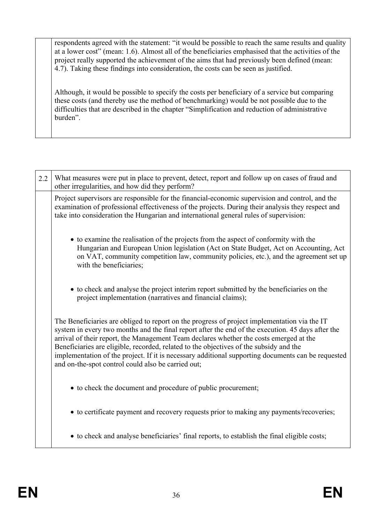respondents agreed with the statement: "it would be possible to reach the same results and quality at a lower cost" (mean: 1.6). Almost all of the beneficiaries emphasised that the activities of the project really supported the achievement of the aims that had previously been defined (mean: 4.7). Taking these findings into consideration, the costs can be seen as justified.

Although, it would be possible to specify the costs per beneficiary of a service but comparing these costs (and thereby use the method of benchmarking) would be not possible due to the difficulties that are described in the chapter "Simplification and reduction of administrative burden".

| 2.2 | What measures were put in place to prevent, detect, report and follow up on cases of fraud and<br>other irregularities, and how did they perform?                                                                                                                                                                                                                                                                                                                                                                                                 |
|-----|---------------------------------------------------------------------------------------------------------------------------------------------------------------------------------------------------------------------------------------------------------------------------------------------------------------------------------------------------------------------------------------------------------------------------------------------------------------------------------------------------------------------------------------------------|
|     | Project supervisors are responsible for the financial-economic supervision and control, and the<br>examination of professional effectiveness of the projects. During their analysis they respect and<br>take into consideration the Hungarian and international general rules of supervision:                                                                                                                                                                                                                                                     |
|     | • to examine the realisation of the projects from the aspect of conformity with the<br>Hungarian and European Union legislation (Act on State Budget, Act on Accounting, Act<br>on VAT, community competition law, community policies, etc.), and the agreement set up<br>with the beneficiaries;                                                                                                                                                                                                                                                 |
|     | • to check and analyse the project interim report submitted by the beneficiaries on the<br>project implementation (narratives and financial claims);                                                                                                                                                                                                                                                                                                                                                                                              |
|     | The Beneficiaries are obliged to report on the progress of project implementation via the IT<br>system in every two months and the final report after the end of the execution. 45 days after the<br>arrival of their report, the Management Team declares whether the costs emerged at the<br>Beneficiaries are eligible, recorded, related to the objectives of the subsidy and the<br>implementation of the project. If it is necessary additional supporting documents can be requested<br>and on-the-spot control could also be carried out; |
|     | • to check the document and procedure of public procurement;                                                                                                                                                                                                                                                                                                                                                                                                                                                                                      |
|     | • to certificate payment and recovery requests prior to making any payments/recoveries;                                                                                                                                                                                                                                                                                                                                                                                                                                                           |
|     | • to check and analyse beneficiaries' final reports, to establish the final eligible costs;                                                                                                                                                                                                                                                                                                                                                                                                                                                       |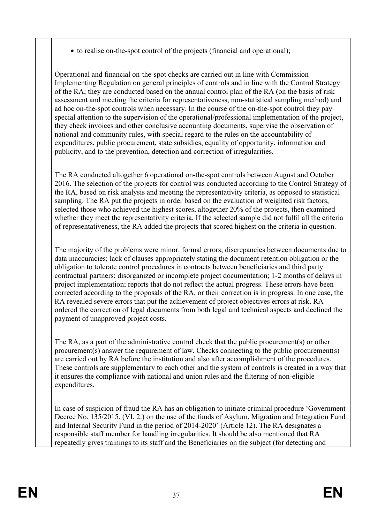to realise on-the-spot control of the projects (financial and operational);

Operational and financial on-the-spot checks are carried out in line with Commission Implementing Regulation on general principles of controls and in line with the Control Strategy of the RA; they are conducted based on the annual control plan of the RA (on the basis of risk assessment and meeting the criteria for representativeness, non-statistical sampling method) and ad hoc on-the-spot controls when necessary. In the course of the on-the-spot control they pay special attention to the supervision of the operational/professional implementation of the project, they check invoices and other conclusive accounting documents, supervise the observation of national and community rules, with special regard to the rules on the accountability of expenditures, public procurement, state subsidies, equality of opportunity, information and publicity, and to the prevention, detection and correction of irregularities.

The RA conducted altogether 6 operational on-the-spot controls between August and October 2016. The selection of the projects for control was conducted according to the Control Strategy of the RA, based on risk analysis and meeting the representativity criteria, as opposed to statistical sampling. The RA put the projects in order based on the evaluation of weighted risk factors, selected those who achieved the highest scores, altogether 20% of the projects, then examined whether they meet the representativity criteria. If the selected sample did not fulfil all the criteria of representativeness, the RA added the projects that scored highest on the criteria in question.

The majority of the problems were minor: formal errors; discrepancies between documents due to data inaccuracies; lack of clauses appropriately stating the document retention obligation or the obligation to tolerate control procedures in contracts between beneficiaries and third party contractual partners; disorganized or incomplete project documentation; 1-2 months of delays in project implementation; reports that do not reflect the actual progress. These errors have been corrected according to the proposals of the RA, or their correction is in progress. In one case, the RA revealed severe errors that put the achievement of project objectives errors at risk. RA ordered the correction of legal documents from both legal and technical aspects and declined the payment of unapproved project costs.

The RA, as a part of the administrative control check that the public procurement(s) or other procurement(s) answer the requirement of law. Checks connecting to the public procurement(s) are carried out by RA before the institution and also after accomplishment of the procedures. These controls are supplementary to each other and the system of controls is created in a way that it ensures the compliance with national and union rules and the filtering of non-eligible expenditures.

In case of suspicion of fraud the RA has an obligation to initiate criminal procedure 'Government Decree No. 135/2015. (VI. 2.) on the use of the funds of Asylum, Migration and Integration Fund and Internal Security Fund in the period of 2014-2020' (Article 12). The RA designates a responsible staff member for handling irregularities. It should be also mentioned that RA repeatedly gives trainings to its staff and the Beneficiaries on the subject (for detecting and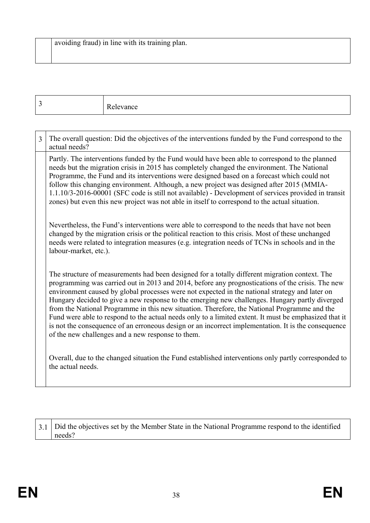| r | .u |
|---|----|
|---|----|

| 3 | The overall question: Did the objectives of the interventions funded by the Fund correspond to the<br>actual needs?                                                                                                                                                                                                                                                                                                                                                                                                                                                                                                                                                                                                                                                         |
|---|-----------------------------------------------------------------------------------------------------------------------------------------------------------------------------------------------------------------------------------------------------------------------------------------------------------------------------------------------------------------------------------------------------------------------------------------------------------------------------------------------------------------------------------------------------------------------------------------------------------------------------------------------------------------------------------------------------------------------------------------------------------------------------|
|   | Partly. The interventions funded by the Fund would have been able to correspond to the planned<br>needs but the migration crisis in 2015 has completely changed the environment. The National<br>Programme, the Fund and its interventions were designed based on a forecast which could not<br>follow this changing environment. Although, a new project was designed after 2015 (MMIA-<br>1.1.10/3-2016-00001 (SFC code is still not available) - Development of services provided in transit<br>zones) but even this new project was not able in itself to correspond to the actual situation.                                                                                                                                                                           |
|   | Nevertheless, the Fund's interventions were able to correspond to the needs that have not been<br>changed by the migration crisis or the political reaction to this crisis. Most of these unchanged<br>needs were related to integration measures (e.g. integration needs of TCNs in schools and in the<br>labour-market, etc.).                                                                                                                                                                                                                                                                                                                                                                                                                                            |
|   | The structure of measurements had been designed for a totally different migration context. The<br>programming was carried out in 2013 and 2014, before any prognostications of the crisis. The new<br>environment caused by global processes were not expected in the national strategy and later on<br>Hungary decided to give a new response to the emerging new challenges. Hungary partly diverged<br>from the National Programme in this new situation. Therefore, the National Programme and the<br>Fund were able to respond to the actual needs only to a limited extent. It must be emphasized that it<br>is not the consequence of an erroneous design or an incorrect implementation. It is the consequence<br>of the new challenges and a new response to them. |
|   | Overall, due to the changed situation the Fund established interventions only partly corresponded to<br>the actual needs.                                                                                                                                                                                                                                                                                                                                                                                                                                                                                                                                                                                                                                                   |

| 3.1   Did the objectives set by the Member State in the National Programme respond to the identified |
|------------------------------------------------------------------------------------------------------|
| needs?                                                                                               |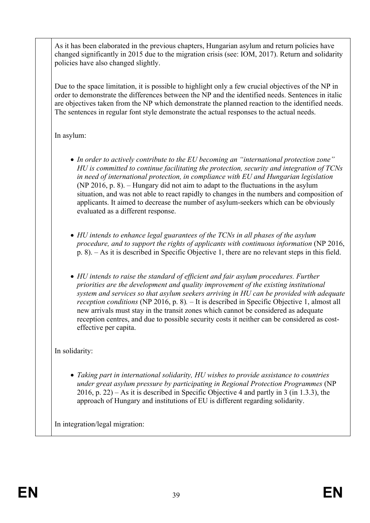As it has been elaborated in the previous chapters, Hungarian asylum and return policies have changed significantly in 2015 due to the migration crisis (see: IOM, 2017). Return and solidarity policies have also changed slightly.

Due to the space limitation, it is possible to highlight only a few crucial objectives of the NP in order to demonstrate the differences between the NP and the identified needs. Sentences in italic are objectives taken from the NP which demonstrate the planned reaction to the identified needs. The sentences in regular font style demonstrate the actual responses to the actual needs.

## In asylum:

- *In order to actively contribute to the EU becoming an "international protection zone" HU is committed to continue facilitating the protection, security and integration of TCNs in need of international protection, in compliance with EU and Hungarian legislation*  (NP 2016, p. 8). – Hungary did not aim to adapt to the fluctuations in the asylum situation, and was not able to react rapidly to changes in the numbers and composition of applicants. It aimed to decrease the number of asylum-seekers which can be obviously evaluated as a different response.
- *HU intends to enhance legal guarantees of the TCNs in all phases of the asylum procedure, and to support the rights of applicants with continuous information* (NP 2016, p. 8). – As it is described in Specific Objective 1, there are no relevant steps in this field.
- *HU intends to raise the standard of efficient and fair asylum procedures. Further priorities are the development and quality improvement of the existing institutional system and services so that asylum seekers arriving in HU can be provided with adequate reception conditions* (NP 2016, p. 8)*.* – It is described in Specific Objective 1, almost all new arrivals must stay in the transit zones which cannot be considered as adequate reception centres, and due to possible security costs it neither can be considered as costeffective per capita.

## In solidarity:

 *Taking part in international solidarity, HU wishes to provide assistance to countries under great asylum pressure by participating in Regional Protection Programmes* (NP 2016, p. 22) – As it is described in Specific Objective 4 and partly in 3 (in 1.3.3), the approach of Hungary and institutions of EU is different regarding solidarity.

In integration/legal migration: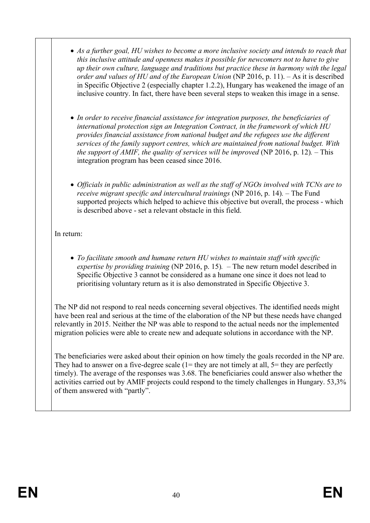- *As a further goal, HU wishes to become a more inclusive society and intends to reach that this inclusive attitude and openness makes it possible for newcomers not to have to give up their own culture, language and traditions but practice these in harmony with the legal order and values of HU and of the European Union* (NP 2016, p. 11). *–* As it is described in Specific Objective 2 (especially chapter 1.2.2), Hungary has weakened the image of an inclusive country. In fact, there have been several steps to weaken this image in a sense.
- *In order to receive financial assistance for integration purposes, the beneficiaries of international protection sign an Integration Contract, in the framework of which HU provides financial assistance from national budget and the refugees use the different services of the family support centres, which are maintained from national budget. With the support of AMIF, the quality of services will be improved* (NP 2016, p. 12)*. –* This integration program has been ceased since 2016.
- *Officials in public administration as well as the staff of NGOs involved with TCNs are to receive migrant specific and intercultural trainings* (NP 2016, p. 14)*. –* The Fund supported projects which helped to achieve this objective but overall, the process - which is described above - set a relevant obstacle in this field.

## In return:

 *To facilitate smooth and humane return HU wishes to maintain staff with specific expertise by providing training* (NP 2016, p. 15)*.* – The new return model described in Specific Objective 3 cannot be considered as a humane one since it does not lead to prioritising voluntary return as it is also demonstrated in Specific Objective 3.

The NP did not respond to real needs concerning several objectives. The identified needs might have been real and serious at the time of the elaboration of the NP but these needs have changed relevantly in 2015. Neither the NP was able to respond to the actual needs nor the implemented migration policies were able to create new and adequate solutions in accordance with the NP.

The beneficiaries were asked about their opinion on how timely the goals recorded in the NP are. They had to answer on a five-degree scale  $(1=$  they are not timely at all,  $5=$  they are perfectly timely). The average of the responses was 3.68. The beneficiaries could answer also whether the activities carried out by AMIF projects could respond to the timely challenges in Hungary. 53,3% of them answered with "partly".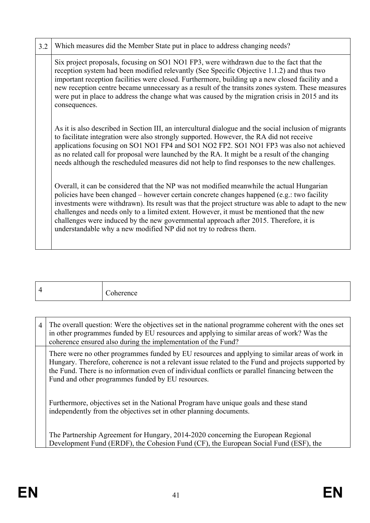| 3.2 | Which measures did the Member State put in place to address changing needs?                                                                                                                                                                                                                                                                                                                                                                                                                                                                               |
|-----|-----------------------------------------------------------------------------------------------------------------------------------------------------------------------------------------------------------------------------------------------------------------------------------------------------------------------------------------------------------------------------------------------------------------------------------------------------------------------------------------------------------------------------------------------------------|
|     | Six project proposals, focusing on SO1 NO1 FP3, were withdrawn due to the fact that the<br>reception system had been modified relevantly (See Specific Objective 1.1.2) and thus two<br>important reception facilities were closed. Furthermore, building up a new closed facility and a<br>new reception centre became unnecessary as a result of the transits zones system. These measures<br>were put in place to address the change what was caused by the migration crisis in 2015 and its<br>consequences.                                          |
|     | As it is also described in Section III, an intercultural dialogue and the social inclusion of migrants<br>to facilitate integration were also strongly supported. However, the RA did not receive<br>applications focusing on SO1 NO1 FP4 and SO1 NO2 FP2. SO1 NO1 FP3 was also not achieved<br>as no related call for proposal were launched by the RA. It might be a result of the changing<br>needs although the rescheduled measures did not help to find responses to the new challenges.                                                            |
|     | Overall, it can be considered that the NP was not modified meanwhile the actual Hungarian<br>policies have been changed – however certain concrete changes happened (e.g.: two facility<br>investments were withdrawn). Its result was that the project structure was able to adapt to the new<br>challenges and needs only to a limited extent. However, it must be mentioned that the new<br>challenges were induced by the new governmental approach after 2015. Therefore, it is<br>understandable why a new modified NP did not try to redress them. |

4 Coherence

| $\overline{4}$ | The overall question: Were the objectives set in the national programme coherent with the ones set<br>in other programmes funded by EU resources and applying to similar areas of work? Was the<br>coherence ensured also during the implementation of the Fund?                                                                                               |
|----------------|----------------------------------------------------------------------------------------------------------------------------------------------------------------------------------------------------------------------------------------------------------------------------------------------------------------------------------------------------------------|
|                | There were no other programmes funded by EU resources and applying to similar areas of work in<br>Hungary. Therefore, coherence is not a relevant issue related to the Fund and projects supported by<br>the Fund. There is no information even of individual conflicts or parallel financing between the<br>Fund and other programmes funded by EU resources. |
|                | Furthermore, objectives set in the National Program have unique goals and these stand<br>independently from the objectives set in other planning documents.                                                                                                                                                                                                    |
|                | The Partnership Agreement for Hungary, 2014-2020 concerning the European Regional<br>Development Fund (ERDF), the Cohesion Fund (CF), the European Social Fund (ESF), the                                                                                                                                                                                      |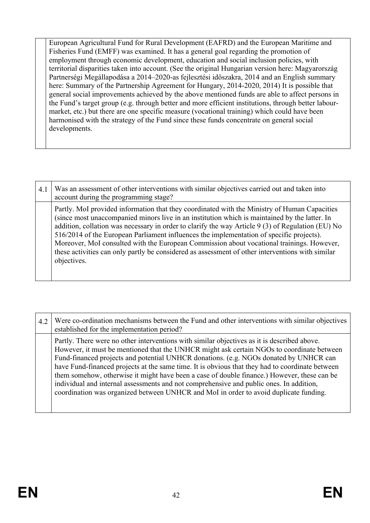European Agricultural Fund for Rural Development (EAFRD) and the European Maritime and Fisheries Fund (EMFF) was examined. It has a general goal regarding the promotion of employment through economic development, education and social inclusion policies, with territorial disparities taken into account. (See the original Hungarian version here: Magyarország Partnerségi Megállapodása a 2014–2020-as fejlesztési időszakra, 2014 and an English summary here: Summary of the Partnership Agreement for Hungary, 2014-2020, 2014) It is possible that general social improvements achieved by the above mentioned funds are able to affect persons in the Fund's target group (e.g. through better and more efficient institutions, through better labourmarket, etc.) but there are one specific measure (vocational training) which could have been harmonised with the strategy of the Fund since these funds concentrate on general social developments.

| 4.1 | Was an assessment of other interventions with similar objectives carried out and taken into<br>account during the programming stage?                                                                                                                                                                                                                                                                                                                                                                                                                                                                           |
|-----|----------------------------------------------------------------------------------------------------------------------------------------------------------------------------------------------------------------------------------------------------------------------------------------------------------------------------------------------------------------------------------------------------------------------------------------------------------------------------------------------------------------------------------------------------------------------------------------------------------------|
|     | Partly. MoI provided information that they coordinated with the Ministry of Human Capacities<br>(since most unaccompanied minors live in an institution which is maintained by the latter. In<br>addition, collation was necessary in order to clarify the way Article 9 (3) of Regulation (EU) No<br>516/2014 of the European Parliament influences the implementation of specific projects).<br>Moreover, MoI consulted with the European Commission about vocational trainings. However,<br>these activities can only partly be considered as assessment of other interventions with similar<br>objectives. |

| 4.2 | Were co-ordination mechanisms between the Fund and other interventions with similar objectives<br>established for the implementation period?                                                                                                                                                                                                                                                                                                                                                                                                                                                                                                                            |
|-----|-------------------------------------------------------------------------------------------------------------------------------------------------------------------------------------------------------------------------------------------------------------------------------------------------------------------------------------------------------------------------------------------------------------------------------------------------------------------------------------------------------------------------------------------------------------------------------------------------------------------------------------------------------------------------|
|     | Partly. There were no other interventions with similar objectives as it is described above.<br>However, it must be mentioned that the UNHCR might ask certain NGOs to coordinate between<br>Fund-financed projects and potential UNHCR donations. (e.g. NGOs donated by UNHCR can<br>have Fund-financed projects at the same time. It is obvious that they had to coordinate between<br>them somehow, otherwise it might have been a case of double finance.) However, these can be<br>individual and internal assessments and not comprehensive and public ones. In addition,<br>coordination was organized between UNHCR and MoI in order to avoid duplicate funding. |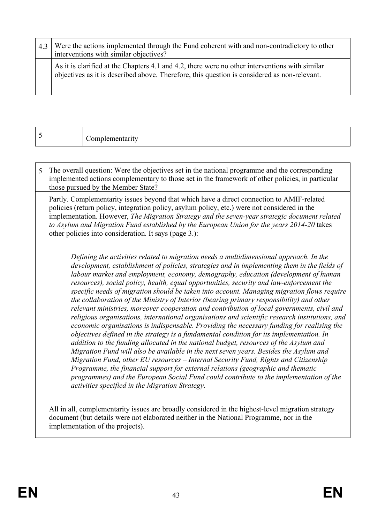| 4.3 <sup>1</sup> | Were the actions implemented through the Fund coherent with and non-contradictory to other<br>interventions with similar objectives?                                                           |
|------------------|------------------------------------------------------------------------------------------------------------------------------------------------------------------------------------------------|
|                  | As it is clarified at the Chapters 4.1 and 4.2, there were no other interventions with similar<br>objectives as it is described above. Therefore, this question is considered as non-relevant. |

| 5                                                                                                                                                                                                                                            |  | Complementarity                                                                                                                                                                                                                                                                                                                                                                                                                                                                                                                                                                                                                                                                                                                                                                                                                                                                                                                                                                                                                                                                                                                                                                                                                                                                                                                                                                                                                                                        |
|----------------------------------------------------------------------------------------------------------------------------------------------------------------------------------------------------------------------------------------------|--|------------------------------------------------------------------------------------------------------------------------------------------------------------------------------------------------------------------------------------------------------------------------------------------------------------------------------------------------------------------------------------------------------------------------------------------------------------------------------------------------------------------------------------------------------------------------------------------------------------------------------------------------------------------------------------------------------------------------------------------------------------------------------------------------------------------------------------------------------------------------------------------------------------------------------------------------------------------------------------------------------------------------------------------------------------------------------------------------------------------------------------------------------------------------------------------------------------------------------------------------------------------------------------------------------------------------------------------------------------------------------------------------------------------------------------------------------------------------|
|                                                                                                                                                                                                                                              |  |                                                                                                                                                                                                                                                                                                                                                                                                                                                                                                                                                                                                                                                                                                                                                                                                                                                                                                                                                                                                                                                                                                                                                                                                                                                                                                                                                                                                                                                                        |
| The overall question: Were the objectives set in the national programme and the corresponding<br>5<br>implemented actions complementary to those set in the framework of other policies, in particular<br>those pursued by the Member State? |  |                                                                                                                                                                                                                                                                                                                                                                                                                                                                                                                                                                                                                                                                                                                                                                                                                                                                                                                                                                                                                                                                                                                                                                                                                                                                                                                                                                                                                                                                        |
|                                                                                                                                                                                                                                              |  | Partly. Complementarity issues beyond that which have a direct connection to AMIF-related<br>policies (return policy, integration policy, asylum policy, etc.) were not considered in the<br>implementation. However, The Migration Strategy and the seven-year strategic document related<br>to Asylum and Migration Fund established by the European Union for the years 2014-20 takes<br>other policies into consideration. It says (page 3.):                                                                                                                                                                                                                                                                                                                                                                                                                                                                                                                                                                                                                                                                                                                                                                                                                                                                                                                                                                                                                      |
|                                                                                                                                                                                                                                              |  | Defining the activities related to migration needs a multidimensional approach. In the<br>development, establishment of policies, strategies and in implementing them in the fields of<br>labour market and employment, economy, demography, education (development of human<br>resources), social policy, health, equal opportunities, security and law-enforcement the<br>specific needs of migration should be taken into account. Managing migration flows require<br>the collaboration of the Ministry of Interior (bearing primary responsibility) and other<br>relevant ministries, moreover cooperation and contribution of local governments, civil and<br>religious organisations, international organisations and scientific research institutions, and<br>economic organisations is indispensable. Providing the necessary funding for realising the<br>objectives defined in the strategy is a fundamental condition for its implementation. In<br>addition to the funding allocated in the national budget, resources of the Asylum and<br>Migration Fund will also be available in the next seven years. Besides the Asylum and<br>Migration Fund, other EU resources - Internal Security Fund, Rights and Citizenship<br>Programme, the financial support for external relations (geographic and thematic<br>programmes) and the European Social Fund could contribute to the implementation of the<br>activities specified in the Migration Strategy. |
|                                                                                                                                                                                                                                              |  | All in all, complementarity issues are broadly considered in the highest-level migration strategy<br>document (but details were not elaborated neither in the National Programme, nor in the<br>implementation of the projects).                                                                                                                                                                                                                                                                                                                                                                                                                                                                                                                                                                                                                                                                                                                                                                                                                                                                                                                                                                                                                                                                                                                                                                                                                                       |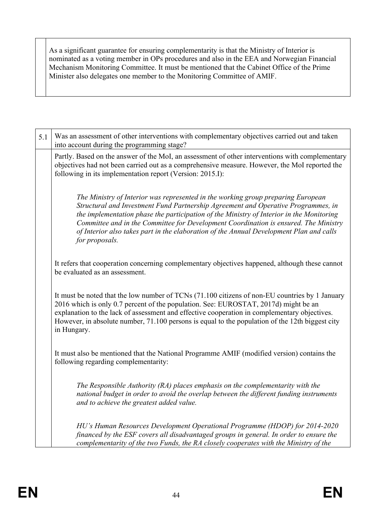As a significant guarantee for ensuring complementarity is that the Ministry of Interior is nominated as a voting member in OPs procedures and also in the EEA and Norwegian Financial Mechanism Monitoring Committee. It must be mentioned that the Cabinet Office of the Prime Minister also delegates one member to the Monitoring Committee of AMIF.

| 5.1 | Was an assessment of other interventions with complementary objectives carried out and taken<br>into account during the programming stage?                                                                                                                                                                                                                                                                                                                             |
|-----|------------------------------------------------------------------------------------------------------------------------------------------------------------------------------------------------------------------------------------------------------------------------------------------------------------------------------------------------------------------------------------------------------------------------------------------------------------------------|
|     | Partly. Based on the answer of the MoI, an assessment of other interventions with complementary<br>objectives had not been carried out as a comprehensive measure. However, the MoI reported the<br>following in its implementation report (Version: 2015.I):                                                                                                                                                                                                          |
|     | The Ministry of Interior was represented in the working group preparing European<br>Structural and Investment Fund Partnership Agreement and Operative Programmes, in<br>the implementation phase the participation of the Ministry of Interior in the Monitoring<br>Committee and in the Committee for Development Coordination is ensured. The Ministry<br>of Interior also takes part in the elaboration of the Annual Development Plan and calls<br>for proposals. |
|     | It refers that cooperation concerning complementary objectives happened, although these cannot<br>be evaluated as an assessment.                                                                                                                                                                                                                                                                                                                                       |
|     | It must be noted that the low number of TCNs (71.100 citizens of non-EU countries by 1 January<br>2016 which is only 0.7 percent of the population. See: EUROSTAT, 2017d) might be an<br>explanation to the lack of assessment and effective cooperation in complementary objectives.<br>However, in absolute number, 71.100 persons is equal to the population of the 12th biggest city<br>in Hungary.                                                                |
|     | It must also be mentioned that the National Programme AMIF (modified version) contains the<br>following regarding complementarity:                                                                                                                                                                                                                                                                                                                                     |
|     | The Responsible Authority ( $RA$ ) places emphasis on the complementarity with the<br>national budget in order to avoid the overlap between the different funding instruments<br>and to achieve the greatest added value.                                                                                                                                                                                                                                              |
|     | HU's Human Resources Development Operational Programme (HDOP) for 2014-2020<br>financed by the ESF covers all disadvantaged groups in general. In order to ensure the<br>complementarity of the two Funds, the RA closely cooperates with the Ministry of the                                                                                                                                                                                                          |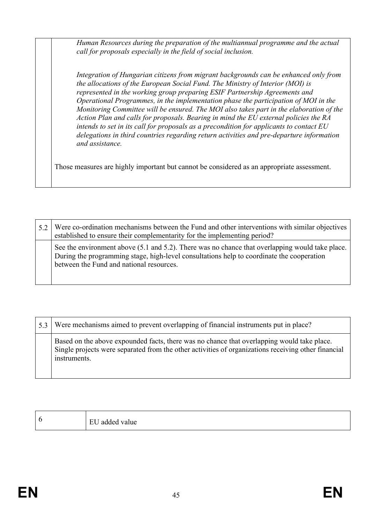*Human Resources during the preparation of the multiannual programme and the actual call for proposals especially in the field of social inclusion.* 

*Integration of Hungarian citizens from migrant backgrounds can be enhanced only from the allocations of the European Social Fund. The Ministry of Interior (MOI) is represented in the working group preparing ESIF Partnership Agreements and Operational Programmes, in the implementation phase the participation of MOI in the Monitoring Committee will be ensured. The MOI also takes part in the elaboration of the Action Plan and calls for proposals. Bearing in mind the EU external policies the RA intends to set in its call for proposals as a precondition for applicants to contact EU delegations in third countries regarding return activities and pre-departure information and assistance.*

Those measures are highly important but cannot be considered as an appropriate assessment.

| 5.2 | Were co-ordination mechanisms between the Fund and other interventions with similar objectives<br>established to ensure their complementarity for the implementing period?                                                               |
|-----|------------------------------------------------------------------------------------------------------------------------------------------------------------------------------------------------------------------------------------------|
|     | See the environment above (5.1 and 5.2). There was no chance that overlapping would take place.<br>During the programming stage, high-level consultations help to coordinate the cooperation<br>between the Fund and national resources. |

| 53 | Were mechanisms aimed to prevent overlapping of financial instruments put in place?                                                                                                                               |
|----|-------------------------------------------------------------------------------------------------------------------------------------------------------------------------------------------------------------------|
|    | Based on the above expounded facts, there was no chance that overlapping would take place.<br>Single projects were separated from the other activities of organizations receiving other financial<br>instruments. |

 $\begin{array}{|l|}\n6 & \text{EU added value}\n\end{array}$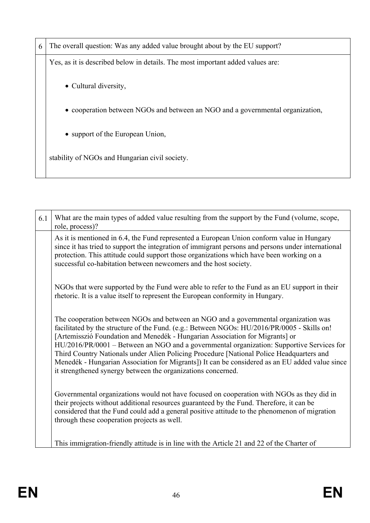| 6 | The overall question: Was any added value brought about by the EU support?     |
|---|--------------------------------------------------------------------------------|
|   | Yes, as it is described below in details. The most important added values are: |
|   | • Cultural diversity,                                                          |
|   | • cooperation between NGOs and between an NGO and a governmental organization, |
|   | • support of the European Union,                                               |
|   | stability of NGOs and Hungarian civil society.                                 |
|   |                                                                                |

| 6.1 | What are the main types of added value resulting from the support by the Fund (volume, scope,<br>role, process)?                                                                                                                                                                                                                                                                                                                                                                                                                                                                                                              |
|-----|-------------------------------------------------------------------------------------------------------------------------------------------------------------------------------------------------------------------------------------------------------------------------------------------------------------------------------------------------------------------------------------------------------------------------------------------------------------------------------------------------------------------------------------------------------------------------------------------------------------------------------|
|     | As it is mentioned in 6.4, the Fund represented a European Union conform value in Hungary<br>since it has tried to support the integration of immigrant persons and persons under international<br>protection. This attitude could support those organizations which have been working on a<br>successful co-habitation between newcomers and the host society.                                                                                                                                                                                                                                                               |
|     | NGOs that were supported by the Fund were able to refer to the Fund as an EU support in their<br>rhetoric. It is a value itself to represent the European conformity in Hungary.                                                                                                                                                                                                                                                                                                                                                                                                                                              |
|     | The cooperation between NGOs and between an NGO and a governmental organization was<br>facilitated by the structure of the Fund. (e.g.: Between NGOs: HU/2016/PR/0005 - Skills on!<br>[Artemisszió Foundation and Menedék - Hungarian Association for Migrants] or<br>HU/2016/PR/0001 – Between an NGO and a governmental organization: Supportive Services for<br>Third Country Nationals under Alien Policing Procedure [National Police Headquarters and<br>Menedék - Hungarian Association for Migrants]) It can be considered as an EU added value since<br>it strengthened synergy between the organizations concerned. |
|     | Governmental organizations would not have focused on cooperation with NGOs as they did in<br>their projects without additional resources guaranteed by the Fund. Therefore, it can be<br>considered that the Fund could add a general positive attitude to the phenomenon of migration<br>through these cooperation projects as well.                                                                                                                                                                                                                                                                                         |
|     | This immigration-friendly attitude is in line with the Article 21 and 22 of the Charter of                                                                                                                                                                                                                                                                                                                                                                                                                                                                                                                                    |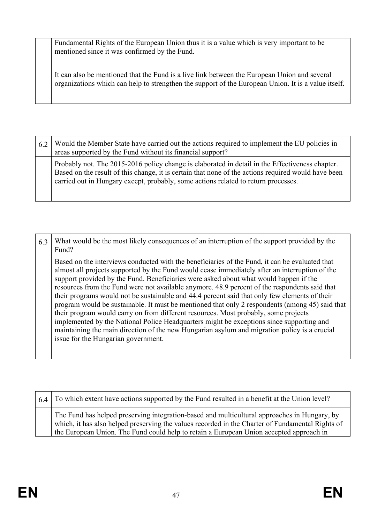Fundamental Rights of the European Union thus it is a value which is very important to be mentioned since it was confirmed by the Fund.

It can also be mentioned that the Fund is a live link between the European Union and several organizations which can help to strengthen the support of the European Union. It is a value itself.

| 6.2 | Would the Member State have carried out the actions required to implement the EU policies in<br>areas supported by the Fund without its financial support?                                                                                                                                   |
|-----|----------------------------------------------------------------------------------------------------------------------------------------------------------------------------------------------------------------------------------------------------------------------------------------------|
|     | Probably not. The 2015-2016 policy change is elaborated in detail in the Effectiveness chapter.<br>Based on the result of this change, it is certain that none of the actions required would have been<br>carried out in Hungary except, probably, some actions related to return processes. |

| 6.3 | What would be the most likely consequences of an interruption of the support provided by the<br>Fund?                                                                                                                                                                                                                                                                                                                                                                                                                                                                                                                                                                                                                                                                                                                                                                                                                    |
|-----|--------------------------------------------------------------------------------------------------------------------------------------------------------------------------------------------------------------------------------------------------------------------------------------------------------------------------------------------------------------------------------------------------------------------------------------------------------------------------------------------------------------------------------------------------------------------------------------------------------------------------------------------------------------------------------------------------------------------------------------------------------------------------------------------------------------------------------------------------------------------------------------------------------------------------|
|     | Based on the interviews conducted with the beneficiaries of the Fund, it can be evaluated that<br>almost all projects supported by the Fund would cease immediately after an interruption of the<br>support provided by the Fund. Beneficiaries were asked about what would happen if the<br>resources from the Fund were not available anymore. 48.9 percent of the respondents said that<br>their programs would not be sustainable and 44.4 percent said that only few elements of their<br>program would be sustainable. It must be mentioned that only 2 respondents (among 45) said that<br>their program would carry on from different resources. Most probably, some projects<br>implemented by the National Police Headquarters might be exceptions since supporting and<br>maintaining the main direction of the new Hungarian asylum and migration policy is a crucial<br>issue for the Hungarian government. |

| 64 | To which extent have actions supported by the Fund resulted in a benefit at the Union level?                                                                                                                                                                                                |
|----|---------------------------------------------------------------------------------------------------------------------------------------------------------------------------------------------------------------------------------------------------------------------------------------------|
|    | The Fund has helped preserving integration-based and multicultural approaches in Hungary, by<br>which, it has also helped preserving the values recorded in the Charter of Fundamental Rights of<br>the European Union. The Fund could help to retain a European Union accepted approach in |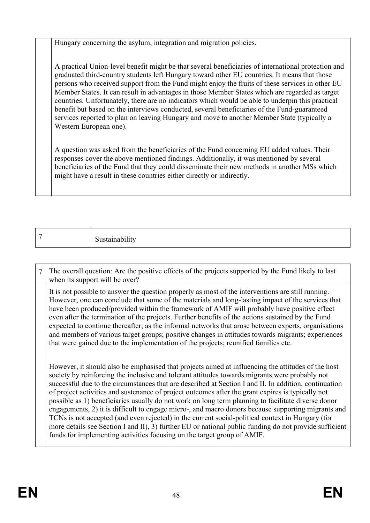Hungary concerning the asylum, integration and migration policies.

A practical Union-level benefit might be that several beneficiaries of international protection and graduated third-country students left Hungary toward other EU countries. It means that those persons who received support from the Fund might enjoy the fruits of these services in other EU Member States. It can result in advantages in those Member States which are regarded as target countries. Unfortunately, there are no indicators which would be able to underpin this practical benefit but based on the interviews conducted, several beneficiaries of the Fund-guaranteed services reported to plan on leaving Hungary and move to another Member State (typically a Western European one).

A question was asked from the beneficiaries of the Fund concerning EU added values. Their responses cover the above mentioned findings. Additionally, it was mentioned by several beneficiaries of the Fund that they could disseminate their new methods in another MSs which might have a result in these countries either directly or indirectly.

| - |
|---|
|---|

| $\overline{7}$ | The overall question: Are the positive effects of the projects supported by the Fund likely to last<br>when its support will be over?                                                                                                                                                                                                                                                                                                                                                                                                                                                                                                                                                                                                                                                                                                                                                                                   |
|----------------|-------------------------------------------------------------------------------------------------------------------------------------------------------------------------------------------------------------------------------------------------------------------------------------------------------------------------------------------------------------------------------------------------------------------------------------------------------------------------------------------------------------------------------------------------------------------------------------------------------------------------------------------------------------------------------------------------------------------------------------------------------------------------------------------------------------------------------------------------------------------------------------------------------------------------|
|                | It is not possible to answer the question properly as most of the interventions are still running.<br>However, one can conclude that some of the materials and long-lasting impact of the services that<br>have been produced/provided within the framework of AMIF will probably have positive effect<br>even after the termination of the projects. Further benefits of the actions sustained by the Fund<br>expected to continue thereafter; as the informal networks that arose between experts, organisations<br>and members of various target groups; positive changes in attitudes towards migrants; experiences<br>that were gained due to the implementation of the projects; reunified families etc.                                                                                                                                                                                                          |
|                | However, it should also be emphasised that projects aimed at influencing the attitudes of the host<br>society by reinforcing the inclusive and tolerant attitudes towards migrants were probably not<br>successful due to the circumstances that are described at Section I and II. In addition, continuation<br>of project activities and sustenance of project outcomes after the grant expires is typically not<br>possible as 1) beneficiaries usually do not work on long term planning to facilitate diverse donor<br>engagements, 2) it is difficult to engage micro-, and macro donors because supporting migrants and<br>TCNs is not accepted (and even rejected) in the current social-political context in Hungary (for<br>more details see Section I and II), 3) further EU or national public funding do not provide sufficient<br>funds for implementing activities focusing on the target group of AMIF. |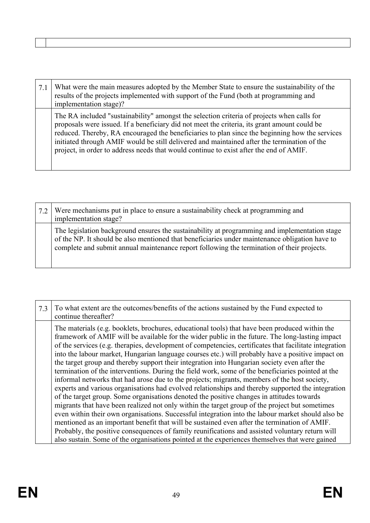| 7.1 | What were the main measures adopted by the Member State to ensure the sustainability of the<br>results of the projects implemented with support of the Fund (both at programming and<br>implementation stage)?                                                                                                                                                                                                                                                                        |
|-----|---------------------------------------------------------------------------------------------------------------------------------------------------------------------------------------------------------------------------------------------------------------------------------------------------------------------------------------------------------------------------------------------------------------------------------------------------------------------------------------|
|     | The RA included "sustainability" amongst the selection criteria of projects when calls for<br>proposals were issued. If a beneficiary did not meet the criteria, its grant amount could be<br>reduced. Thereby, RA encouraged the beneficiaries to plan since the beginning how the services<br>initiated through AMIF would be still delivered and maintained after the termination of the<br>project, in order to address needs that would continue to exist after the end of AMIF. |

| 7.2 | Were mechanisms put in place to ensure a sustainability check at programming and<br>implementation stage?                                                                                                                                                                                     |
|-----|-----------------------------------------------------------------------------------------------------------------------------------------------------------------------------------------------------------------------------------------------------------------------------------------------|
|     | The legislation background ensures the sustainability at programming and implementation stage<br>of the NP. It should be also mentioned that beneficiaries under maintenance obligation have to<br>complete and submit annual maintenance report following the termination of their projects. |

| 7.3 | To what extent are the outcomes/benefits of the actions sustained by the Fund expected to<br>continue thereafter?                                                                                                                                                                                                                                                                                                                                                                                                                                                                                                                                                                                                                                                                                                                                                                                                                                                                                                                                                                                                                                                                                                             |
|-----|-------------------------------------------------------------------------------------------------------------------------------------------------------------------------------------------------------------------------------------------------------------------------------------------------------------------------------------------------------------------------------------------------------------------------------------------------------------------------------------------------------------------------------------------------------------------------------------------------------------------------------------------------------------------------------------------------------------------------------------------------------------------------------------------------------------------------------------------------------------------------------------------------------------------------------------------------------------------------------------------------------------------------------------------------------------------------------------------------------------------------------------------------------------------------------------------------------------------------------|
|     | The materials (e.g. booklets, brochures, educational tools) that have been produced within the<br>framework of AMIF will be available for the wider public in the future. The long-lasting impact<br>of the services (e.g. therapies, development of competencies, certificates that facilitate integration<br>into the labour market, Hungarian language courses etc.) will probably have a positive impact on<br>the target group and thereby support their integration into Hungarian society even after the<br>termination of the interventions. During the field work, some of the beneficiaries pointed at the<br>informal networks that had arose due to the projects; migrants, members of the host society,<br>experts and various organisations had evolved relationships and thereby supported the integration<br>of the target group. Some organisations denoted the positive changes in attitudes towards<br>migrants that have been realized not only within the target group of the project but sometimes<br>even within their own organisations. Successful integration into the labour market should also be<br>mentioned as an important benefit that will be sustained even after the termination of AMIF. |
|     | Probably, the positive consequences of family reunifications and assisted voluntary return will<br>also sustain. Some of the organisations pointed at the experiences themselves that were gained                                                                                                                                                                                                                                                                                                                                                                                                                                                                                                                                                                                                                                                                                                                                                                                                                                                                                                                                                                                                                             |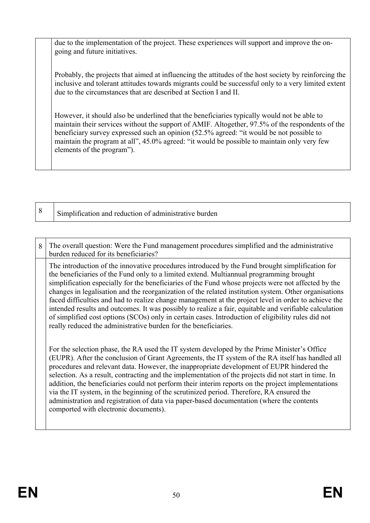due to the implementation of the project. These experiences will support and improve the ongoing and future initiatives.

Probably, the projects that aimed at influencing the attitudes of the host society by reinforcing the inclusive and tolerant attitudes towards migrants could be successful only to a very limited extent due to the circumstances that are described at Section I and II.

However, it should also be underlined that the beneficiaries typically would not be able to maintain their services without the support of AMIF. Altogether, 97.5% of the respondents of the beneficiary survey expressed such an opinion (52.5% agreed: "it would be not possible to maintain the program at all", 45.0% agreed: "it would be possible to maintain only very few elements of the program").

| $\mid 8$<br>Simplification and reduction of administrative burden |  |
|-------------------------------------------------------------------|--|
|-------------------------------------------------------------------|--|

| 8 | The overall question: Were the Fund management procedures simplified and the administrative<br>burden reduced for its beneficiaries?                                                                                                                                                                                                                                                                                                                                                                                                                                                                                                                                                                                                                                                                  |
|---|-------------------------------------------------------------------------------------------------------------------------------------------------------------------------------------------------------------------------------------------------------------------------------------------------------------------------------------------------------------------------------------------------------------------------------------------------------------------------------------------------------------------------------------------------------------------------------------------------------------------------------------------------------------------------------------------------------------------------------------------------------------------------------------------------------|
|   | The introduction of the innovative procedures introduced by the Fund brought simplification for<br>the beneficiaries of the Fund only to a limited extend. Multiannual programming brought<br>simplification especially for the beneficiaries of the Fund whose projects were not affected by the<br>changes in legalisation and the reorganization of the related institution system. Other organisations<br>faced difficulties and had to realize change management at the project level in order to achieve the<br>intended results and outcomes. It was possibly to realize a fair, equitable and verifiable calculation<br>of simplified cost options (SCOs) only in certain cases. Introduction of eligibility rules did not<br>really reduced the administrative burden for the beneficiaries. |
|   | For the selection phase, the RA used the IT system developed by the Prime Minister's Office<br>(EUPR). After the conclusion of Grant Agreements, the IT system of the RA itself has handled all<br>procedures and relevant data. However, the inappropriate development of EUPR hindered the<br>selection. As a result, contracting and the implementation of the projects did not start in time. In<br>addition, the beneficiaries could not perform their interim reports on the project implementations<br>via the IT system, in the beginning of the scrutinized period. Therefore, RA ensured the<br>administration and registration of data via paper-based documentation (where the contents<br>comported with electronic documents).                                                          |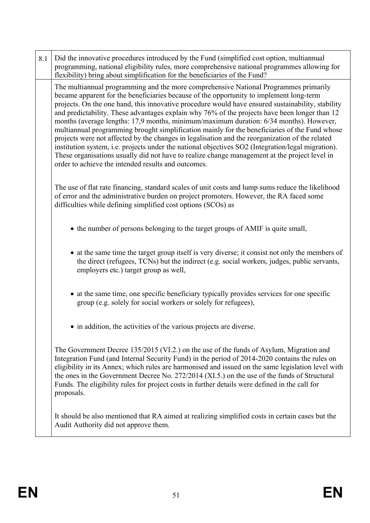| 8.1 | Did the innovative procedures introduced by the Fund (simplified cost option, multiannual<br>programming, national eligibility rules, more comprehensive national programmes allowing for<br>flexibility) bring about simplification for the beneficiaries of the Fund?                                                                                                                                                                                                                                                                                                                                                                                                                                                                                                                                                                                                                                                                           |  |  |  |  |  |  |
|-----|---------------------------------------------------------------------------------------------------------------------------------------------------------------------------------------------------------------------------------------------------------------------------------------------------------------------------------------------------------------------------------------------------------------------------------------------------------------------------------------------------------------------------------------------------------------------------------------------------------------------------------------------------------------------------------------------------------------------------------------------------------------------------------------------------------------------------------------------------------------------------------------------------------------------------------------------------|--|--|--|--|--|--|
|     | The multiannual programming and the more comprehensive National Programmes primarily<br>became apparent for the beneficiaries because of the opportunity to implement long-term<br>projects. On the one hand, this innovative procedure would have ensured sustainability, stability<br>and predictability. These advantages explain why 76% of the projects have been longer than 12<br>months (average lengths: 17,9 months, minimum/maximum duration: 6/34 months). However,<br>multiannual programming brought simplification mainly for the beneficiaries of the Fund whose<br>projects were not affected by the changes in legalisation and the reorganization of the related<br>institution system, i.e. projects under the national objectives SO2 (Integration/legal migration).<br>These organisations usually did not have to realize change management at the project level in<br>order to achieve the intended results and outcomes. |  |  |  |  |  |  |
|     | The use of flat rate financing, standard scales of unit costs and lump sums reduce the likelihood<br>of error and the administrative burden on project promoters. However, the RA faced some<br>difficulties while defining simplified cost options (SCOs) as                                                                                                                                                                                                                                                                                                                                                                                                                                                                                                                                                                                                                                                                                     |  |  |  |  |  |  |
|     | • the number of persons belonging to the target groups of AMIF is quite small,                                                                                                                                                                                                                                                                                                                                                                                                                                                                                                                                                                                                                                                                                                                                                                                                                                                                    |  |  |  |  |  |  |
|     | • at the same time the target group itself is very diverse; it consist not only the members of<br>the direct (refugees, TCNs) but the indirect (e.g. social workers, judges, public servants,<br>employers etc.) target group as well,                                                                                                                                                                                                                                                                                                                                                                                                                                                                                                                                                                                                                                                                                                            |  |  |  |  |  |  |
|     | • at the same time, one specific beneficiary typically provides services for one specific<br>group (e.g. solely for social workers or solely for refugees),                                                                                                                                                                                                                                                                                                                                                                                                                                                                                                                                                                                                                                                                                                                                                                                       |  |  |  |  |  |  |
|     | • in addition, the activities of the various projects are diverse.                                                                                                                                                                                                                                                                                                                                                                                                                                                                                                                                                                                                                                                                                                                                                                                                                                                                                |  |  |  |  |  |  |
|     | The Government Decree 135/2015 (VI.2.) on the use of the funds of Asylum, Migration and<br>Integration Fund (and Internal Security Fund) in the period of 2014-2020 contains the rules on<br>eligibility in its Annex; which rules are harmonised and issued on the same legislation level with<br>the ones in the Government Decree No. 272/2014 (XI.5.) on the use of the funds of Structural<br>Funds. The eligibility rules for project costs in further details were defined in the call for<br>proposals.                                                                                                                                                                                                                                                                                                                                                                                                                                   |  |  |  |  |  |  |
|     | It should be also mentioned that RA aimed at realizing simplified costs in certain cases but the<br>Audit Authority did not approve them.                                                                                                                                                                                                                                                                                                                                                                                                                                                                                                                                                                                                                                                                                                                                                                                                         |  |  |  |  |  |  |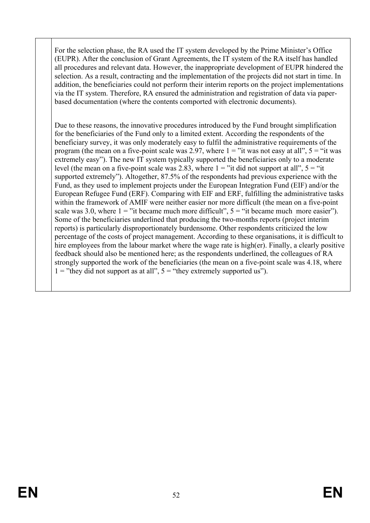For the selection phase, the RA used the IT system developed by the Prime Minister's Office (EUPR). After the conclusion of Grant Agreements, the IT system of the RA itself has handled all procedures and relevant data. However, the inappropriate development of EUPR hindered the selection. As a result, contracting and the implementation of the projects did not start in time. In addition, the beneficiaries could not perform their interim reports on the project implementations via the IT system. Therefore, RA ensured the administration and registration of data via paperbased documentation (where the contents comported with electronic documents).

Due to these reasons, the innovative procedures introduced by the Fund brought simplification for the beneficiaries of the Fund only to a limited extent. According the respondents of the beneficiary survey, it was only moderately easy to fulfil the administrative requirements of the program (the mean on a five-point scale was 2.97, where  $1 =$  "it was not easy at all",  $5 =$  "it was extremely easy"). The new IT system typically supported the beneficiaries only to a moderate level (the mean on a five-point scale was 2.83, where  $1 =$  "it did not support at all",  $5 =$  "it" supported extremely"). Altogether, 87.5% of the respondents had previous experience with the Fund, as they used to implement projects under the European Integration Fund (EIF) and/or the European Refugee Fund (ERF). Comparing with EIF and ERF, fulfilling the administrative tasks within the framework of AMIF were neither easier nor more difficult (the mean on a five-point scale was 3.0, where  $1 =$  "it became much more difficult",  $5 =$  "it became much more easier"). Some of the beneficiaries underlined that producing the two-months reports (project interim reports) is particularly disproportionately burdensome. Other respondents criticized the low percentage of the costs of project management. According to these organisations, it is difficult to hire employees from the labour market where the wage rate is high(er). Finally, a clearly positive feedback should also be mentioned here; as the respondents underlined, the colleagues of RA strongly supported the work of the beneficiaries (the mean on a five-point scale was 4.18, where  $1 =$ "they did not support as at all",  $5 =$ "they extremely supported us").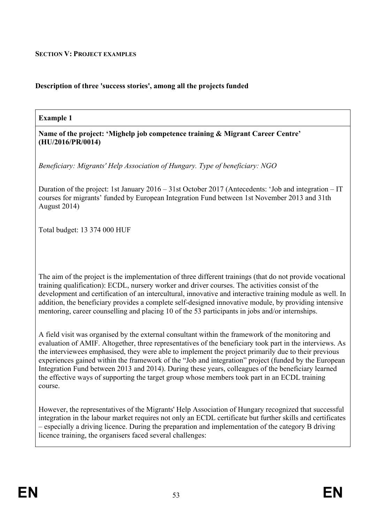#### **SECTION V: PROJECT EXAMPLES**

### **Description of three 'success stories', among all the projects funded**

#### **Example 1**

#### **Name of the project: 'Mighelp job competence training & Migrant Career Centre' (HU/2016/PR/0014)**

*Beneficiary: Migrants' Help Association of Hungary. Type of beneficiary: NGO*

Duration of the project: 1st January 2016 – 31st October 2017 (Antecedents: 'Job and integration – IT courses for migrants' funded by European Integration Fund between 1st November 2013 and 31th August 2014)

Total budget: 13 374 000 HUF

The aim of the project is the implementation of three different trainings (that do not provide vocational training qualification): ECDL, nursery worker and driver courses. The activities consist of the development and certification of an intercultural, innovative and interactive training module as well. In addition, the beneficiary provides a complete self-designed innovative module, by providing intensive mentoring, career counselling and placing 10 of the 53 participants in jobs and/or internships.

A field visit was organised by the external consultant within the framework of the monitoring and evaluation of AMIF. Altogether, three representatives of the beneficiary took part in the interviews. As the interviewees emphasised, they were able to implement the project primarily due to their previous experiences gained within the framework of the "Job and integration" project (funded by the European Integration Fund between 2013 and 2014). During these years, colleagues of the beneficiary learned the effective ways of supporting the target group whose members took part in an ECDL training course.

However, the representatives of the Migrants' Help Association of Hungary recognized that successful integration in the labour market requires not only an ECDL certificate but further skills and certificates – especially a driving licence. During the preparation and implementation of the category B driving licence training, the organisers faced several challenges: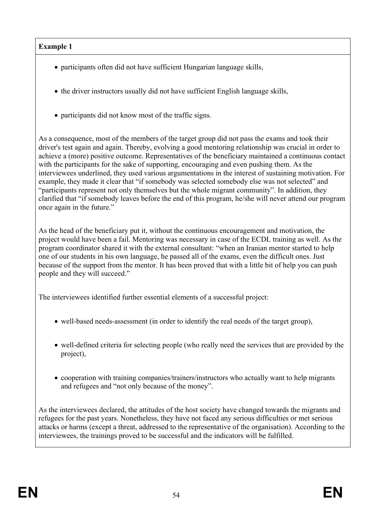- participants often did not have sufficient Hungarian language skills,
- the driver instructors usually did not have sufficient English language skills,
- participants did not know most of the traffic signs.

As a consequence, most of the members of the target group did not pass the exams and took their driver's test again and again. Thereby, evolving a good mentoring relationship was crucial in order to achieve a (more) positive outcome. Representatives of the beneficiary maintained a continuous contact with the participants for the sake of supporting, encouraging and even pushing them. As the interviewees underlined, they used various argumentations in the interest of sustaining motivation. For example, they made it clear that "if somebody was selected somebody else was not selected" and "participants represent not only themselves but the whole migrant community". In addition, they clarified that "if somebody leaves before the end of this program, he/she will never attend our program once again in the future."

As the head of the beneficiary put it, without the continuous encouragement and motivation, the project would have been a fail. Mentoring was necessary in case of the ECDL training as well. As the program coordinator shared it with the external consultant: "when an Iranian mentor started to help one of our students in his own language, he passed all of the exams, even the difficult ones. Just because of the support from the mentor. It has been proved that with a little bit of help you can push people and they will succeed."

The interviewees identified further essential elements of a successful project:

- well-based needs-assessment (in order to identify the real needs of the target group),
- well-defined criteria for selecting people (who really need the services that are provided by the project),
- cooperation with training companies/trainers/instructors who actually want to help migrants and refugees and "not only because of the money".

As the interviewees declared, the attitudes of the host society have changed towards the migrants and refugees for the past years. Nonetheless, they have not faced any serious difficulties or met serious attacks or harms (except a threat, addressed to the representative of the organisation). According to the interviewees, the trainings proved to be successful and the indicators will be fulfilled.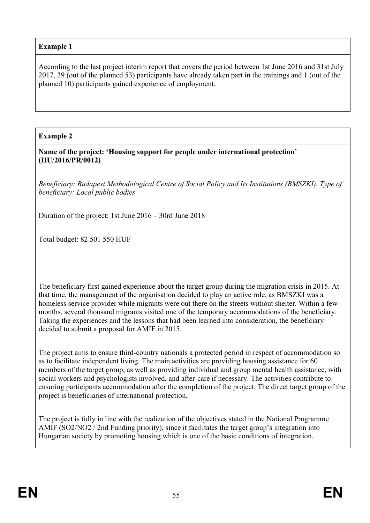According to the last project interim report that covers the period between 1st June 2016 and 31st July 2017, 39 (out of the planned 53) participants have already taken part in the trainings and 1 (out of the planned 10) participants gained experience of employment.

# **Example 2**

**Name of the project: 'Housing support for people under international protection' (HU/2016/PR/0012)**

*Beneficiary: Budapest Methodological Centre of Social Policy and Its Institutions (BMSZKI). Type of beneficiary: Local public bodies*

Duration of the project: 1st June 2016 – 30rd June 2018

Total budget: 82 501 550 HUF

The beneficiary first gained experience about the target group during the migration crisis in 2015. At that time, the management of the organisation decided to play an active role, as BMSZKI was a homeless service provider while migrants were out there on the streets without shelter. Within a few months, several thousand migrants visited one of the temporary accommodations of the beneficiary. Taking the experiences and the lessons that had been learned into consideration, the beneficiary decided to submit a proposal for AMIF in 2015.

The project aims to ensure third-country nationals a protected period in respect of accommodation so as to facilitate independent living. The main activities are providing housing assistance for 60 members of the target group, as well as providing individual and group mental health assistance, with social workers and psychologists involved, and after-care if necessary. The activities contribute to ensuring participants accommodation after the completion of the project. The direct target group of the project is beneficiaries of international protection.

The project is fully in line with the realization of the objectives stated in the National Programme AMIF (SO2/NO2 / 2nd Funding priority), since it facilitates the target group's integration into Hungarian society by promoting housing which is one of the basic conditions of integration.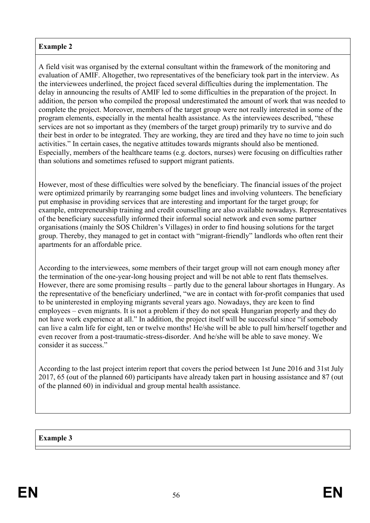A field visit was organised by the external consultant within the framework of the monitoring and evaluation of AMIF. Altogether, two representatives of the beneficiary took part in the interview. As the interviewees underlined, the project faced several difficulties during the implementation. The delay in announcing the results of AMIF led to some difficulties in the preparation of the project. In addition, the person who compiled the proposal underestimated the amount of work that was needed to complete the project. Moreover, members of the target group were not really interested in some of the program elements, especially in the mental health assistance. As the interviewees described, "these services are not so important as they (members of the target group) primarily try to survive and do their best in order to be integrated. They are working, they are tired and they have no time to join such activities." In certain cases, the negative attitudes towards migrants should also be mentioned. Especially, members of the healthcare teams (e.g. doctors, nurses) were focusing on difficulties rather than solutions and sometimes refused to support migrant patients.

However, most of these difficulties were solved by the beneficiary. The financial issues of the project were optimized primarily by rearranging some budget lines and involving volunteers. The beneficiary put emphasise in providing services that are interesting and important for the target group; for example, entrepreneurship training and credit counselling are also available nowadays. Representatives of the beneficiary successfully informed their informal social network and even some partner organisations (mainly the SOS Children's Villages) in order to find housing solutions for the target group. Thereby, they managed to get in contact with "migrant-friendly" landlords who often rent their apartments for an affordable price.

According to the interviewees, some members of their target group will not earn enough money after the termination of the one-year-long housing project and will be not able to rent flats themselves. However, there are some promising results – partly due to the general labour shortages in Hungary. As the representative of the beneficiary underlined, "we are in contact with for-profit companies that used to be uninterested in employing migrants several years ago. Nowadays, they are keen to find employees – even migrants. It is not a problem if they do not speak Hungarian properly and they do not have work experience at all." In addition, the project itself will be successful since "if somebody can live a calm life for eight, ten or twelve months! He/she will be able to pull him/herself together and even recover from a post-traumatic-stress-disorder. And he/she will be able to save money. We consider it as success."

According to the last project interim report that covers the period between 1st June 2016 and 31st July 2017, 65 (out of the planned 60) participants have already taken part in housing assistance and 87 (out of the planned 60) in individual and group mental health assistance.

## **Example 3**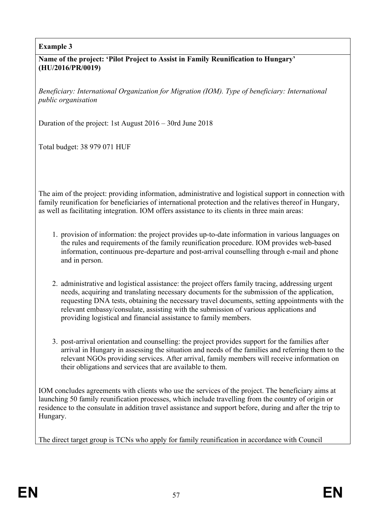### **Name of the project: 'Pilot Project to Assist in Family Reunification to Hungary' (HU/2016/PR/0019)**

*Beneficiary: International Organization for Migration (IOM). Type of beneficiary: International public organisation*

Duration of the project: 1st August 2016 – 30rd June 2018

Total budget: 38 979 071 HUF

The aim of the project: providing information, administrative and logistical support in connection with family reunification for beneficiaries of international protection and the relatives thereof in Hungary, as well as facilitating integration. IOM offers assistance to its clients in three main areas:

- 1. provision of information: the project provides up-to-date information in various languages on the rules and requirements of the family reunification procedure. IOM provides web-based information, continuous pre-departure and post-arrival counselling through e-mail and phone and in person.
- 2. administrative and logistical assistance: the project offers family tracing, addressing urgent needs, acquiring and translating necessary documents for the submission of the application, requesting DNA tests, obtaining the necessary travel documents, setting appointments with the relevant embassy/consulate, assisting with the submission of various applications and providing logistical and financial assistance to family members.
- 3. post-arrival orientation and counselling: the project provides support for the families after arrival in Hungary in assessing the situation and needs of the families and referring them to the relevant NGOs providing services. After arrival, family members will receive information on their obligations and services that are available to them.

IOM concludes agreements with clients who use the services of the project. The beneficiary aims at launching 50 family reunification processes, which include travelling from the country of origin or residence to the consulate in addition travel assistance and support before, during and after the trip to Hungary.

The direct target group is TCNs who apply for family reunification in accordance with Council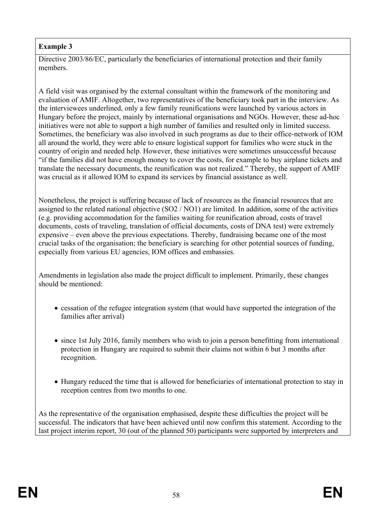Directive 2003/86/EC, particularly the beneficiaries of international protection and their family members.

A field visit was organised by the external consultant within the framework of the monitoring and evaluation of AMIF. Altogether, two representatives of the beneficiary took part in the interview. As the interviewees underlined, only a few family reunifications were launched by various actors in Hungary before the project, mainly by international organisations and NGOs. However, these ad-hoc initiatives were not able to support a high number of families and resulted only in limited success. Sometimes, the beneficiary was also involved in such programs as due to their office-network of IOM all around the world, they were able to ensure logistical support for families who were stuck in the country of origin and needed help. However, these initiatives were sometimes unsuccessful because "if the families did not have enough money to cover the costs, for example to buy airplane tickets and translate the necessary documents, the reunification was not realized." Thereby, the support of AMIF was crucial as it allowed IOM to expand its services by financial assistance as well.

Nonetheless, the project is suffering because of lack of resources as the financial resources that are assigned to the related national objective (SO2 / NO1) are limited. In addition, some of the activities (e.g. providing accommodation for the families waiting for reunification abroad, costs of travel documents, costs of traveling, translation of official documents, costs of DNA test) were extremely expensive – even above the previous expectations. Thereby, fundraising became one of the most crucial tasks of the organisation; the beneficiary is searching for other potential sources of funding, especially from various EU agencies, IOM offices and embassies.

Amendments in legislation also made the project difficult to implement. Primarily, these changes should be mentioned:

- cessation of the refugee integration system (that would have supported the integration of the families after arrival)
- since 1st July 2016, family members who wish to join a person benefitting from international protection in Hungary are required to submit their claims not within 6 but 3 months after recognition.
- Hungary reduced the time that is allowed for beneficiaries of international protection to stay in reception centres from two months to one.

As the representative of the organisation emphasised, despite these difficulties the project will be successful. The indicators that have been achieved until now confirm this statement. According to the last project interim report, 30 (out of the planned 50) participants were supported by interpreters and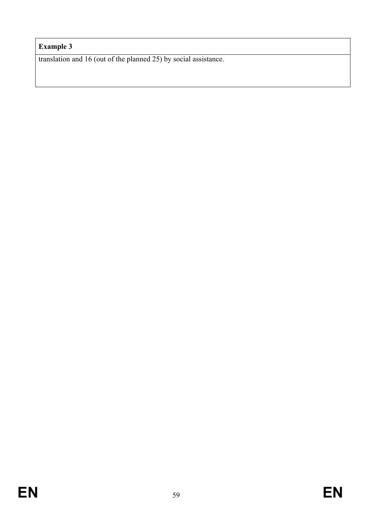translation and 16 (out of the planned 25) by social assistance.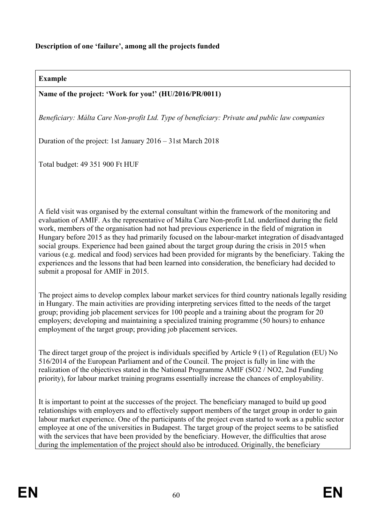## **Name of the project: 'Work for you!' (HU/2016/PR/0011)**

*Beneficiary: Málta Care Non-profit Ltd. Type of beneficiary: Private and public law companies*

Duration of the project: 1st January 2016 – 31st March 2018

Total budget: 49 351 900 Ft HUF

A field visit was organised by the external consultant within the framework of the monitoring and evaluation of AMIF. As the representative of Málta Care Non-profit Ltd. underlined during the field work, members of the organisation had not had previous experience in the field of migration in Hungary before 2015 as they had primarily focused on the labour-market integration of disadvantaged social groups. Experience had been gained about the target group during the crisis in 2015 when various (e.g. medical and food) services had been provided for migrants by the beneficiary. Taking the experiences and the lessons that had been learned into consideration, the beneficiary had decided to submit a proposal for AMIF in 2015.

The project aims to develop complex labour market services for third country nationals legally residing in Hungary. The main activities are providing interpreting services fitted to the needs of the target group; providing job placement services for 100 people and a training about the program for 20 employers; developing and maintaining a specialized training programme (50 hours) to enhance employment of the target group; providing job placement services.

The direct target group of the project is individuals specified by Article 9 (1) of Regulation (EU) No 516/2014 of the European Parliament and of the Council. The project is fully in line with the realization of the objectives stated in the National Programme AMIF (SO2 / NO2, 2nd Funding priority), for labour market training programs essentially increase the chances of employability.

It is important to point at the successes of the project. The beneficiary managed to build up good relationships with employers and to effectively support members of the target group in order to gain labour market experience. One of the participants of the project even started to work as a public sector employee at one of the universities in Budapest. The target group of the project seems to be satisfied with the services that have been provided by the beneficiary. However, the difficulties that arose during the implementation of the project should also be introduced. Originally, the beneficiary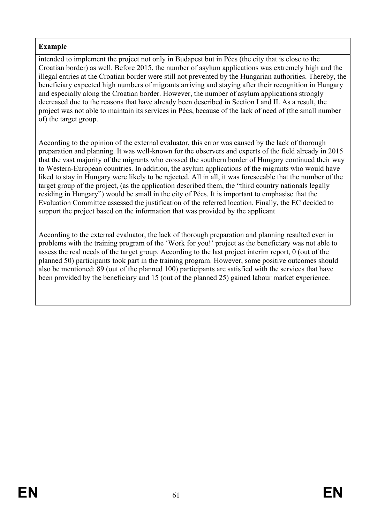intended to implement the project not only in Budapest but in Pécs (the city that is close to the Croatian border) as well. Before 2015, the number of asylum applications was extremely high and the illegal entries at the Croatian border were still not prevented by the Hungarian authorities. Thereby, the beneficiary expected high numbers of migrants arriving and staying after their recognition in Hungary and especially along the Croatian border. However, the number of asylum applications strongly decreased due to the reasons that have already been described in Section I and II. As a result, the project was not able to maintain its services in Pécs, because of the lack of need of (the small number of) the target group.

According to the opinion of the external evaluator, this error was caused by the lack of thorough preparation and planning. It was well-known for the observers and experts of the field already in 2015 that the vast majority of the migrants who crossed the southern border of Hungary continued their way to Western-European countries. In addition, the asylum applications of the migrants who would have liked to stay in Hungary were likely to be rejected. All in all, it was foreseeable that the number of the target group of the project, (as the application described them, the "third country nationals legally residing in Hungary") would be small in the city of Pécs. It is important to emphasise that the Evaluation Committee assessed the justification of the referred location. Finally, the EC decided to support the project based on the information that was provided by the applicant

According to the external evaluator, the lack of thorough preparation and planning resulted even in problems with the training program of the 'Work for you!' project as the beneficiary was not able to assess the real needs of the target group. According to the last project interim report, 0 (out of the planned 50) participants took part in the training program. However, some positive outcomes should also be mentioned: 89 (out of the planned 100) participants are satisfied with the services that have been provided by the beneficiary and 15 (out of the planned 25) gained labour market experience.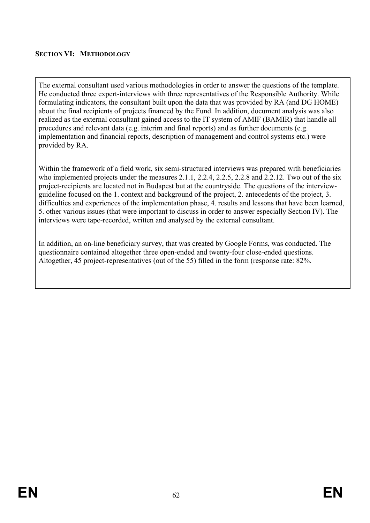## **SECTION VI: METHODOLOGY**

The external consultant used various methodologies in order to answer the questions of the template. He conducted three expert-interviews with three representatives of the Responsible Authority. While formulating indicators, the consultant built upon the data that was provided by RA (and DG HOME) about the final recipients of projects financed by the Fund. In addition, document analysis was also realized as the external consultant gained access to the IT system of AMIF (BAMIR) that handle all procedures and relevant data (e.g. interim and final reports) and as further documents (e.g. implementation and financial reports, description of management and control systems etc.) were provided by RA.

Within the framework of a field work, six semi-structured interviews was prepared with beneficiaries who implemented projects under the measures 2.1.1, 2.2.4, 2.2.5, 2.2.8 and 2.2.12. Two out of the six project-recipients are located not in Budapest but at the countryside. The questions of the interviewguideline focused on the 1. context and background of the project, 2. antecedents of the project, 3. difficulties and experiences of the implementation phase, 4. results and lessons that have been learned, 5. other various issues (that were important to discuss in order to answer especially Section IV). The interviews were tape-recorded, written and analysed by the external consultant.

In addition, an on-line beneficiary survey, that was created by Google Forms, was conducted. The questionnaire contained altogether three open-ended and twenty-four close-ended questions. Altogether, 45 project-representatives (out of the 55) filled in the form (response rate: 82%.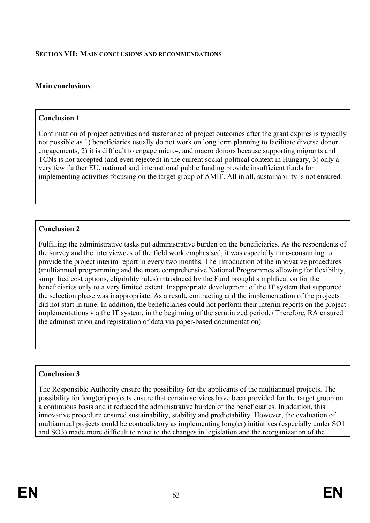#### **SECTION VII: MAIN CONCLUSIONS AND RECOMMENDATIONS**

### **Main conclusions**

#### **Conclusion 1**

Continuation of project activities and sustenance of project outcomes after the grant expires is typically not possible as 1) beneficiaries usually do not work on long term planning to facilitate diverse donor engagements, 2) it is difficult to engage micro-, and macro donors because supporting migrants and TCNs is not accepted (and even rejected) in the current social-political context in Hungary, 3) only a very few further EU, national and international public funding provide insufficient funds for implementing activities focusing on the target group of AMIF. All in all, sustainability is not ensured.

## **Conclusion 2**

Fulfilling the administrative tasks put administrative burden on the beneficiaries. As the respondents of the survey and the interviewees of the field work emphasised, it was especially time-consuming to provide the project interim report in every two months. The introduction of the innovative procedures (multiannual programming and the more comprehensive National Programmes allowing for flexibility, simplified cost options, eligibility rules) introduced by the Fund brought simplification for the beneficiaries only to a very limited extent. Inappropriate development of the IT system that supported the selection phase was inappropriate. As a result, contracting and the implementation of the projects did not start in time. In addition, the beneficiaries could not perform their interim reports on the project implementations via the IT system, in the beginning of the scrutinized period. (Therefore, RA ensured the administration and registration of data via paper-based documentation).

### **Conclusion 3**

The Responsible Authority ensure the possibility for the applicants of the multiannual projects. The possibility for long(er) projects ensure that certain services have been provided for the target group on a continuous basis and it reduced the administrative burden of the beneficiaries. In addition, this innovative procedure ensured sustainability, stability and predictability. However, the evaluation of multiannual projects could be contradictory as implementing long(er) initiatives (especially under SO1 and SO3) made more difficult to react to the changes in legislation and the reorganization of the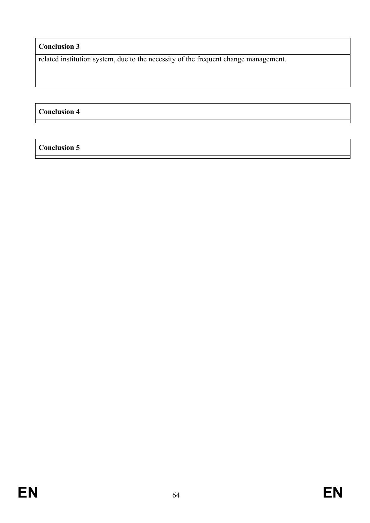# **Conclusion 3**

related institution system, due to the necessity of the frequent change management.

**Conclusion 4**

**Conclusion 5**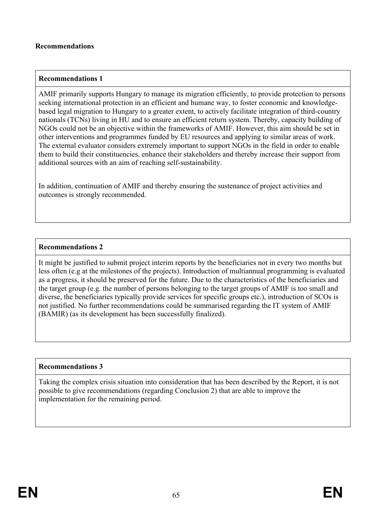#### **Recommendations**

### **Recommendations 1**

AMIF primarily supports Hungary to manage its migration efficiently, to provide protection to persons seeking international protection in an efficient and humane way, to foster economic and knowledgebased legal migration to Hungary to a greater extent, to actively facilitate integration of third-country nationals (TCNs) living in HU and to ensure an efficient return system. Thereby, capacity building of NGOs could not be an objective within the frameworks of AMIF. However, this aim should be set in other interventions and programmes funded by EU resources and applying to similar areas of work. The external evaluator considers extremely important to support NGOs in the field in order to enable them to build their constituencies, enhance their stakeholders and thereby increase their support from additional sources with an aim of reaching self-sustainability.

In addition, continuation of AMIF and thereby ensuring the sustenance of project activities and outcomes is strongly recommended.

#### **Recommendations 2**

It might be justified to submit project interim reports by the beneficiaries not in every two months but less often (e.g at the milestones of the projects). Introduction of multiannual programming is evaluated as a progress, it should be preserved for the future. Due to the characteristics of the beneficiaries and the target group (e.g. the number of persons belonging to the target groups of AMIF is too small and diverse, the beneficiaries typically provide services for specific groups etc.), introduction of SCOs is not justified. No further recommendations could be summarised regarding the IT system of AMIF (BAMIR) (as its development has been successfully finalized).

#### **Recommendations 3**

Taking the complex crisis situation into consideration that has been described by the Report, it is not possible to give recommendations (regarding Conclusion 2) that are able to improve the implementation for the remaining period.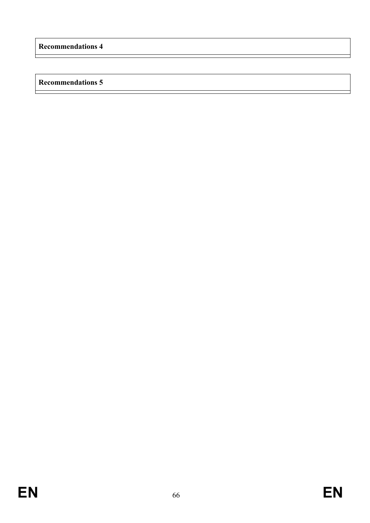# **Recommendations 5**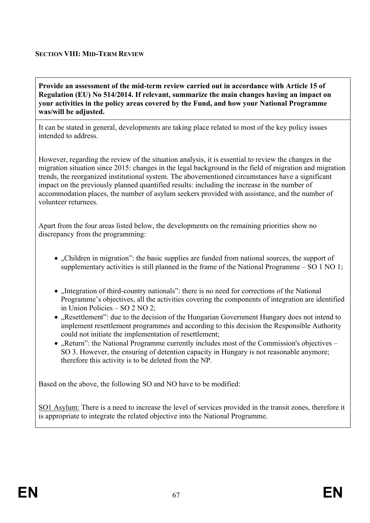### **SECTION VIII: MID-TERM REVIEW**

**Provide an assessment of the mid-term review carried out in accordance with Article 15 of Regulation (EU) No 514/2014. If relevant, summarize the main changes having an impact on your activities in the policy areas covered by the Fund, and how your National Programme was/will be adjusted.**

It can be stated in general, developments are taking place related to most of the key policy issues intended to address.

However, regarding the review of the situation analysis, it is essential to review the changes in the migration situation since 2015: changes in the legal background in the field of migration and migration trends, the reorganized institutional system. The abovementioned circumstances have a significant impact on the previously planned quantified results: including the increase in the number of accommodation places, the number of asylum seekers provided with assistance, and the number of volunteer returnees.

Apart from the four areas listed below, the developments on the remaining priorities show no discrepancy from the programming:

- "Children in migration": the basic supplies are funded from national sources, the support of supplementary activities is still planned in the frame of the National Programme – SO 1 NO 1;
- Integration of third-country nationals": there is no need for corrections of the National Programme's objectives, all the activities covering the components of integration are identified in Union Policies – SO 2 NO 2;
- Resettlement": due to the decision of the Hungarian Government Hungary does not intend to implement resettlement programmes and according to this decision the Responsible Authority could not initiate the implementation of resettlement;
- ..Return": the National Programme currently includes most of the Commission's objectives SO 3. However, the ensuring of detention capacity in Hungary is not reasonable anymore; therefore this activity is to be deleted from the NP.

Based on the above, the following SO and NO have to be modified:

SO1 Asylum: There is a need to increase the level of services provided in the transit zones, therefore it is appropriate to integrate the related objective into the National Programme.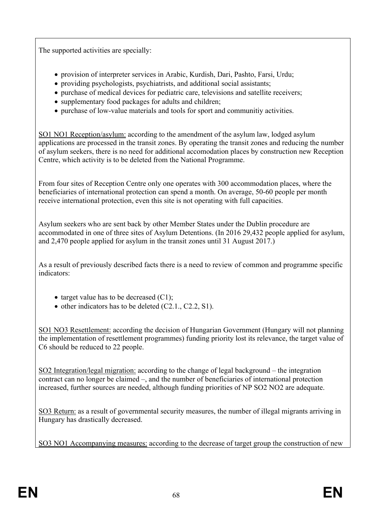The supported activities are specially:

- provision of interpreter services in Arabic, Kurdish, Dari, Pashto, Farsi, Urdu;
- providing psychologists, psychiatrists, and additional social assistants;
- purchase of medical devices for pediatric care, televisions and satellite receivers;
- supplementary food packages for adults and children;
- purchase of low-value materials and tools for sport and communitiy activities.

SO1 NO1 Reception/asylum: according to the amendment of the asylum law, lodged asylum applications are processed in the transit zones. By operating the transit zones and reducing the number of asylum seekers, there is no need for additional accomodation places by construction new Reception Centre, which activity is to be deleted from the National Programme.

From four sites of Reception Centre only one operates with 300 accommodation places, where the beneficiaries of international protection can spend a month. On average, 50-60 people per month receive international protection, even this site is not operating with full capacities.

Asylum seekers who are sent back by other Member States under the Dublin procedure are accommodated in one of three sites of Asylum Detentions. (In 2016 29,432 people applied for asylum, and 2,470 people applied for asylum in the transit zones until 31 August 2017.)

As a result of previously described facts there is a need to review of common and programme specific indicators:

- target value has to be decreased  $(C1)$ ;
- $\bullet$  other indicators has to be deleted (C2.1., C2.2, S1).

SO1 NO3 Resettlement: according the decision of Hungarian Government (Hungary will not planning the implementation of resettlement programmes) funding priority lost its relevance, the target value of C6 should be reduced to 22 people.

SO2 Integration/legal migration: according to the change of legal background – the integration contract can no longer be claimed –, and the number of beneficiaries of international protection increased, further sources are needed, although funding priorities of NP SO2 NO2 are adequate.

SO3 Return: as a result of governmental security measures, the number of illegal migrants arriving in Hungary has drastically decreased.

SO3 NO1 Accompanying measures: according to the decrease of target group the construction of new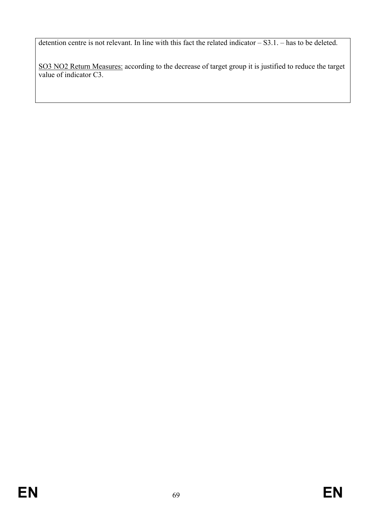detention centre is not relevant. In line with this fact the related indicator – S3.1. – has to be deleted.

SO3 NO2 Return Measures: according to the decrease of target group it is justified to reduce the target value of indicator C3.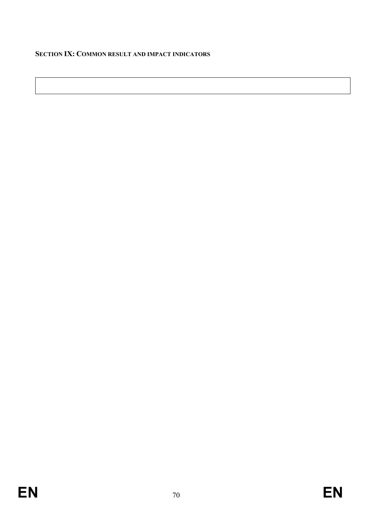# **SECTION IX: COMMON RESULT AND IMPACT INDICATORS**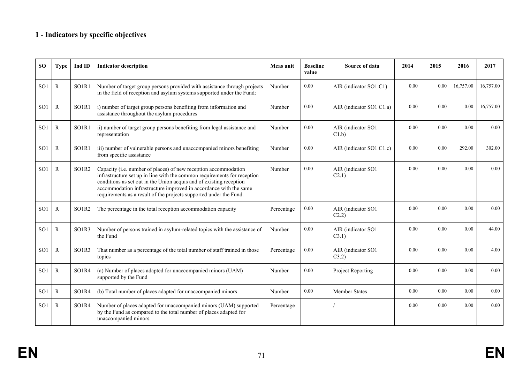# **1 - Indicators by specific objectives**

| <b>SO</b>       | <b>Type</b>  | Ind ID                         | <b>Indicator description</b>                                                                                                                                                                                                                                                                                                                                  | <b>Meas</b> unit | <b>Baseline</b><br>value | Source of data              | 2014 | 2015 | 2016      | 2017      |
|-----------------|--------------|--------------------------------|---------------------------------------------------------------------------------------------------------------------------------------------------------------------------------------------------------------------------------------------------------------------------------------------------------------------------------------------------------------|------------------|--------------------------|-----------------------------|------|------|-----------|-----------|
| SO <sub>1</sub> | $\mathbf R$  | SO <sub>1</sub> R <sub>1</sub> | Number of target group persons provided with assistance through projects<br>in the field of reception and asylum systems supported under the Fund:                                                                                                                                                                                                            | Number           | 0.00                     | AIR (indicator SO1 C1)      | 0.00 | 0.00 | 16,757.00 | 16,757.00 |
| SO <sub>1</sub> | $\mathbf R$  | SO1R1                          | i) number of target group persons benefiting from information and<br>assistance throughout the asylum procedures                                                                                                                                                                                                                                              | Number           | 0.00                     | AIR (indicator SO1 C1.a)    | 0.00 | 0.00 | 0.00      | 16,757.00 |
| SO <sub>1</sub> | $\mathbb{R}$ | SO <sub>1</sub> R <sub>1</sub> | ii) number of target group persons benefiting from legal assistance and<br>representation                                                                                                                                                                                                                                                                     | Number           | 0.00                     | AIR (indicator SO1<br>C1.b  | 0.00 | 0.00 | 0.00      | 0.00      |
| SO <sub>1</sub> | $\mathbf R$  | SO <sub>1</sub> R <sub>1</sub> | iii) number of vulnerable persons and unaccompanied minors benefiting<br>from specific assistance                                                                                                                                                                                                                                                             | Number           | 0.00                     | AIR (indicator SO1 C1.c)    | 0.00 | 0.00 | 292.00    | 302.00    |
| SO <sub>1</sub> | ${\bf R}$    | SO1R2                          | Capacity (i.e. number of places) of new reception accommodation<br>infrastructure set up in line with the common requirements for reception<br>conditions as set out in the Union acquis and of existing reception<br>accommodation infrastructure improved in accordance with the same<br>requirements as a result of the projects supported under the Fund. | Number           | 0.00                     | AIR (indicator SO1<br>C2.1) | 0.00 | 0.00 | 0.00      | 0.00      |
| SO <sub>1</sub> | $\mathbb{R}$ | SO1R2                          | The percentage in the total reception accommodation capacity                                                                                                                                                                                                                                                                                                  | Percentage       | 0.00                     | AIR (indicator SO1<br>C2.2  | 0.00 | 0.00 | 0.00      | 0.00      |
| SO <sub>1</sub> | $\mathbf R$  | SO <sub>1</sub> R <sub>3</sub> | Number of persons trained in asylum-related topics with the assistance of<br>the Fund                                                                                                                                                                                                                                                                         | Number           | 0.00                     | AIR (indicator SO1<br>C3.1) | 0.00 | 0.00 | 0.00      | 44.00     |
| SO <sub>1</sub> | $\mathbf R$  | SO1R3                          | That number as a percentage of the total number of staff trained in those<br>topics                                                                                                                                                                                                                                                                           | Percentage       | 0.00                     | AIR (indicator SO1<br>C3.2  | 0.00 | 0.00 | 0.00      | 4.00      |
| SO <sub>1</sub> | R            | SO <sub>1</sub> R <sub>4</sub> | (a) Number of places adapted for unaccompanied minors (UAM)<br>supported by the Fund                                                                                                                                                                                                                                                                          | Number           | 0.00                     | Project Reporting           | 0.00 | 0.00 | 0.00      | 0.00      |
| SO <sub>1</sub> | $\mathbb{R}$ | SO1R4                          | (b) Total number of places adapted for unaccompanied minors                                                                                                                                                                                                                                                                                                   | Number           | 0.00                     | <b>Member States</b>        | 0.00 | 0.00 | 0.00      | 0.00      |
| SO <sub>1</sub> | $\mathbb{R}$ | SO1R4                          | Number of places adapted for unaccompanied minors (UAM) supported<br>by the Fund as compared to the total number of places adapted for<br>unaccompanied minors.                                                                                                                                                                                               | Percentage       |                          |                             | 0.00 | 0.00 | 0.00      | 0.00      |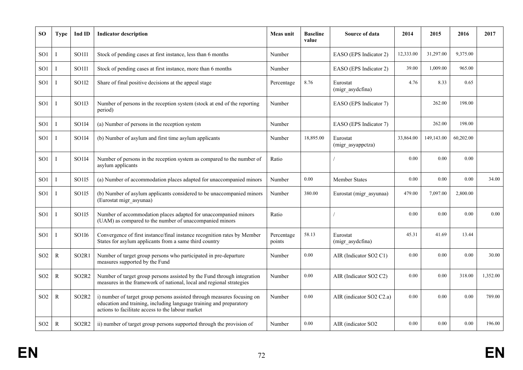| SΟ              | <b>Type</b>  | Ind ID                         | <b>Indicator description</b>                                                                                                                                                                        | <b>Meas unit</b>     | <b>Baseline</b><br>value | Source of data                | 2014      | 2015       | 2016      | 2017     |
|-----------------|--------------|--------------------------------|-----------------------------------------------------------------------------------------------------------------------------------------------------------------------------------------------------|----------------------|--------------------------|-------------------------------|-----------|------------|-----------|----------|
| SO <sub>1</sub> | Т            | <b>SO1I1</b>                   | Stock of pending cases at first instance, less than 6 months                                                                                                                                        | Number               |                          | EASO (EPS Indicator 2)        | 12,333.00 | 31,297.00  | 9,375.00  |          |
| SO <sub>1</sub> |              | SO <sub>111</sub>              | Stock of pending cases at first instance, more than 6 months                                                                                                                                        | Number               |                          | EASO (EPS Indicator 2)        | 39.00     | 1,009.00   | 965.00    |          |
| SO1             |              | <b>SO1I2</b>                   | Share of final positive decisions at the appeal stage                                                                                                                                               | Percentage           | 8.76                     | Eurostat<br>(migr asydcfina)  | 4.76      | 8.33       | 0.65      |          |
| SO1             | Ι            | <b>SO113</b>                   | Number of persons in the reception system (stock at end of the reporting<br>period)                                                                                                                 | Number               |                          | EASO (EPS Indicator 7)        |           | 262.00     | 198.00    |          |
| SO1             |              | SO114                          | (a) Number of persons in the reception system                                                                                                                                                       | Number               |                          | EASO (EPS Indicator 7)        |           | 262.00     | 198.00    |          |
| SO <sub>1</sub> |              | SO1I4                          | (b) Number of asylum and first time asylum applicants                                                                                                                                               | Number               | 18,895.00                | Eurostat<br>(migr asyappctza) | 33,864.00 | 149,143.00 | 60,202.00 |          |
| SO1             |              | SO114                          | Number of persons in the reception system as compared to the number of<br>asylum applicants                                                                                                         | Ratio                |                          |                               | 0.00      | 0.00       | 0.00      |          |
| SO <sub>1</sub> | T            | SO115                          | (a) Number of accommodation places adapted for unaccompanied minors                                                                                                                                 | Number               | 0.00                     | <b>Member States</b>          | 0.00      | 0.00       | 0.00      | 34.00    |
| SO1             | I            | SO115                          | (b) Number of asylum applicants considered to be unaccompanied minors<br>(Eurostat migr_asyunaa)                                                                                                    | Number               | 380.00                   | Eurostat (migr asyunaa)       | 479.00    | 7,097.00   | 2,800.00  |          |
| SO <sub>1</sub> |              | SO115                          | Number of accommodation places adapted for unaccompanied minors<br>(UAM) as compared to the number of unaccompanied minors                                                                          | Ratio                |                          |                               | 0.00      | 0.00       | 0.00      | 0.00     |
| SO1             |              | SO116                          | Convergence of first instance/final instance recognition rates by Member<br>States for asylum applicants from a same third country                                                                  | Percentage<br>points | 58.13                    | Eurostat<br>(migr asydcfina)  | 45.31     | 41.69      | 13.44     |          |
| SO <sub>2</sub> | $\mathbb{R}$ | SO <sub>2</sub> R <sub>1</sub> | Number of target group persons who participated in pre-departure<br>measures supported by the Fund                                                                                                  | Number               | 0.00                     | AIR (Indicator SO2 C1)        | 0.00      | 0.00       | 0.00      | 30.00    |
| SO <sub>2</sub> | $\mathbb{R}$ | SO <sub>2</sub> R <sub>2</sub> | Number of target group persons assisted by the Fund through integration<br>measures in the framework of national, local and regional strategies                                                     | Number               | 0.00                     | AIR (Indicator SO2 C2)        | 0.00      | 0.00       | 318.00    | 1,352.00 |
| SO <sub>2</sub> | $\mathbb{R}$ | SO <sub>2</sub> R <sub>2</sub> | i) number of target group persons assisted through measures focusing on<br>education and training, including language training and preparatory<br>actions to facilitate access to the labour market | Number               | 0.00                     | AIR (indicator SO2 C2.a)      | 0.00      | 0.00       | 0.00      | 789.00   |
| SO <sub>2</sub> | $\mathbb{R}$ | SO <sub>2</sub> R <sub>2</sub> | ii) number of target group persons supported through the provision of                                                                                                                               | Number               | 0.00                     | AIR (indicator SO2            | 0.00      | 0.00       | 0.00      | 196.00   |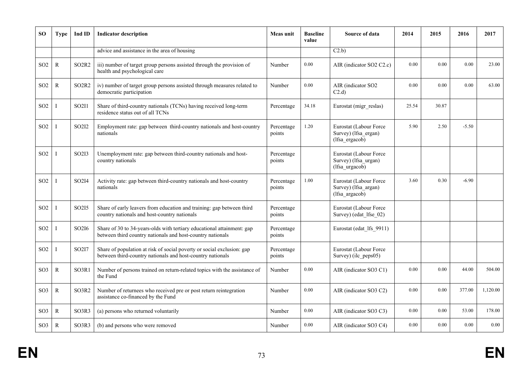| SO              | <b>Type</b>  | Ind ID                         | <b>Indicator description</b>                                                                                                         | <b>Meas unit</b>     | <b>Baseline</b><br>value | Source of data                                                   | 2014  | 2015  | 2016    | 2017     |
|-----------------|--------------|--------------------------------|--------------------------------------------------------------------------------------------------------------------------------------|----------------------|--------------------------|------------------------------------------------------------------|-------|-------|---------|----------|
|                 |              |                                | advice and assistance in the area of housing                                                                                         |                      |                          | C2.b                                                             |       |       |         |          |
| SO <sub>2</sub> | ${\bf R}$    | SO <sub>2</sub> R <sub>2</sub> | iii) number of target group persons assisted through the provision of<br>health and psychological care                               | Number               | 0.00                     | AIR (indicator SO2 C2.c)                                         | 0.00  | 0.00  | 0.00    | 23.00    |
| SO <sub>2</sub> | ${\bf R}$    | SO <sub>2R<sub>2</sub></sub>   | iv) number of target group persons assisted through measures related to<br>democratic participation                                  | Number               | 0.00                     | AIR (indicator SO2<br>C2.d                                       | 0.00  | 0.00  | 0.00    | 63.00    |
| SO <sub>2</sub> |              | SO211                          | Share of third-country nationals (TCNs) having received long-term<br>residence status out of all TCNs                                | Percentage           | 34.18                    | Eurostat (migr reslas)                                           | 25.54 | 30.87 |         |          |
| SO <sub>2</sub> |              | SO <sub>2</sub> I <sub>2</sub> | Employment rate: gap between third-country nationals and host-country<br>nationals                                                   | Percentage<br>points | 1.20                     | Eurostat (Labour Force<br>Survey) (lfsa ergan)<br>(lfsa_ergacob) | 5.90  | 2.50  | $-5.50$ |          |
| SO <sub>2</sub> |              | SO213                          | Unemployment rate: gap between third-country nationals and host-<br>country nationals                                                | Percentage<br>points |                          | Eurostat (Labour Force<br>Survey) (Ifsa urgan)<br>(lfsa urgacob) |       |       |         |          |
| SO <sub>2</sub> |              | SO2I4                          | Activity rate: gap between third-country nationals and host-country<br>nationals                                                     | Percentage<br>points | 1.00                     | Eurostat (Labour Force<br>Survey) (Ifsa_argan)<br>(lfsa argacob) | 3.60  | 0.30  | $-6.90$ |          |
| SO <sub>2</sub> |              | SO <sub>215</sub>              | Share of early leavers from education and training: gap between third<br>country nationals and host-country nationals                | Percentage<br>points |                          | Eurostat (Labour Force<br>Survey) (edat 1fse 02)                 |       |       |         |          |
| SO <sub>2</sub> |              | SO <sub>2</sub> I <sub>6</sub> | Share of 30 to 34-years-olds with tertiary educational attainment: gap<br>between third country nationals and host-country nationals | Percentage<br>points |                          | Eurostat (edat 1fs 9911)                                         |       |       |         |          |
| SO <sub>2</sub> |              | SO <sub>217</sub>              | Share of population at risk of social poverty or social exclusion: gap<br>between third-country nationals and host-country nationals | Percentage<br>points |                          | Eurostat (Labour Force<br>Survey) (ilc peps05)                   |       |       |         |          |
| SO <sub>3</sub> | $\mathbb{R}$ | SO <sub>3</sub> R <sub>1</sub> | Number of persons trained on return-related topics with the assistance of<br>the Fund                                                | Number               | 0.00                     | AIR (indicator SO3 C1)                                           | 0.00  | 0.00  | 44.00   | 504.00   |
| SO <sub>3</sub> | ${\bf R}$    | SO3R2                          | Number of returnees who received pre or post return reintegration<br>assistance co-financed by the Fund                              | Number               | 0.00                     | AIR (indicator SO3 C2)                                           | 0.00  | 0.00  | 377.00  | 1,120.00 |
| SO3             | R            | SO3R3                          | (a) persons who returned voluntarily                                                                                                 | Number               | 0.00                     | AIR (indicator SO3 C3)                                           | 0.00  | 0.00  | 53.00   | 178.00   |
| SO3             | R            | SO3R3                          | (b) and persons who were removed                                                                                                     | Number               | 0.00                     | AIR (indicator SO3 C4)                                           | 0.00  | 0.00  | 0.00    | 0.00     |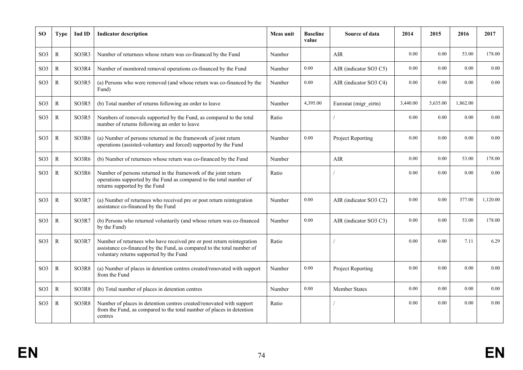| SO              | <b>Type</b>  | Ind ID                         | <b>Indicator description</b>                                                                                                                                                                | <b>Meas unit</b> | <b>Baseline</b><br>value | Source of data         | 2014     | 2015     | 2016     | 2017     |
|-----------------|--------------|--------------------------------|---------------------------------------------------------------------------------------------------------------------------------------------------------------------------------------------|------------------|--------------------------|------------------------|----------|----------|----------|----------|
| SO <sub>3</sub> | $\mathbb{R}$ | SO <sub>3R<sub>3</sub></sub>   | Number of returnees whose return was co-financed by the Fund                                                                                                                                | Number           |                          | <b>AIR</b>             | 0.00     | 0.00     | 53.00    | 178.00   |
| SO <sub>3</sub> | $\mathbb{R}$ | SO3R4                          | Number of monitored removal operations co-financed by the Fund                                                                                                                              | Number           | 0.00                     | AIR (indicator SO3 C5) | 0.00     | 0.00     | 0.00     | 0.00     |
| SO <sub>3</sub> | $\mathbb{R}$ | SO <sub>3R5</sub>              | (a) Persons who were removed (and whose return was co-financed by the<br>Fund)                                                                                                              | Number           | 0.00                     | AIR (indicator SO3 C4) | 0.00     | 0.00     | 0.00     | 0.00     |
| SO3             | $\mathbb{R}$ | SO3R5                          | (b) Total number of returns following an order to leave                                                                                                                                     | Number           | 4,395.00                 | Eurostat (migr eirtn)  | 3,440.00 | 5,635.00 | 1,862.00 |          |
| SO <sub>3</sub> | $\mathbb{R}$ | SO3R5                          | Numbers of removals supported by the Fund, as compared to the total<br>number of returns following an order to leave                                                                        | Ratio            |                          |                        | 0.00     | 0.00     | 0.00     | 0.00     |
| SO <sub>3</sub> | ${\bf R}$    | SO3R6                          | (a) Number of persons returned in the framework of joint return<br>operations (assisted-voluntary and forced) supported by the Fund                                                         | Number           | 0.00                     | Project Reporting      | 0.00     | 0.00     | 0.00     | 0.00     |
| SO3             | $\mathbb{R}$ | SO3R6                          | (b) Number of returnees whose return was co-financed by the Fund                                                                                                                            | Number           |                          | AIR                    | 0.00     | 0.00     | 53.00    | 178.00   |
| SO <sub>3</sub> | $\mathbb{R}$ | SO <sub>3R6</sub>              | Number of persons returned in the framework of the joint return<br>operations supported by the Fund as compared to the total number of<br>returns supported by the Fund                     | Ratio            |                          |                        | 0.00     | 0.00     | 0.00     | 0.00     |
| SO3             | ${\bf R}$    | SO <sub>3R7</sub>              | (a) Number of returnees who received pre or post return reintegration<br>assistance co-financed by the Fund                                                                                 | Number           | 0.00                     | AIR (indicator SO3 C2) | 0.00     | 0.00     | 377.00   | 1,120.00 |
| SO <sub>3</sub> | $\mathbb{R}$ | SO3R7                          | (b) Persons who returned voluntarily (and whose return was co-financed<br>by the Fund)                                                                                                      | Number           | 0.00                     | AIR (indicator SO3 C3) | 0.00     | 0.00     | 53.00    | 178.00   |
| SO <sub>3</sub> | $\mathbb{R}$ | SO <sub>3R7</sub>              | Number of returnees who have received pre or post return reintegration<br>assistance co-financed by the Fund, as compared to the total number of<br>voluntary returns supported by the Fund | Ratio            |                          |                        | 0.00     | 0.00     | 7.11     | 6.29     |
| SO3             | R            | SO3R8                          | (a) Number of places in detention centres created/renovated with support<br>from the Fund                                                                                                   | Number           | 0.00                     | Project Reporting      | 0.00     | 0.00     | 0.00     | 0.00     |
| SO <sub>3</sub> | ${\bf R}$    | SO3R8                          | (b) Total number of places in detention centres                                                                                                                                             | Number           | 0.00                     | <b>Member States</b>   | 0.00     | 0.00     | 0.00     | 0.00     |
| SO <sub>3</sub> | $\mathbb{R}$ | SO <sub>3</sub> R <sub>8</sub> | Number of places in detention centres created/renovated with support<br>from the Fund, as compared to the total number of places in detention<br>centres                                    | Ratio            |                          |                        | 0.00     | 0.00     | 0.00     | 0.00     |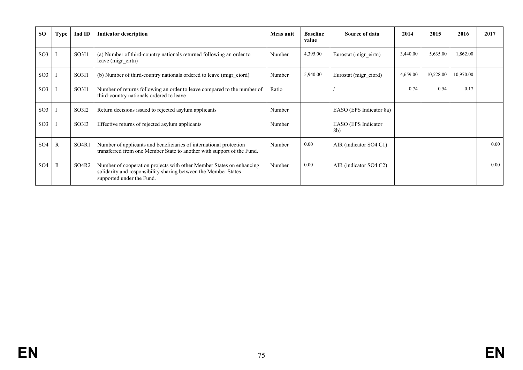| <b>SO</b>       | <b>Type</b>  | Ind ID                         | <b>Indicator description</b>                                                                                                                                         | Meas unit | <b>Baseline</b><br>value | Source of data             | 2014     | 2015      | 2016      | 2017 |
|-----------------|--------------|--------------------------------|----------------------------------------------------------------------------------------------------------------------------------------------------------------------|-----------|--------------------------|----------------------------|----------|-----------|-----------|------|
| SO <sub>3</sub> |              | SO311                          | (a) Number of third-country nationals returned following an order to<br>leave (migr_eirtn)                                                                           | Number    | 4,395.00                 | Eurostat (migr eirtn)      | 3,440.00 | 5,635.00  | 1,862.00  |      |
| SO <sub>3</sub> |              | SO311                          | (b) Number of third-country nationals ordered to leave (migr eiord)                                                                                                  | Number    | 5,940.00                 | Eurostat (migr eiord)      | 4,659.00 | 10,528.00 | 10,970.00 |      |
| SO <sub>3</sub> |              | SO311                          | Number of returns following an order to leave compared to the number of<br>third-country nationals ordered to leave                                                  | Ratio     |                          |                            | 0.74     | 0.54      | 0.17      |      |
| SO <sub>3</sub> |              | SO <sub>312</sub>              | Return decisions issued to rejected asylum applicants                                                                                                                | Number    |                          | EASO (EPS Indicator 8a)    |          |           |           |      |
| SO <sub>3</sub> |              | SO <sub>313</sub>              | Effective returns of rejected asylum applicants                                                                                                                      | Number    |                          | EASO (EPS Indicator<br>8b) |          |           |           |      |
| SO <sub>4</sub> | $\mathbb{R}$ | SO <sub>4</sub> R <sub>1</sub> | Number of applicants and beneficiaries of international protection<br>transferred from one Member State to another with support of the Fund.                         | Number    | 0.00                     | AIR (indicator SO4 C1)     |          |           |           | 0.00 |
| SO <sub>4</sub> | R            | SO4R2                          | Number of cooperation projects with other Member States on enhancing<br>solidarity and responsibility sharing between the Member States<br>supported under the Fund. | Number    | 0.00                     | AIR (indicator SO4 C2)     |          |           |           | 0.00 |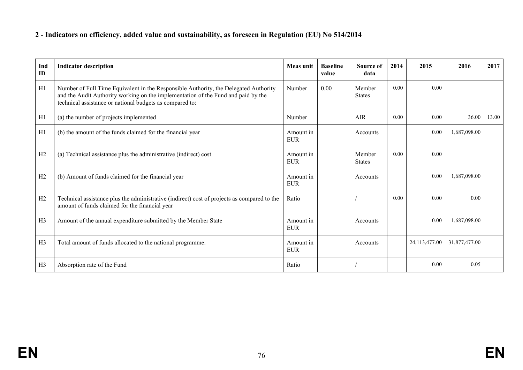## **2 - Indicators on efficiency, added value and sustainability, as foreseen in Regulation (EU) No 514/2014**

| Ind<br>ID      | <b>Indicator description</b>                                                                                                                                                                                                          | <b>Meas unit</b>        | <b>Baseline</b><br>value | Source of<br>data       | 2014 | 2015            | 2016          | 2017  |
|----------------|---------------------------------------------------------------------------------------------------------------------------------------------------------------------------------------------------------------------------------------|-------------------------|--------------------------|-------------------------|------|-----------------|---------------|-------|
| H1             | Number of Full Time Equivalent in the Responsible Authority, the Delegated Authority<br>and the Audit Authority working on the implementation of the Fund and paid by the<br>technical assistance or national budgets as compared to: | Number                  | 0.00                     | Member<br><b>States</b> | 0.00 | 0.00            |               |       |
| H1             | (a) the number of projects implemented                                                                                                                                                                                                | Number                  |                          | AIR                     | 0.00 | 0.00            | 36.00         | 13.00 |
| H1             | (b) the amount of the funds claimed for the financial year                                                                                                                                                                            | Amount in<br>EUR        |                          | Accounts                |      | 0.00            | 1,687,098.00  |       |
| H2             | (a) Technical assistance plus the administrative (indirect) cost                                                                                                                                                                      | Amount in<br><b>EUR</b> |                          | Member<br><b>States</b> | 0.00 | 0.00            |               |       |
| H2             | (b) Amount of funds claimed for the financial year                                                                                                                                                                                    | Amount in<br><b>EUR</b> |                          | Accounts                |      | 0.00            | 1,687,098.00  |       |
| H2             | Technical assistance plus the administrative (indirect) cost of projects as compared to the<br>amount of funds claimed for the financial year                                                                                         | Ratio                   |                          |                         | 0.00 | 0.00            | 0.00          |       |
| H <sub>3</sub> | Amount of the annual expenditure submitted by the Member State                                                                                                                                                                        | Amount in<br><b>EUR</b> |                          | Accounts                |      | 0.00            | 1,687,098.00  |       |
| H <sub>3</sub> | Total amount of funds allocated to the national programme.                                                                                                                                                                            | Amount in<br>EUR        |                          | Accounts                |      | 24, 113, 477.00 | 31,877,477.00 |       |
| H <sub>3</sub> | Absorption rate of the Fund                                                                                                                                                                                                           | Ratio                   |                          |                         |      | 0.00            | 0.05          |       |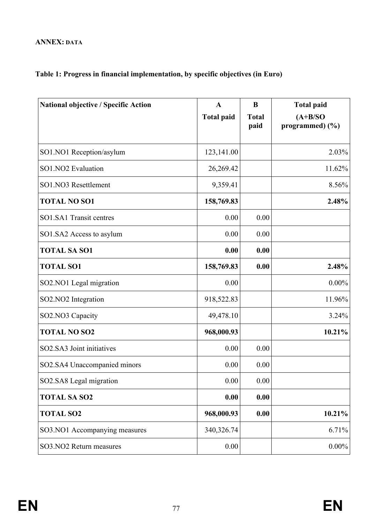## **ANNEX: DATA**

## **Table 1: Progress in financial implementation, by specific objectives (in Euro)**

| <b>National objective / Specific Action</b> | $\mathbf{A}$      | B                    | <b>Total paid</b>                |
|---------------------------------------------|-------------------|----------------------|----------------------------------|
|                                             | <b>Total paid</b> | <b>Total</b><br>paid | $(A+B/SO)$<br>programmed $)$ (%) |
| SO1.NO1 Reception/asylum                    | 123,141.00        |                      | 2.03%                            |
| SO1.NO2 Evaluation                          | 26,269.42         |                      | 11.62%                           |
| SO1.NO3 Resettlement                        | 9,359.41          |                      | 8.56%                            |
| <b>TOTAL NO SO1</b>                         | 158,769.83        |                      | 2.48%                            |
| SO1.SA1 Transit centres                     | 0.00              | 0.00                 |                                  |
| SO1.SA2 Access to asylum                    | 0.00              | 0.00                 |                                  |
| <b>TOTAL SA SO1</b>                         | 0.00              | 0.00                 |                                  |
| <b>TOTAL SO1</b>                            | 158,769.83        | 0.00                 | 2.48%                            |
| SO2.NO1 Legal migration                     | 0.00              |                      | $0.00\%$                         |
| SO2.NO2 Integration                         | 918,522.83        |                      | 11.96%                           |
| SO2.NO3 Capacity                            | 49,478.10         |                      | 3.24%                            |
| <b>TOTAL NO SO2</b>                         | 968,000.93        |                      | 10.21%                           |
| SO2.SA3 Joint initiatives                   | 0.00              | 0.00                 |                                  |
| SO2.SA4 Unaccompanied minors                | 0.00              | 0.00                 |                                  |
| SO2.SA8 Legal migration                     | 0.00              | $0.00\,$             |                                  |
| <b>TOTAL SA SO2</b>                         | 0.00              | 0.00                 |                                  |
| <b>TOTAL SO2</b>                            | 968,000.93        | 0.00                 | 10.21%                           |
| SO3.NO1 Accompanying measures               | 340,326.74        |                      | 6.71%                            |
| SO3.NO2 Return measures                     | 0.00              |                      | $0.00\%$                         |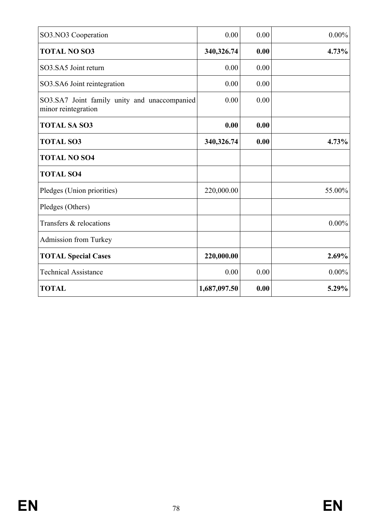| SO3.NO3 Cooperation                                                 | 0.00         | 0.00 | $0.00\%$ |
|---------------------------------------------------------------------|--------------|------|----------|
| <b>TOTAL NO SO3</b>                                                 | 340,326.74   | 0.00 | 4.73%    |
| SO3.SA5 Joint return                                                | 0.00         | 0.00 |          |
| SO3.SA6 Joint reintegration                                         | 0.00         | 0.00 |          |
| SO3.SA7 Joint family unity and unaccompanied<br>minor reintegration | 0.00         | 0.00 |          |
| <b>TOTAL SA SO3</b>                                                 | 0.00         | 0.00 |          |
| <b>TOTAL SO3</b>                                                    | 340,326.74   | 0.00 | 4.73%    |
| <b>TOTAL NO SO4</b>                                                 |              |      |          |
| <b>TOTAL SO4</b>                                                    |              |      |          |
| Pledges (Union priorities)                                          | 220,000.00   |      | 55.00%   |
| Pledges (Others)                                                    |              |      |          |
| Transfers & relocations                                             |              |      | $0.00\%$ |
| Admission from Turkey                                               |              |      |          |
| <b>TOTAL Special Cases</b>                                          | 220,000.00   |      | 2.69%    |
| <b>Technical Assistance</b>                                         | 0.00         | 0.00 | $0.00\%$ |
| <b>TOTAL</b>                                                        | 1,687,097.50 | 0.00 | 5.29%    |
|                                                                     |              |      |          |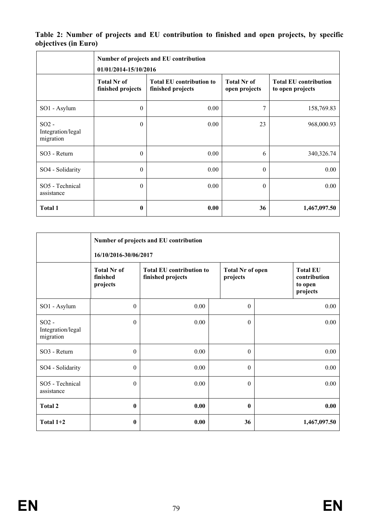### **Table 2: Number of projects and EU contribution to finished and open projects, by specific objectives (in Euro)**

|                                           | 01/01/2014-15/10/2016                   | Number of projects and EU contribution               |                                     |                                                  |
|-------------------------------------------|-----------------------------------------|------------------------------------------------------|-------------------------------------|--------------------------------------------------|
|                                           | <b>Total Nr of</b><br>finished projects | <b>Total EU</b> contribution to<br>finished projects | <b>Total Nr of</b><br>open projects | <b>Total EU contribution</b><br>to open projects |
| SO1 - Asylum                              | $\theta$                                | 0.00                                                 | 7                                   | 158,769.83                                       |
| $SO2 -$<br>Integration/legal<br>migration | $\mathbf{0}$                            | 0.00                                                 | 23                                  | 968,000.93                                       |
| SO <sub>3</sub> - Return                  | $\theta$                                | 0.00                                                 | 6                                   | 340,326.74                                       |
| SO4 - Solidarity                          | $\theta$                                | 0.00                                                 | $\theta$                            | 0.00                                             |
| SO5 - Technical<br>assistance             | $\boldsymbol{0}$                        | 0.00                                                 | $\boldsymbol{0}$                    | 0.00                                             |
| <b>Total 1</b>                            | $\bf{0}$                                | 0.00                                                 | 36                                  | 1,467,097.50                                     |

|                                           | 16/10/2016-30/06/2017                      | Number of projects and EU contribution               |                                     |                                                        |
|-------------------------------------------|--------------------------------------------|------------------------------------------------------|-------------------------------------|--------------------------------------------------------|
|                                           | <b>Total Nr of</b><br>finished<br>projects | <b>Total EU contribution to</b><br>finished projects | <b>Total Nr of open</b><br>projects | <b>Total EU</b><br>contribution<br>to open<br>projects |
| SO1 - Asylum                              | $\boldsymbol{0}$                           | 0.00                                                 | $\mathbf{0}$                        | 0.00                                                   |
| $SO2 -$<br>Integration/legal<br>migration | $\boldsymbol{0}$                           | 0.00                                                 | $\boldsymbol{0}$                    | 0.00                                                   |
| SO3 - Return                              | $\mathbf{0}$                               | 0.00                                                 | $\theta$                            | 0.00                                                   |
| SO4 - Solidarity                          | $\mathbf{0}$                               | 0.00                                                 | $\boldsymbol{0}$                    | 0.00                                                   |
| SO5 - Technical<br>assistance             | $\mathbf{0}$                               | 0.00                                                 | $\boldsymbol{0}$                    | 0.00                                                   |
| <b>Total 2</b>                            | $\bf{0}$                                   | 0.00                                                 | $\bf{0}$                            | 0.00                                                   |
| Total $1+2$                               | $\boldsymbol{0}$                           | 0.00                                                 | 36                                  | 1,467,097.50                                           |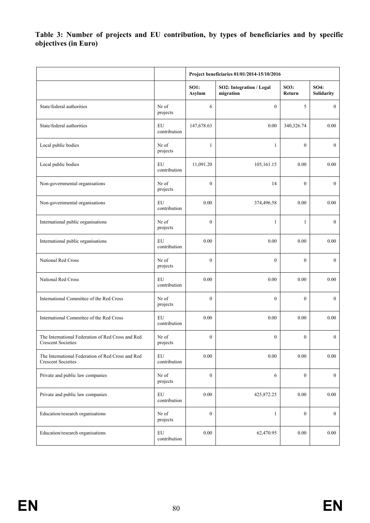### **Table 3: Number of projects and EU contribution, by types of beneficiaries and by specific objectives (in Euro)**

|                                                                                |                    |                       | Project beneficiaries 01/01/2014-15/10/2016 |                       |                           |
|--------------------------------------------------------------------------------|--------------------|-----------------------|---------------------------------------------|-----------------------|---------------------------|
|                                                                                |                    | <b>SO1:</b><br>Asylum | SO2: Integration / Legal<br>migration       | <b>SO3:</b><br>Return | <b>SO4:</b><br>Solidarity |
| State/federal authorities                                                      | Nr of<br>projects  | 6                     | $\boldsymbol{0}$                            | 5                     | $\overline{0}$            |
| State/federal authorities                                                      | EU<br>contribution | 147,678.63            | 0.00                                        | 340,326.74            | 0.00                      |
| Local public bodies                                                            | Nr of<br>projects  | 1                     | $\mathbf{1}$                                | $\mathbf{0}$          | $\overline{0}$            |
| Local public bodies                                                            | EU<br>contribution | 11,091.20             | 105,161.15                                  | $0.00\,$              | $0.00\,$                  |
| Non-governmental organisations                                                 | Nr of<br>projects  | $\mathbf{0}$          | 14                                          | $\mathbf{0}$          | $\mathbf{0}$              |
| Non-governmental organisations                                                 | EU<br>contribution | 0.00                  | 374,496.58                                  | 0.00                  | 0.00                      |
| International public organisations                                             | Nr of<br>projects  | $\boldsymbol{0}$      | $\mathbf{1}$                                | $\mathbf{1}$          | $\boldsymbol{0}$          |
| International public organisations                                             | EU<br>contribution | 0.00                  | 0.00                                        | 0.00                  | 0.00                      |
| National Red Cross                                                             | Nr of<br>projects  | $\boldsymbol{0}$      | $\boldsymbol{0}$                            | $\boldsymbol{0}$      | $\boldsymbol{0}$          |
| <b>National Red Cross</b>                                                      | EU<br>contribution | 0.00                  | 0.00                                        | 0.00                  | 0.00                      |
| International Committee of the Red Cross                                       | Nr of<br>projects  | $\boldsymbol{0}$      | $\boldsymbol{0}$                            | $\boldsymbol{0}$      | $\boldsymbol{0}$          |
| International Committee of the Red Cross                                       | EU<br>contribution | $0.00\,$              | 0.00                                        | 0.00                  | 0.00                      |
| The International Federation of Red Cross and Red<br><b>Crescent Societies</b> | Nr of<br>projects  | $\boldsymbol{0}$      | $\mathbf{0}$                                | $\mathbf{0}$          | $\boldsymbol{0}$          |
| The International Federation of Red Cross and Red<br><b>Crescent Societies</b> | EU<br>contribution | 0.00                  | 0.00                                        | 0.00                  | $0.00\,$                  |
| Private and public law companies                                               | Nr of<br>projects  | $\boldsymbol{0}$      | 6                                           | $\mathbf{0}$          | $\overline{0}$            |
| Private and public law companies                                               | EU<br>contribution | 0.00                  | 425,872.25                                  | 0.00                  | 0.00                      |
| Education/research organisations                                               | Nr of<br>projects  | $\boldsymbol{0}$      | $\mathbf{1}$                                | $\boldsymbol{0}$      | $\mathbf{0}$              |
| Education/research organisations                                               | EU<br>contribution | $0.00\,$              | 62,470.95                                   | $0.00\,$              | 0.00                      |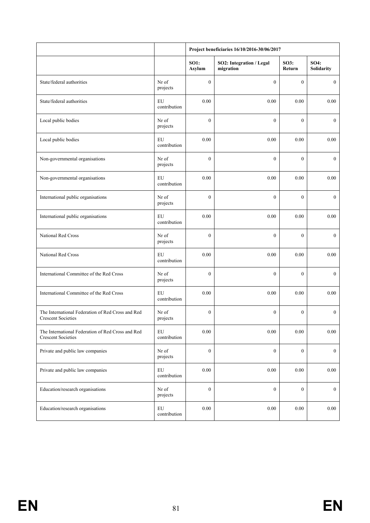|                                                                                |                    |                       | Project beneficiaries 16/10/2016-30/06/2017 |                       |                    |
|--------------------------------------------------------------------------------|--------------------|-----------------------|---------------------------------------------|-----------------------|--------------------|
|                                                                                |                    | <b>SO1:</b><br>Asylum | SO2: Integration / Legal<br>migration       | <b>SO3:</b><br>Return | SO4:<br>Solidarity |
| State/federal authorities                                                      | Nr of<br>projects  | $\boldsymbol{0}$      | $\boldsymbol{0}$                            | $\mathbf{0}$          | $\boldsymbol{0}$   |
| State/federal authorities                                                      | EU<br>contribution | 0.00                  | 0.00                                        | 0.00                  | $0.00\,$           |
| Local public bodies                                                            | Nr of<br>projects  | $\boldsymbol{0}$      | $\boldsymbol{0}$                            | $\mathbf{0}$          | $\boldsymbol{0}$   |
| Local public bodies                                                            | EU<br>contribution | $0.00\,$              | 0.00                                        | 0.00                  | $0.00\,$           |
| Non-governmental organisations                                                 | Nr of<br>projects  | $\mathbf{0}$          | $\mathbf{0}$                                | $\mathbf{0}$          | $\boldsymbol{0}$   |
| Non-governmental organisations                                                 | EU<br>contribution | 0.00                  | 0.00                                        | 0.00                  | $0.00\,$           |
| International public organisations                                             | Nr of<br>projects  | $\boldsymbol{0}$      | $\boldsymbol{0}$                            | $\mathbf{0}$          | $\boldsymbol{0}$   |
| International public organisations                                             | EU<br>contribution | 0.00                  | 0.00                                        | 0.00                  | $0.00\,$           |
| National Red Cross                                                             | Nr of<br>projects  | $\boldsymbol{0}$      | $\boldsymbol{0}$                            | $\boldsymbol{0}$      | $\boldsymbol{0}$   |
| National Red Cross                                                             | EU<br>contribution | $0.00\,$              | 0.00                                        | 0.00                  | $0.00\,$           |
| International Committee of the Red Cross                                       | Nr of<br>projects  | $\boldsymbol{0}$      | $\boldsymbol{0}$                            | $\boldsymbol{0}$      | $\boldsymbol{0}$   |
| International Committee of the Red Cross                                       | EU<br>contribution | $0.00\,$              | 0.00                                        | 0.00                  | $0.00\,$           |
| The International Federation of Red Cross and Red<br><b>Crescent Societies</b> | Nr of<br>projects  | $\boldsymbol{0}$      | $\boldsymbol{0}$                            | $\boldsymbol{0}$      | $\boldsymbol{0}$   |
| The International Federation of Red Cross and Red<br><b>Crescent Societies</b> | EU<br>contribution | $0.00\,$              | $0.00\,$                                    | 0.00                  | $0.00\,$           |
| Private and public law companies                                               | Nr of<br>projects  | $\boldsymbol{0}$      | $\boldsymbol{0}$                            | $\boldsymbol{0}$      | $\boldsymbol{0}$   |
| Private and public law companies                                               | EU<br>contribution | $0.00\,$              | 0.00                                        | 0.00                  | $0.00\,$           |
| Education/research organisations                                               | Nr of<br>projects  | $\boldsymbol{0}$      | $\boldsymbol{0}$                            | $\boldsymbol{0}$      | $\boldsymbol{0}$   |
| Education/research organisations                                               | EU<br>contribution | $0.00\,$              | 0.00                                        | $0.00\,$              | 0.00               |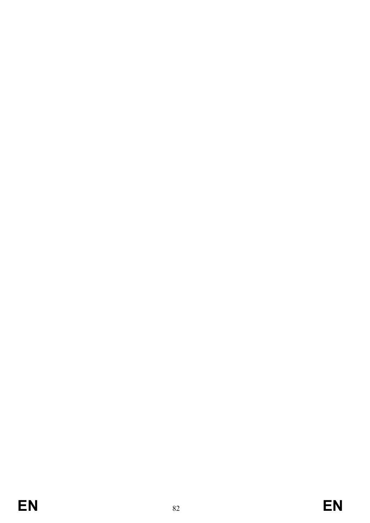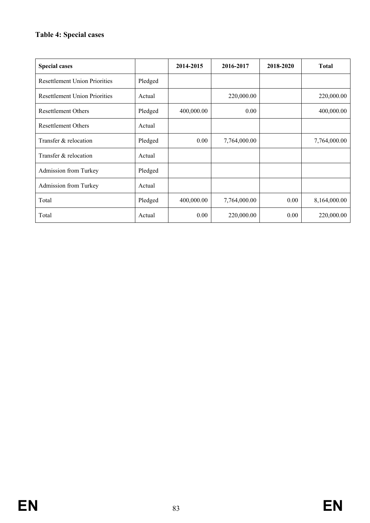# **Table 4: Special cases**

| <b>Special cases</b>                 |         | 2014-2015  | 2016-2017    | 2018-2020 | <b>Total</b> |
|--------------------------------------|---------|------------|--------------|-----------|--------------|
| <b>Resettlement Union Priorities</b> | Pledged |            |              |           |              |
| <b>Resettlement Union Priorities</b> | Actual  |            | 220,000.00   |           | 220,000.00   |
| <b>Resettlement Others</b>           | Pledged | 400,000.00 | 0.00         |           | 400,000.00   |
| <b>Resettlement Others</b>           | Actual  |            |              |           |              |
| Transfer & relocation                | Pledged | 0.00       | 7,764,000.00 |           | 7,764,000.00 |
| Transfer & relocation                | Actual  |            |              |           |              |
| Admission from Turkey                | Pledged |            |              |           |              |
| Admission from Turkey                | Actual  |            |              |           |              |
| Total                                | Pledged | 400,000.00 | 7,764,000.00 | 0.00      | 8,164,000.00 |
| Total                                | Actual  | 0.00       | 220,000.00   | 0.00      | 220,000.00   |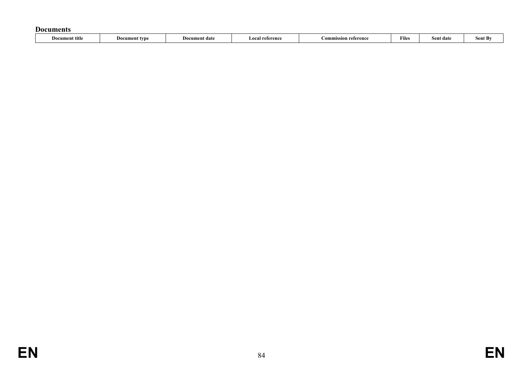#### **Documents**

| --<br>sent Rv<br>Files<br>Document title<br>eferenc<br>ı reference<br>rment type.<br>ommi<br>Document date<br>Sent date<br>ral 1<br>~15Sn |
|-------------------------------------------------------------------------------------------------------------------------------------------|
|-------------------------------------------------------------------------------------------------------------------------------------------|